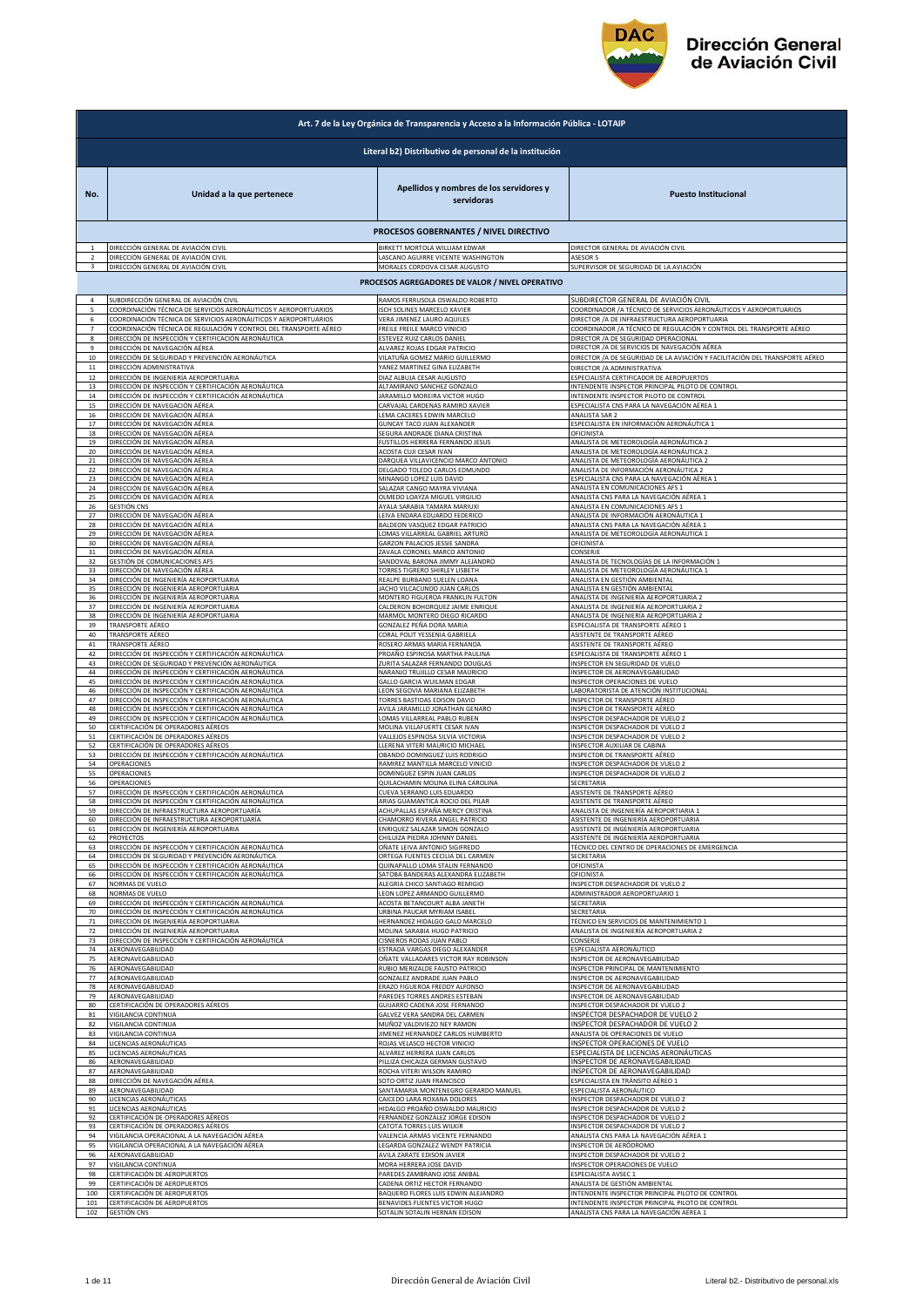

|                | Art. 7 de la Ley Orgánica de Transparencia y Acceso a la Información Pública - LOTAIP |                                                                                               |                                                                                                                         |  |
|----------------|---------------------------------------------------------------------------------------|-----------------------------------------------------------------------------------------------|-------------------------------------------------------------------------------------------------------------------------|--|
|                | Literal b2) Distributivo de personal de la institución                                |                                                                                               |                                                                                                                         |  |
| No.            | Unidad a la que pertenece                                                             | Apellidos y nombres de los servidores y<br>servidoras                                         | <b>Puesto Institucional</b>                                                                                             |  |
|                |                                                                                       | PROCESOS GOBERNANTES / NIVEL DIRECTIVO                                                        |                                                                                                                         |  |
|                | DIRECCIÓN GENERAL DE AVIACIÓN CIVIL                                                   | BIRKETT MORTOLA WILLIAM EDWAR                                                                 | DIRECTOR GENERAL DE AVIACIÓN CIVIL                                                                                      |  |
|                | DIRECCIÓN GENERAL DE AVIACIÓN CIVIL                                                   | ASCANO AGUIRRE VICENTE WASHINGTON                                                             | ASESOR 5                                                                                                                |  |
| 3              | DIRECCIÓN GENERAL DE AVIACIÓN CIVIL                                                   | MORALES CORDOVA CESAR AUGUSTO                                                                 | SUPERVISOR DE SEGURIDAD DE LA AVIACIÓN                                                                                  |  |
|                |                                                                                       | PROCESOS AGREGADORES DE VALOR / NIVEL OPERATIVO                                               |                                                                                                                         |  |
| 4              | <u>SUBDIRECCIÓN GENERAL DE AVIACIÓN CIVIL</u>                                         | RAMOS FERRUSOLA OSWALDO ROBERTO                                                               | SUBDIRECTOR GENERAL DE AVIACIÓN CIVIL                                                                                   |  |
| 5              | COORDINACIÓN TÉCNICA DE SERVICIOS AERONÁUTICOS Y AEROPORTUARIOS                       | ISCH SOLINES MARCELO XAVIER                                                                   | COORDINADOR / A TÉCNICO DE SERVICIOS AERONÁUTICOS Y AEROPORTUARIOS                                                      |  |
| 6              | COORDINACIÓN TÉCNICA DE SERVICIOS AERONÁUTICOS Y AEROPORTUARIOS                       | VERA JIMENEZ LAURO AQUILES                                                                    | DIRECTOR / A DE INFRAESTRUCTURA AEROPORTUARIA                                                                           |  |
| $\overline{7}$ | COORDINACIÓN TÉCNICA DE REGULACIÓN Y CONTROL DEL TRANSPORTE AÉREO                     | FREILE FREILE MARCO VINICIO                                                                   | COORDINADOR / A TÉCNICO DE REGULACIÓN Y CONTROL DEL TRANSPORTE AÉREO                                                    |  |
| 8              | DIRECCIÓN DE INSPECCIÓN Y CERTIFICACIÓN AERONÁUTICA                                   | ESTEVEZ RUIZ CARLOS DANIEL                                                                    | DIRECTOR / A DE SEGURIDAD OPERACIONAL                                                                                   |  |
| 9              | DIRECCIÓN DE NAVEGACIÓN AÉREA                                                         | ALVAREZ ROJAS EDGAR PATRICIO                                                                  | DIRECTOR / A DE SERVICIOS DE NAVEGACIÓN AÉREA                                                                           |  |
| 10             | DIRECCIÓN DE SEGURIDAD Y PREVENCIÓN AERONÁUTICA                                       | VILATUÑA GOMEZ MARIO GUILLERMO                                                                | DIRECTOR /A DE SEGURIDAD DE LA AVIACIÓN Y FACILITACIÓN DEL TRANSPORTE AÉREO                                             |  |
| 11             | DIRECCIÓN ADMINISTRATIVA                                                              | YANEZ MARTINEZ GINA ELIZABETH                                                                 | DIRECTOR / A ADMINISTRATIVA                                                                                             |  |
| 12             | DIRECCIÓN DE INGENIERÍA AEROPORTUARIA                                                 | DIAZ ALBUJA CESAR AUGUSTO                                                                     | ESPECIALISTA CERTIFICADOR DE AEROPUERTOS                                                                                |  |
| 13             | DIRECCIÓN DE INSPECCIÓN Y CERTIFICACIÓN AERONÁUTICA                                   | ALTAMIRANO SANCHEZ GONZALO                                                                    | INTENDENTE INSPECTOR PRINCIPAL PILOTO DE CONTROL                                                                        |  |
| 14             | DIRECCIÓN DE INSPECCIÓN Y CERTIFICACIÓN AERONÁUTICA                                   | JARAMILLO MOREIRA VICTOR HUGO                                                                 | INTENDENTE INSPECTOR PILOTO DE CONTROL                                                                                  |  |
| 15             | DIRECCIÓN DE NAVEGACIÓN AÉREA                                                         | CARVAJAL CARDENAS RAMIRO XAVIER                                                               | ESPECIALISTA CNS PARA LA NAVEGACIÓN AÉREA 1                                                                             |  |
| 16             | DIRECCIÓN DE NAVEGACIÓN AÉREA                                                         | LEMA CACERES EDWIN MARCELO                                                                    | ANALISTA SAR 2                                                                                                          |  |
| 17             | DIRECCIÓN DE NAVEGACIÓN AÉREA                                                         | GUNCAY TACO JUAN ALEXANDER                                                                    | ESPECIALISTA EN INFORMACIÓN AERONÁUTICA 1                                                                               |  |
| 18             | DIRECCIÓN DE NAVEGACIÓN AÉREA                                                         | SEGURA ANDRADE DIANA CRISTINA                                                                 | <b>OFICINISTA</b>                                                                                                       |  |
| 19             | DIRECCIÓN DE NAVEGACIÓN AÉREA                                                         | FUSTILLOS HERRERA FERNANDO JESUS                                                              | ANALISTA DE METEOROLOGÍA AERONÁUTICA 2                                                                                  |  |
| 20             | DIRECCIÓN DE NAVEGACIÓN AÉREA                                                         | <b>ACOSTA CUJI CESAR IVAN</b>                                                                 | ANALISTA DE METEOROLOGÍA AERONÁUTICA 2                                                                                  |  |
| 21             | DIRECCIÓN DE NAVEGACIÓN AÉREA                                                         | DARQUEA VILLAVICENCIO MARCO ANTONIO                                                           | ANALISTA DE METEOROLOGÍA AERONÁUTICA 2                                                                                  |  |
| 22             | DIRECCIÓN DE NAVEGACIÓN AÉREA                                                         | DELGADO TOLEDO CARLOS EDMUNDO                                                                 | ANALISTA DE INFORMACIÓN AERONÁUTICA                                                                                     |  |
| 23             | DIRECCIÓN DE NAVEGACIÓN AÉREA                                                         | MINANGO LOPEZ LUIS DAVID                                                                      | ESPECIALISTA CNS PARA LA NAVEGACIÓN AÉREA 1                                                                             |  |
| 24             | DIRECCIÓN DE NAVEGACIÓN AÉREA                                                         | SALAZAR CANGO MAYRA VIVIANA                                                                   | ANALISTA EN COMUNICACIONES AFS 1                                                                                        |  |
| 25             | DIRECCIÓN DE NAVEGACIÓN AÉREA                                                         | OLMEDO LOAYZA MIGUEL VIRGILIO                                                                 | ANALISTA CNS PARA LA NAVEGACIÓN AÉREA 1                                                                                 |  |
| 26             | <b>GESTIÓN CNS</b>                                                                    | AYALA SARABIA TAMARA MARIUXI                                                                  | ANALISTA EN COMUNICACIONES AFS 1                                                                                        |  |
| 27             | DIRECCIÓN DE NAVEGACIÓN AÉREA                                                         | LEIVA ENDARA EDUARDO FEDERICO                                                                 | ANALISTA DE INFORMACIÓN AERONÁUTICA 1                                                                                   |  |
| 28             | DIRECCIÓN DE NAVEGACIÓN AÉREA                                                         | BALDEON VASQUEZ EDGAR PATRICIO                                                                | ANALISTA CNS PARA LA NAVEGACIÓN AÉREA 1                                                                                 |  |
| 29             | DIRECCIÓN DE NAVEGACIÓN AÉREA                                                         | LOMAS VILLARREAL GABRIEL ARTURO                                                               | ANALISTA DE METEOROLOGÍA AERONÁUTICA 1                                                                                  |  |
| 30             | DIRECCIÓN DE NAVEGACIÓN AÉREA                                                         | GARZON PALACIOS JESSIE SANDRA                                                                 | OFICINISTA                                                                                                              |  |
| 31             | DIRECCIÓN DE NAVEGACIÓN AÉREA                                                         | ZAVALA CORONEL MARCO ANTONIO                                                                  | CONSERJE                                                                                                                |  |
| 32             | GESTIÓN DE COMUNICACIONES AFS                                                         | SANDOVAL BARONA JIMMY ALEJANDRO                                                               | ANALISTA DE TECNOLOGÍAS DE LA INFORMACIÓN 1                                                                             |  |
| 33             | DIRECCIÓN DE NAVEGACIÓN AÉREA                                                         | TORRES TIGRERO SHIRLEY LISBETH                                                                | ANALISTA DE METEOROLOGÍA AERONÁUTICA 1                                                                                  |  |
| 34             | DIRECCIÓN DE INGENIERÍA AEROPORTUARIA                                                 | REALPE BURBANO SUELEN LOANA                                                                   | ANALISTA EN GESTIÓN AMBIENTAL                                                                                           |  |
| 35             | DIRECCIÓN DE INGENIERÍA AEROPORTUARIA                                                 | JACHO VILCACUNDO JUAN CARLOS                                                                  | ANALISTA EN GESTIÓN AMBIENTAL                                                                                           |  |
| 36             | DIRECCIÓN DE INGENIERÍA AEROPORTUARIA                                                 | MONTERO FIGUEROA FRANKLIN FULTON                                                              | ANALISTA DE INGENIERÍA AEROPORTUARIA 2                                                                                  |  |
| 37             | DIRECCIÓN DE INGENIERÍA AEROPORTUARIA                                                 | CALDERON BOHORQUEZ JAIME ENRIQUE                                                              | ANALISTA DE INGENIERÍA AEROPORTUARIA 2                                                                                  |  |
| 38             | <u>DIRECCIÓN DE INGENIERÍA AEROPORTUARIA</u>                                          | MARMOL MONTERO DIEGO RICARDO                                                                  | ANALISTA DE INGENIERÍA AEROPORTUARIA 2                                                                                  |  |
| 39             | TRANSPORTE AÉREO                                                                      | GONZALEZ PEÑA DORA MARIA                                                                      | ESPECIALISTA DE TRANSPORTE AÉREO 1                                                                                      |  |
| 40             | TRANSPORTE AÉREO                                                                      | CORAL POLIT YESSENIA GABRIELA                                                                 | ASISTENTE DE TRANSPORTE AÉREO                                                                                           |  |
| 41             | TRANSPORTE AÉREO                                                                      | ROSERO ARMAS MARIA FERNANDA                                                                   | ASISTENTE DE TRANSPORTE AÉREO                                                                                           |  |
| 42             | DIRECCIÓN DE INSPECCIÓN Y CERTIFICACIÓN AERONÁUTICA                                   | PROAÑO ESPINOSA MARTHA PAULINA                                                                | ESPECIALISTA DE TRANSPORTE AÉREO 1                                                                                      |  |
| 43             | DIRECCIÓN DE SEGURIDAD Y PREVENCIÓN AERONÁUTICA                                       | ZURITA SALAZAR FERNANDO DOUGLAS                                                               | INSPECTOR EN SEGURIDAD DE VUELO                                                                                         |  |
| 44             | DIRECCIÓN DE INSPECCIÓN Y CERTIFICACIÓN AERONÁUTICA                                   | NARANJO TRUJILLO CESAR MAURICIO                                                               | INSPECTOR DE AERONAVEGABILIDAD                                                                                          |  |
| 45             | DIRECCIÓN DE INSPECCIÓN Y CERTIFICACIÓN AERONÁUTICA                                   | GALLO GARCIA WUILMAN EDGAR                                                                    | INSPECTOR OPERACIONES DE VUELO                                                                                          |  |
| 46             | DIRECCIÓN DE INSPECCIÓN Y CERTIFICACIÓN AERONÁUTICA                                   | LEON SEGOVIA MARIANA ELIZABETH                                                                | LABORATORISTA DE ATENCIÓN INSTITUCIONAL                                                                                 |  |
| 47             | <u>DIRECCIÓN DE INSPECCIÓN Y CERTIFICACIÓN AERONÁUTICA</u>                            | TORRES BASTIDAS EDISON DAVID                                                                  | INSPECTOR DE TRANSPORTE AÉREO                                                                                           |  |
| 48             | DIRECCIÓN DE INSPECCIÓN Y CERTIFICACIÓN AERONÁUTICA                                   | AVILA JARAMILLO JONATHAN GENARO                                                               | INSPECTOR DE TRANSPORTE AÉREO                                                                                           |  |
| 49             | DIRECCIÓN DE INSPECCIÓN Y CERTIFICACIÓN AERONÁUTICA                                   | LOMAS VILLARREAL PABLO RUBEN                                                                  | INSPECTOR DESPACHADOR DE VUELO :                                                                                        |  |
| 50             | <u>CERTIFICACIÓN DE OPERADORES AÉREOS</u>                                             | MOLINA VILLAFUERTE CESAR IVAN                                                                 | INSPECTOR DESPACHADOR DE VUELO 2                                                                                        |  |
| 51             | CERTIFICACIÓN DE OPERADORES AÉREOS                                                    | VALLEJOS ESPINOSA SILVIA VICTORIA                                                             | INSPECTOR DESPACHADOR DE VUELO 2                                                                                        |  |
| 52             | CERTIFICACIÓN DE OPERADORES AÉREOS                                                    | LLERENA VITERI MAURICIO MICHAEL                                                               | INSPECTOR AUXILIAR DE CABINA                                                                                            |  |
| 53             | DIRECCIÓN DE INSPECCIÓN Y CERTIFICACIÓN AERONÁUTICA                                   | OBANDO DOMINGUEZ LUIS RODRIGO                                                                 | INSPECTOR DE TRANSPORTE AÉREO                                                                                           |  |
| 54             | OPERACIONES                                                                           | RAMIREZ MANTILLA MARCELO VINICIO                                                              | INSPECTOR DESPACHADOR DE VUELO 2                                                                                        |  |
| 55             | OPERACIONES                                                                           | DOMINGUEZ ESPIN JUAN CARLOS                                                                   | INSPECTOR DESPACHADOR DE VUELO 2                                                                                        |  |
| 56             | OPERACIONES                                                                           | QUILACHAMIN MOLINA ELINA CAROLINA                                                             | SECRETARIA                                                                                                              |  |
| 57             | DIRECCIÓN DE INSPECCIÓN Y CERTIFICACIÓN AERONÁUTICA                                   | CUEVA SERRANO LUIS EDUARDO                                                                    | ASISTENTE DE TRANSPORTE AÉREO                                                                                           |  |
| 58             | DIRECCIÓN DE INSPECCIÓN Y CERTIFICACIÓN AERONÁUTICA                                   | ARIAS GUAMANTICA ROCIO DEL PILAR                                                              | ASISTENTE DE TRANSPORTE AÉREO                                                                                           |  |
| 59<br>60       | DIRECCIÓN DE INFRAESTRUCTURA AEROPORTUARÍA                                            | ACHUPALLAS ESPAÑA MERCY CRISTINA                                                              | ANALISTA DE INGENIERÍA AEROPORTIARIA 1                                                                                  |  |
| 61             | DIRECCIÓN DE INFRAESTRUCTURA AEROPORTUARÍA<br>DIRECCIÓN DE INGENIERÍA AEROPORTUARIA   | CHAMORRO RIVERA ANGEL PATRICIO<br>ENRIQUEZ SALAZAR SIMON GONZALO                              | ASISTENTE DE INGENIERÍA AEROPORTUARIA<br>ASISTENTE DE INGENIERÍA AEROPORTUARIA<br>ASISTENTE DE INGENIERÍA AEROPORTUARIA |  |
| 62             | PROYECTOS                                                                             | CHILUIZA PIEDRA JOHNNY DANIEL                                                                 | TÉCNICO DEL CENTRO DE OPERACIONES DE EMERGENCIA                                                                         |  |
| 63             | DIRECCIÓN DE INSPECCIÓN Y CERTIFICACIÓN AERONÁUTICA                                   | OÑATE LEIVA ANTONIO SIGIFREDO                                                                 |                                                                                                                         |  |
| 64             | DIRECCIÓN DE SEGURIDAD Y PREVENCIÓN AERONÁUTICA                                       | ORTEGA FUENTES CECILIA DEL CARMEN                                                             | SECRETARIA                                                                                                              |  |
| 65             | DIRECCIÓN DE INSPECCIÓN Y CERTIFICACIÓN AERONÁUTICA                                   | QUINAPALLO LOMA STALIN FERNANDO                                                               | OFICINISTA                                                                                                              |  |
| 66             | DIRECCIÓN DE INSPECCIÓN Y CERTIFICACIÓN AERONÁUTICA                                   | SATOBA BANDERAS ALEXANDRA ELIZABETH                                                           | OFICINISTA                                                                                                              |  |
| 67             | NORMAS DE VUELO                                                                       | ALEGRIA CHICO SANTIAGO REMIGIO                                                                | INSPECTOR DESPACHADOR DE VUELO 2                                                                                        |  |
| 68             | NORMAS DE VUELO                                                                       | LEON LOPEZ ARMANDO GUILLERMO                                                                  | ADMINISTRADOR AEROPORTUARIO 1                                                                                           |  |
| 69             | DIRECCIÓN DE INSPECCIÓN Y CERTIFICACIÓN AERONÁUTICA                                   | <b>ACOSTA BETANCOURT ALBA JANETH</b>                                                          | SECRETARIA                                                                                                              |  |
| 70             | DIRECCIÓN DE INSPECCIÓN Y CERTIFICACIÓN AERONÁUTICA                                   | URBINA PAUCAR MYRIAM ISABEL                                                                   | SECRETARIA                                                                                                              |  |
| 71             | DIRECCIÓN DE INGENIERÍA AEROPORTUARIA                                                 | HERNANDEZ HIDALGO GALO MARCELO                                                                | TÉCNICO EN SERVICIOS DE MANTENIMIENTO 1                                                                                 |  |
| 72             | DIRECCIÓN DE INGENIERÍA AEROPORTUARIA                                                 | MOLINA SARABIA HUGO PATRICIO                                                                  | ANALISTA DE INGENIERÍA AEROPORTUARIA 2                                                                                  |  |
| 73             | DIRECCIÓN DE INSPECCIÓN Y CERTIFICACIÓN AERONÁUTICA                                   | CISNEROS RODAS JUAN PABLO                                                                     | CONSERJE                                                                                                                |  |
| 74             | AERONAVEGABILIDAD                                                                     | ESTRADA VARGAS DIEGO ALEXANDER                                                                | ESPECIALISTA AERONÁUTICO                                                                                                |  |
| 75             | AERONAVEGABILIDAD                                                                     | OÑATE VALLADARES VICTOR RAY ROBINSON                                                          | INSPECTOR DE AERONAVEGABILIDAD                                                                                          |  |
| 76<br>77       | AERONAVEGABILIDAD                                                                     | RUBIO MERIZALDE FAUSTO PATRICIO                                                               | INSPECTOR PRINCIPAL DE MANTENIMIENTO                                                                                    |  |
| 78<br>79       | AERONAVEGABILIDAD<br>AERONAVEGABILIDAD<br>AERONAVEGABILIDAD                           | GONZALEZ ANDRADE JUAN PABLO<br>ERAZO FIGUEROA FREDDY ALFONSO<br>PAREDES TORRES ANDRES ESTEBAN | INSPECTOR DE AERONAVEGABILIDAD<br>INSPECTOR DE AERONAVEGABILIDAD<br>INSPECTOR DE AERONAVEGABILIDAD                      |  |
| 80             | CERTIFICACIÓN DE OPERADORES AÉREOS                                                    | GUIJARRO CADENA JOSE FERNANDO                                                                 | INSPECTOR DESPACHADOR DE VUELO 2                                                                                        |  |
| 81             | VIGILANCIA CONTINUA                                                                   | GALVEZ VERA SANDRA DEL CARMEN                                                                 | INSPECTOR DESPACHADOR DE VUELO 2                                                                                        |  |
| 82             | VIGILANCIA CONTINUA                                                                   | MUÑOZ VALDIVIEZO NEY RAMON                                                                    | INSPECTOR DESPACHADOR DE VUELO 2                                                                                        |  |
| 83             | VIGILANCIA CONTINUA                                                                   | JIMENEZ HERNANDEZ CARLOS HUMBERTO                                                             | ANALISTA DE OPERACIONES DE VUELO                                                                                        |  |
| 84             | LICENCIAS AERONÁUTICAS                                                                | ROJAS VELASCO HECTOR VINICIO                                                                  | INSPECTOR OPERACIONES DE VUELO                                                                                          |  |
| 85             | LICENCIAS AERONÁUTICAS                                                                | ALVAREZ HERRERA JUAN CARLOS                                                                   | ESPECIALISTA DE LICENCIAS AERONÁUTICAS                                                                                  |  |
| 86             | AERONAVEGABILIDAD                                                                     | PILLIZA CHICAIZA GERMAN GUSTAVO                                                               | INSPECTOR DE AERONAVEGABILIDAD                                                                                          |  |
| 87             | AERONAVEGABILIDAD                                                                     | ROCHA VITERI WILSON RAMIRO                                                                    | INSPECTOR DE AERONAVEGABILIDAD                                                                                          |  |
| 88             | DIRECCIÓN DE NAVEGACIÓN AÉREA                                                         | SOTO ORTIZ JUAN FRANCISCO                                                                     | ESPECIALISTA EN TRÁNSITO AÉREO 1                                                                                        |  |
| 89             | AERONAVEGABILIDAD                                                                     | SANTAMARIA MONTENEGRO GERARDO MANUEL                                                          | ESPECIALISTA AERONÁUTICO                                                                                                |  |
| 90             | LICENCIAS AERONÁUTICAS                                                                | CAICEDO LARA ROXANA DOLORES                                                                   | INSPECTOR DESPACHADOR DE VUELO 2                                                                                        |  |
| 91<br>92       | LICENCIAS AERONÁUTICAS<br>CERTIFICACIÓN DE OPERADORES AÉREOS                          | HIDALGO PROAÑO OSWALDO MAURICIO                                                               | INSPECTOR DESPACHADOR DE VUELO 2                                                                                        |  |
| 93             | CERTIFICACIÓN DE OPERADORES AÉREOS                                                    | FERNANDEZ GONZALEZ JORGE EDISON<br>CATOTA TORRES LUIS WILKIR                                  | INSPECTOR DESPACHADOR DE VUELO 2<br>INSPECTOR DESPACHADOR DE VUELO 2                                                    |  |
| 94             | VIGILANCIA OPERACIONAL A LA NAVEGACIÓN AÉREA                                          | VALENCIA ARMAS VICENTE FERNANDO                                                               | ANALISTA CNS PARA LA NAVEGACIÓN AÉREA 1                                                                                 |  |
| 95             | VIGILANCIA OPERACIONAL A LA NAVEGACIÓN AÉREA                                          | LEGARDA GONZALEZ WENDY PATRICIA                                                               | INSPECTOR DE AERÓDROMO                                                                                                  |  |
| 96             | AERONAVEGABILIDAD                                                                     | AVILA ZARATE EDISON JAVIER                                                                    | INSPECTOR DESPACHADOR DE VUELO 2                                                                                        |  |
| 97             | VIGILANCIA CONTINUA                                                                   | MORA HERRERA JOSE DAVID                                                                       | INSPECTOR OPERACIONES DE VUELO                                                                                          |  |
| 98             | CERTIFICACIÓN DE AEROPUERTOS                                                          | PAREDES ZAMBRANO JOSE ANIBAL                                                                  | ESPECIALISTA AVSEC 1                                                                                                    |  |
| 99             | CERTIFICACIÓN DE AEROPUERTOS                                                          | CADENA ORTIZ HECTOR FERNANDO                                                                  | ANALISTA DE GESTIÓN AMBIENTAL                                                                                           |  |
| 100            | CERTIFICACIÓN DE AEROPUERTOS                                                          | BAQUERO FLORES LUIS EDWIN ALEJANDRO                                                           | INTENDENTE INSPECTOR PRINCIPAL PILOTO DE CONTROL                                                                        |  |
| 101            | CERTIFICACIÓN DE AEROPUERTOS                                                          | BENAVIDES FUENTES VICTOR HUGO                                                                 | INTENDENTE INSPECTOR PRINCIPAL PILOTO DE CONTROL                                                                        |  |
| 102            | <b>GESTIÓN CNS</b>                                                                    | SOTALIN SOTALIN HERNAN EDISON                                                                 | ANALISTA CNS PARA LA NAVEGACIÓN AÉREA 1                                                                                 |  |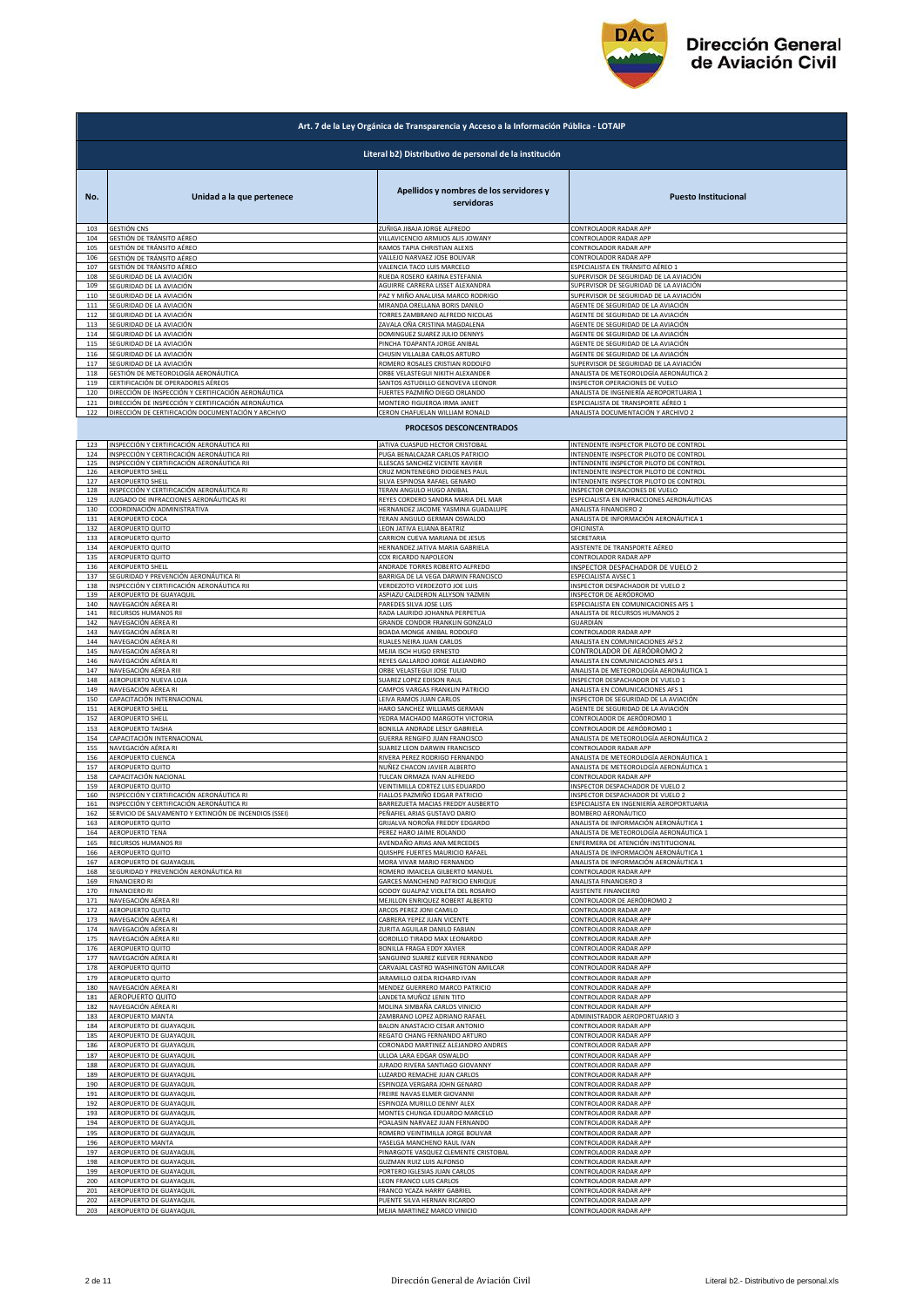

|            | Art. 7 de la Ley Orgánica de Transparencia y Acceso a la Información Pública - LOTAIP |                                                              |                                                                                  |  |
|------------|---------------------------------------------------------------------------------------|--------------------------------------------------------------|----------------------------------------------------------------------------------|--|
|            | Literal b2) Distributivo de personal de la institución                                |                                                              |                                                                                  |  |
|            |                                                                                       | Apellidos y nombres de los servidores y                      |                                                                                  |  |
| No.        | Unidad a la que pertenece                                                             | servidoras                                                   | <b>Puesto Institucional</b>                                                      |  |
| 103        | <b>GESTIÓN CNS</b>                                                                    | ZUÑIGA JIBAJA JORGE ALFREDO                                  | CONTROLADOR RADAR APP                                                            |  |
| 104        | GESTIÓN DE TRÁNSITO AÉREO                                                             | VILLAVICENCIO ARMIJOS ALIS JOWANY                            | CONTROLADOR RADAR APP                                                            |  |
| 105        | GESTIÓN DE TRÁNSITO AÉREO                                                             | RAMOS TAPIA CHRISTIAN ALEXIS                                 | CONTROLADOR RADAR APP                                                            |  |
| 106        | GESTIÓN DE TRÁNSITO AÉREO                                                             | VALLEJO NARVAEZ JOSE BOLIVAR                                 | CONTROLADOR RADAR APP                                                            |  |
| 107        | GESTIÓN DE TRÁNSITO AÉREO                                                             | VALENCIA TACO LUIS MARCELO                                   | ESPECIALISTA EN TRÁNSITO AÉREO 1                                                 |  |
| 108        | SEGURIDAD DE LA AVIACIÓN                                                              | RUEDA ROSERO KARINA ESTEFANIA                                | SUPERVISOR DE SEGURIDAD DE LA AVIACIÓN                                           |  |
| 109<br>110 | SEGURIDAD DE LA AVIACIÓN                                                              | AGUIRRE CARRERA LISSET ALEXANDRA                             | SUPERVISOR DE SEGURIDAD DE LA AVIACIÓN                                           |  |
| 111        | SEGURIDAD DE LA AVIACIÓN                                                              | PAZ Y MIÑO ANALUISA MARCO RODRIGO                            | SUPERVISOR DE SEGURIDAD DE LA AVIACIÓN                                           |  |
|            | SEGURIDAD DE LA AVIACIÓN                                                              | MIRANDA ORELLANA BORIS DANILO                                | AGENTE DE SEGURIDAD DE LA AVIACIÓN                                               |  |
| 112        | SEGURIDAD DE LA AVIACIÓN                                                              | TORRES ZAMBRANO ALFREDO NICOLAS                              | AGENTE DE SEGURIDAD DE LA AVIACIÓN                                               |  |
| 113        | SEGURIDAD DE LA AVIACIÓN                                                              | ZAVALA OÑA CRISTINA MAGDALENA                                | AGENTE DE SEGURIDAD DE LA AVIACIÓN                                               |  |
| 114        | SEGURIDAD DE LA AVIACIÓN                                                              | DOMINGUEZ SUAREZ JULIO DENNYS                                | AGENTE DE SEGURIDAD DE LA AVIACIÓN                                               |  |
| 115        | SEGURIDAD DE LA AVIACIÓN                                                              | PINCHA TOAPANTA JORGE ANIBAL                                 | AGENTE DE SEGURIDAD DE LA AVIACIÓN                                               |  |
| 116        | SEGURIDAD DE LA AVIACIÓN                                                              | CHUSIN VILLALBA CARLOS ARTURO                                | AGENTE DE SEGURIDAD DE LA AVIACIÓN                                               |  |
| 117        | SEGURIDAD DE LA AVIACIÓN                                                              | ROMERO ROSALES CRISTIAN RODOLFO                              | SUPERVISOR DE SEGURIDAD DE LA AVIACIÓN                                           |  |
| 118        | GESTIÓN DE METEOROLOGÍA AERONÁUTICA                                                   | ORBE VELASTEGUI NIKITH ALEXANDER                             | ANALISTA DE METEOROLOGÍA AERONÁUTICA 2                                           |  |
| 119        | CERTIFICACIÓN DE OPERADORES AÉREOS                                                    | SANTOS ASTUDILLO GENOVEVA LEONOR                             | INSPECTOR OPERACIONES DE VUELO                                                   |  |
| 120        | DIRECCIÓN DE INSPECCIÓN Y CERTIFICACIÓN AERONÁUTICA                                   | FUERTES PAZMIÑO DIEGO ORLANDO                                | ANALISTA DE INGENIERÍA AEROPORTUARIA 1                                           |  |
| 121        | DIRECCIÓN DE INSPECCIÓN Y CERTIFICACIÓN AERONÁUTICA                                   | MONTERO FIGUEROA IRMA JANET                                  | ESPECIALISTA DE TRANSPORTE AÉREO 1                                               |  |
| 122        | DIRECCIÓN DE CERTIFICACIÓN DOCUMENTACIÓN Y ARCHIVO                                    | CERON CHAFUELAN WILLIAM RONALD                               | ANALISTA DOCUMENTACIÓN Y ARCHIVO 2                                               |  |
|            |                                                                                       | PROCESOS DESCONCENTRADOS                                     |                                                                                  |  |
| 123        | INSPECCIÓN Y CERTIFICACIÓN AERONÁUTICA RII                                            | JATIVA CUASPUD HECTOR CRISTOBAL                              | INTENDENTE INSPECTOR PILOTO DE CONTROL                                           |  |
| 124        | INSPECCIÓN Y CERTIFICACIÓN AERONÁUTICA RII                                            | PUGA BENALCAZAR CARLOS PATRICIO                              | INTENDENTE INSPECTOR PILOTO DE CONTROL                                           |  |
| 125        | INSPECCIÓN Y CERTIFICACIÓN AERONÁUTICA RII                                            | ILLESCAS SANCHEZ VICENTE XAVIER                              | INTENDENTE INSPECTOR PILOTO DE CONTROL                                           |  |
| 126        | AEROPUERTO SHELL                                                                      | CRUZ MONTENEGRO DIOGENES PAUL                                | INTENDENTE INSPECTOR PILOTO DE CONTROL                                           |  |
| 127        | AEROPUERTO SHELL                                                                      | SILVA ESPINOSA RAFAEL GENARO                                 | INTENDENTE INSPECTOR PILOTO DE CONTROL                                           |  |
| 128        | INSPECCIÓN Y CERTIFICACIÓN AERONÁUTICA RI                                             | TERAN ANGULO HUGO ANIBAL                                     | INSPECTOR OPERACIONES DE VUELO                                                   |  |
| 129        | JUZGADO DE INFRACCIONES AERONÁUTICAS RI                                               | REYES CORDERO SANDRA MARIA DEL MAR                           | ESPECIALISTA EN INFRACCIONES AERONÁUTICAS                                        |  |
| 130        | COORDINACIÓN ADMINISTRATIVA                                                           | HERNANDEZ JACOME YASMINA GUADALUPE                           | ANALISTA FINANCIERO 2                                                            |  |
| 131        | AEROPUERTO COCA                                                                       | TERAN ANGULO GERMAN OSWALDO                                  | ANALISTA DE INFORMACIÓN AERONÁUTICA 1                                            |  |
| 132        | AEROPUERTO QUITO                                                                      | LEON JATIVA ELIANA BEATRIZ                                   | OFICINISTA                                                                       |  |
| 133        | AEROPUERTO QUITO                                                                      | CARRION CUEVA MARIANA DE JESUS                               | SECRETARIA                                                                       |  |
| 134        | AEROPUERTO QUITO                                                                      | HERNANDEZ JATIVA MARIA GABRIELA                              | ASISTENTE DE TRANSPORTE AÉREO                                                    |  |
| 135        | AEROPUERTO QUITO                                                                      | COX RICARDO NAPOLEON                                         | CONTROLADOR RADAR APP                                                            |  |
| 136        | AEROPUERTO SHELL                                                                      | ANDRADE TORRES ROBERTO ALFREDO                               | INSPECTOR DESPACHADOR DE VUELO 2                                                 |  |
| 137        | SEGURIDAD Y PREVENCIÓN AERONÁUTICA RI                                                 | BARRIGA DE LA VEGA DARWIN FRANCISCO                          | ESPECIALISTA AVSEC 1                                                             |  |
| 138        | INSPECCIÓN Y CERTIFICACIÓN AERONÁUTICA RII                                            | VERDEZOTO VERDEZOTO JOE LUIS                                 | INSPECTOR DESPACHADOR DE VUELO 2                                                 |  |
| 139        | AEROPUERTO DE GUAYAQUIL                                                               | ASPIAZU CALDERON ALLYSON YAZMIN                              | INSPECTOR DE AERÓDROMO                                                           |  |
| 140        | NAVEGACIÓN AÉREA RI                                                                   | PAREDES SILVA JOSE LUIS                                      | SPECIALISTA EN COMUNICACIONES AFS 1                                              |  |
| 141        | RECURSOS HUMANOS RII                                                                  | RADA LAURIDO JOHANNA PERPETUA                                | ANALISTA DE RECURSOS HUMANOS 2                                                   |  |
| 142        | NAVEGACIÓN AÉREA RI                                                                   | GRANDE CONDOR FRANKLIN GONZALO                               | GUARDIÁN                                                                         |  |
| 143        | NAVEGACIÓN AÉREA RI                                                                   | BOADA MONGE ANIBAL RODOLFO                                   | CONTROLADOR RADAR APP                                                            |  |
| 144        | NAVEGACIÓN AÉREA RI                                                                   | RUALES NEIRA JUAN CARLOS                                     | ANALISTA EN COMUNICACIONES AFS 2                                                 |  |
| 145        | NAVEGACIÓN AÉREA RI                                                                   | MEJIA ISCH HUGO ERNESTO                                      | CONTROLADOR DE AERÓDROMO 2                                                       |  |
| 146        | NAVEGACIÓN AÉREA RI                                                                   | REYES GALLARDO JORGE ALEJANDRO                               | ANALISTA EN COMUNICACIONES AFS 1                                                 |  |
| 147        | NAVEGACIÓN AÉREA RIII                                                                 | ORBE VELASTEGUI JOSE TULIO                                   | ANALISTA DE METEOROLOGÍA AERONÁUTICA 1                                           |  |
| 148        | AEROPUERTO NUEVA LOJA                                                                 | SUAREZ LOPEZ EDISON RAUL                                     | INSPECTOR DESPACHADOR DE VUELO 1                                                 |  |
| 149        | NAVEGACIÓN AÉREA RI                                                                   | CAMPOS VARGAS FRANKLIN PATRICIO                              | ANALISTA EN COMUNICACIONES AFS 1                                                 |  |
| 150        | CAPACITACIÓN INTERNACIONAL                                                            | LEIVA RAMOS JUAN CARLOS                                      | INSPECTOR DE SEGURIDAD DE LA AVIACIÓN                                            |  |
| 151        | AEROPUERTO SHELL                                                                      | HARO SANCHEZ WILLIAMS GERMAN                                 | AGENTE DE SEGURIDAD DE LA AVIACIÓN                                               |  |
| 152        | AEROPUERTO SHELL                                                                      | YEDRA MACHADO MARGOTH VICTORIA                               | CONTROLADOR DE AERÓDROMO 1                                                       |  |
| 153        | <b>AEROPUERTO TAISHA</b>                                                              | BONILLA ANDRADE LESLY GABRIELA                               | CONTROLADOR DE AERÓDROMO 1                                                       |  |
| 154        | CAPACITACIÓN INTERNACIONAL                                                            | GUERRA RENGIFO JUAN FRANCISCO                                | ANALISTA DE METEOROLOGÍA AERONÁUTICA 2                                           |  |
| 155<br>156 | NAVEGACIÓN AÉREA RI<br><b>AEROPUERTO CUENCA</b>                                       | SUAREZ LEON DARWIN FRANCISCO                                 | CONTROLADOR RADAR APP                                                            |  |
| 157        | AEROPUERTO QUITO                                                                      | RIVERA PEREZ RODRIGO FERNANDO<br>NUÑEZ CHACON JAVIER ALBERTO | ANALISTA DE METEOROLOGÍA AERONÁUTICA 1<br>ANALISTA DE METEOROLOGÍA AERONÁUTICA 1 |  |
| 158        | CAPACITACIÓN NACIONAL                                                                 | <b>TULCAN ORMAZA IVAN ALFREDO</b>                            | CONTROLADOR RADAR APP                                                            |  |
| 159        | AEROPUERTO QUITO                                                                      | VEINTIMILLA CORTEZ LUIS EDUARDO                              | INSPECTOR DESPACHADOR DE VUELO 2                                                 |  |
| 160        | INSPECCIÓN Y CERTIFICACIÓN AERONÁUTICA RI                                             | FIALLOS PAZMIÑO EDGAR PATRICIO                               | INSPECTOR DESPACHADOR DE VUELO 2                                                 |  |
| 161        | INSPECCIÓN Y CERTIFICACIÓN AFRONÁLITICA R                                             | <b>BARREZUETA MACIAS EREDDY AUSRERTO</b>                     | <b>ESPECIALISTA EN INGENIERÍA AFROPORTILARIA</b>                                 |  |
| 162        | SERVICIO DE SALVAMENTO Y EXTINCIÓN DE INCENDIOS (SSEI)                                | PEÑAFIEL ARIAS GUSTAVO DARIO                                 | <b>3OMBERO AERONÁUTICO</b>                                                       |  |
| 163        | AFROPUFRTO OUITO                                                                      | GRIJALVA NOROÑA FREDDY EDGARDO                               | ANALISTA DE INFORMACIÓN AERONÁUTICA 1                                            |  |
| 164        | AEROPUERTO TENA                                                                       | PEREZ HARO JAIME ROLANDO                                     | ANALISTA DE METEOROLOGÍA AERONÁUTICA 1                                           |  |
| 165        | RECURSOS HUMANOS RII                                                                  | AVENDAÑO ARIAS ANA MERCEDES                                  | ENFERMERA DE ATENCIÓN INSTITUCIONAL                                              |  |
| 166        | AEROPUERTO QUITO                                                                      | QUISHPE FUERTES MAURICIO RAFAEL                              | ANALISTA DE INFORMACIÓN AERONÁUTICA 1                                            |  |
| 167        | AEROPUERTO DE GUAYAQUIL                                                               | MORA VIVAR MARIO FERNANDO                                    | ANALISTA DE INFORMACIÓN AERONÁUTICA 1                                            |  |
| 168        | SEGURIDAD Y PREVENCIÓN AERONÁUTICA RII                                                | ROMERO IMAICELA GILBERTO MANUEL                              | CONTROLADOR RADAR APP                                                            |  |
| 169        | <b>FINANCIERO RI</b>                                                                  | GARCES MANCHENO PATRICIO ENRIQUE                             | ANALISTA FINANCIERO 3<br>ASISTENTE FINANCIERO                                    |  |
| 170        | <b>FINANCIERO RI</b>                                                                  | GODOY GUALPAZ VIOLETA DEL ROSARIO                            | CONTROLADOR DE AERÓDROMO 2                                                       |  |
| 171        | NAVEGACIÓN AÉREA RII                                                                  | MEJILLON ENRIQUEZ ROBERT ALBERTO                             |                                                                                  |  |
| 172        | AEROPUERTO QUITO                                                                      | ARCOS PEREZ JONI CAMILO                                      | CONTROLADOR RADAR APP                                                            |  |
| 173        | NAVEGACIÓN AÉREA RI                                                                   | CABRERA YEPEZ JUAN VICENTE                                   | CONTROLADOR RADAR APP                                                            |  |
| 174        | NAVEGACIÓN AÉREA RI                                                                   | ZURITA AGUILAR DANILO FABIAN                                 | CONTROLADOR RADAR APP                                                            |  |
| 175        | NAVEGACIÓN AÉREA RII                                                                  | GORDILLO TIRADO MAX LEONARDO                                 | CONTROLADOR RADAR APP                                                            |  |
| 176        | AEROPUERTO QUITO                                                                      | BONILLA FRAGA EDDY XAVIER                                    | CONTROLADOR RADAR APP                                                            |  |
| 177        | NAVEGACIÓN AÉREA RI                                                                   | SANGUINO SUAREZ KLEVER FERNANDO                              | CONTROLADOR RADAR APP                                                            |  |
| 178        | AEROPUERTO QUITO                                                                      | CARVAJAL CASTRO WASHINGTON AMILCAR                           | CONTROLADOR RADAR APP                                                            |  |
| 179        | AEROPUERTO QUITO                                                                      | JARAMILLO OJEDA RICHARD IVAN                                 | CONTROLADOR RADAR APP                                                            |  |
| 180        | NAVEGACIÓN AÉREA RI                                                                   | MENDEZ GUERRERO MARCO PATRICIO                               | CONTROLADOR RADAR APP                                                            |  |
| 181        | AEROPUERTO QUITO                                                                      | LANDETA MUÑOZ LENIN TITO                                     | CONTROLADOR RADAR APP                                                            |  |
| 182        | NAVEGACIÓN AÉREA RI                                                                   | MOLINA SIMBAÑA CARLOS VINICIO                                | CONTROLADOR RADAR APP                                                            |  |
| 183        | AEROPUERTO MANTA                                                                      | ZAMBRANO LOPEZ ADRIANO RAFAEL                                | ADMINISTRADOR AEROPORTUARIO 3                                                    |  |
| 184        | AEROPUERTO DE GUAYAQUIL                                                               | BALON ANASTACIO CESAR ANTONIO                                | CONTROLADOR RADAR APP                                                            |  |
| 185        | AEROPUERTO DE GUAYAQUIL                                                               | REGATO CHANG FERNANDO ARTURO                                 | CONTROLADOR RADAR APP                                                            |  |
| 186        | AEROPUERTO DE GUAYAQUIL                                                               | CORONADO MARTINEZ ALEJANDRO ANDRES                           | CONTROLADOR RADAR APP                                                            |  |
| 187        | AEROPUERTO DE GUAYAQUIL                                                               | ULLOA LARA EDGAR OSWALDO                                     | CONTROLADOR RADAR APP                                                            |  |
| 188        | AEROPUERTO DE GUAYAQUIL                                                               | JURADO RIVERA SANTIAGO GIOVANNY                              | CONTROLADOR RADAR APP                                                            |  |
| 189        | AEROPUERTO DE GUAYAQUIL                                                               | LUZARDO REMACHE JUAN CARLOS                                  | CONTROLADOR RADAR APP                                                            |  |
| 190        | AEROPUERTO DE GUAYAQUIL                                                               | ESPINOZA VERGARA JOHN GENARO                                 | CONTROLADOR RADAR APP                                                            |  |
| 191        | AEROPUERTO DE GUAYAQUIL                                                               | FREIRE NAVAS ELMER GIOVANNI                                  | CONTROLADOR RADAR APP                                                            |  |
| 192        | AEROPUERTO DE GUAYAQUIL                                                               | ESPINOZA MURILLO DENNY ALEX                                  | CONTROLADOR RADAR APP                                                            |  |
| 193        | AEROPUERTO DE GUAYAQUIL                                                               | MONTES CHUNGA EDUARDO MARCELO                                | CONTROLADOR RADAR APP                                                            |  |
| 194        | AEROPUERTO DE GUAYAQUIL                                                               | POALASIN NARVAEZ JUAN FERNANDO                               | CONTROLADOR RADAR APP                                                            |  |
| 195        | AEROPUERTO DE GUAYAQUIL                                                               | ROMERO VEINTIMILLA JORGE BOLIVAR                             | CONTROLADOR RADAR APP                                                            |  |
| 196        | AEROPUERTO MANTA                                                                      | YASELGA MANCHENO RAUL IVAN                                   | CONTROLADOR RADAR APP                                                            |  |
| 197        | AEROPUERTO DE GUAYAQUIL                                                               | PINARGOTE VASQUEZ CLEMENTE CRISTOBAL                         | CONTROLADOR RADAR APP                                                            |  |
| 198        | AEROPUERTO DE GUAYAQUIL                                                               | GUZMAN RUIZ LUIS ALFONSO                                     | CONTROLADOR RADAR APP                                                            |  |
| 199        | AEROPUERTO DE GUAYAQUIL                                                               | PORTERO IGLESIAS JUAN CARLOS                                 | CONTROLADOR RADAR APP                                                            |  |
| 200        | AEROPUERTO DE GUAYAQUIL                                                               | LEON FRANCO LUIS CARLOS                                      | CONTROLADOR RADAR APP                                                            |  |
| 201        | AEROPUERTO DE GUAYAQUIL                                                               | FRANCO YCAZA HARRY GABRIEL                                   | CONTROLADOR RADAR APP                                                            |  |
| 202        | AEROPUERTO DE GUAYAQUIL                                                               | PUENTE SILVA HERNAN RICARDO                                  | CONTROLADOR RADAR APP                                                            |  |
| 203        | AEROPUERTO DE GUAYAQUIL                                                               | MEJIA MARTINEZ MARCO VINICIO                                 | CONTROLADOR RADAR APP                                                            |  |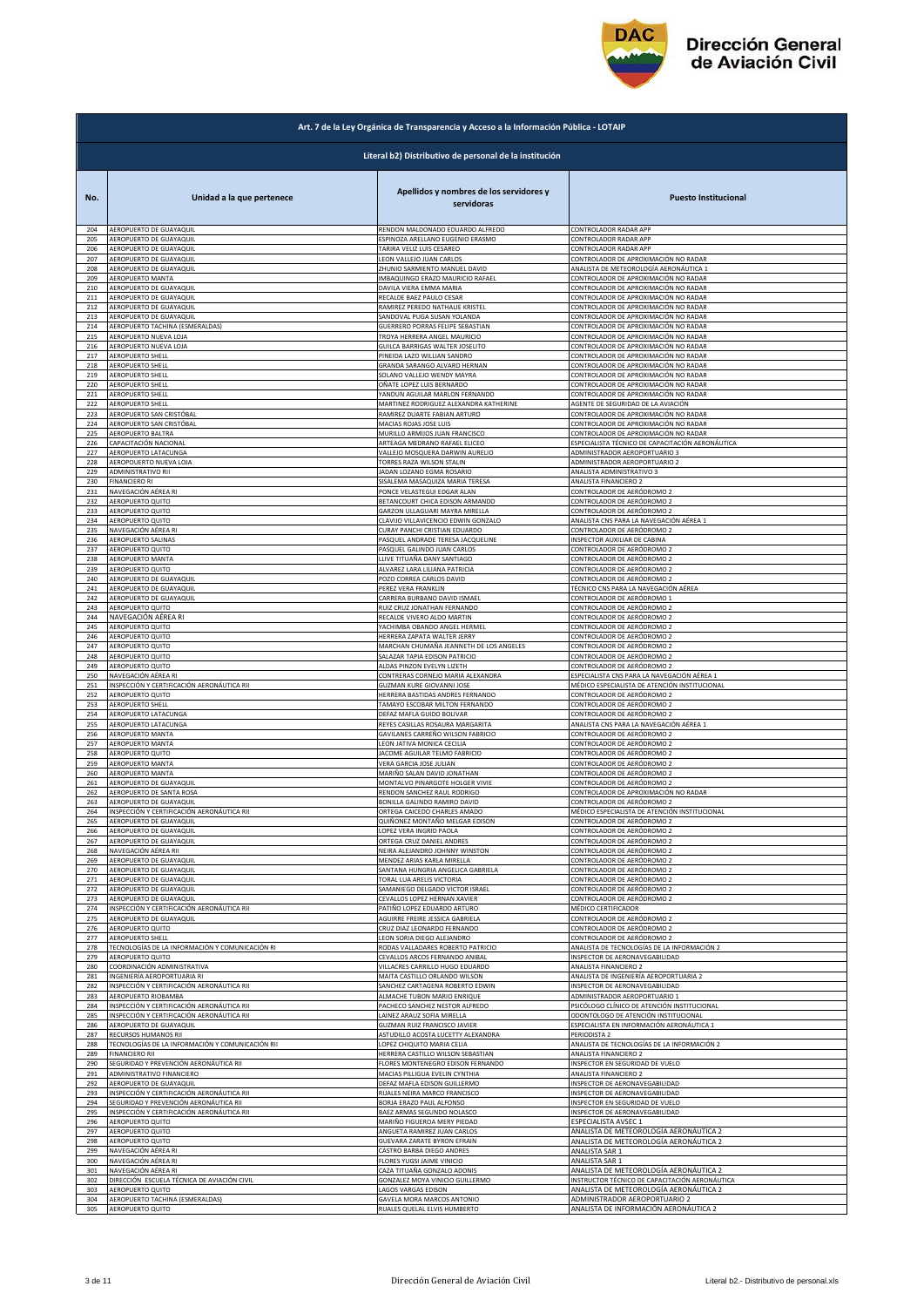

| Art. 7 de la Ley Orgánica de Transparencia y Acceso a la Información Pública - LOTAIP |                                                        |                                                       |                                                  |  |
|---------------------------------------------------------------------------------------|--------------------------------------------------------|-------------------------------------------------------|--------------------------------------------------|--|
|                                                                                       | Literal b2) Distributivo de personal de la institución |                                                       |                                                  |  |
| No.                                                                                   | Unidad a la que pertenece                              | Apellidos y nombres de los servidores y<br>servidoras | <b>Puesto Institucional</b>                      |  |
| 204                                                                                   | AEROPUERTO DE GUAYAQUIL                                | RENDON MALDONADO EDUARDO ALFREDO                      | CONTROLADOR RADAR APP                            |  |
| 205                                                                                   | AEROPUERTO DE GUAYAQUII                                | ESPINOZA ARELLANO EUGENIO ERASMO                      | CONTROLADOR RADAR APP                            |  |
| 206                                                                                   | AEROPUERTO DE GUAYAQUIL                                | TARIRA VELIZ LUIS CESAREO                             | CONTROLADOR RADAR APP                            |  |
| 207                                                                                   | AEROPUERTO DE GUAYAQUIL                                | LEON VALLEJO JUAN CARLOS                              | CONTROLADOR DE APROXIMACIÓN NO RADAR             |  |
| 208                                                                                   | AEROPUERTO DE GUAYAQUIL                                | ZHUNIO SARMIENTO MANUEL DAVID                         | ANALISTA DE METEOROLOGÍA AERONÁUTICA 1           |  |
| 209                                                                                   | AEROPUERTO MANTA                                       | IMBAQUINGO ERAZO MAURICIO RAFAEL                      | CONTROLADOR DE APROXIMACIÓN NO RADAR             |  |
| 210                                                                                   | AEROPUERTO DE GUAYAQUIL                                | DAVILA VIERA EMMA MARIA                               | CONTROLADOR DE APROXIMACIÓN NO RADAR             |  |
| 211                                                                                   | AEROPUERTO DE GUAYAQUIL                                | RECALDE BAEZ PAULO CESAR                              | CONTROLADOR DE APROXIMACIÓN NO RADAR             |  |
| 212                                                                                   | AEROPUERTO DE GUAYAQUIL                                | RAMIREZ PEREDO NATHALIE KRISTEL                       | CONTROLADOR DE APROXIMACIÓN NO RADAR             |  |
| 213                                                                                   | AEROPUERTO DE GUAYAQUIL                                | SANDOVAL PUGA SUSAN YOLANDA                           | CONTROLADOR DE APROXIMACIÓN NO RADAR             |  |
| 214                                                                                   | AEROPUERTO TACHINA (ESMERALDAS)                        | GUERRERO PORRAS FELIPE SEBASTIAN                      | CONTROLADOR DE APROXIMACIÓN NO RADAR             |  |
| 215                                                                                   | AEROPUERTO NUEVA LOJA                                  | TROYA HERRERA ANGEL MAURICIO                          | CONTROLADOR DE APROXIMACIÓN NO RADAR             |  |
| 216                                                                                   | AEROPUERTO NUEVA LOJA                                  | GUILCA BARRIGAS WALTER JOSELITO                       | CONTROLADOR DE APROXIMACIÓN NO RADAR             |  |
| 217                                                                                   | AEROPUERTO SHELL                                       | PINEIDA LAZO WILLIAN SANDRO                           | CONTROLADOR DE APROXIMACIÓN NO RADAR             |  |
| 218                                                                                   | <b>AEROPUERTO SHELL</b>                                | GRANDA SARANGO ALVARO HERNAN                          | CONTROLADOR DE APROXIMACIÓN NO RADAR             |  |
| 219                                                                                   | <b>AEROPUERTO SHELL</b>                                | SOLANO VALLEJO WENDY MAYRA                            | CONTROLADOR DE APROXIMACIÓN NO RADAR             |  |
| 220                                                                                   | <b>AEROPUERTO SHELL</b>                                | OÑATE LOPEZ LUIS BERNARDO                             | CONTROLADOR DE APROXIMACIÓN NO RADAR             |  |
| 221                                                                                   | AEROPUERTO SHELL                                       | YANDUN AGUILAR MARLON FERNANDO                        | CONTROLADOR DE APROXIMACIÓN NO RADAR             |  |
| 222                                                                                   | <b>AEROPUERTO SHELL</b>                                | MARTINEZ RODRIGUEZ ALEXANDRA KATHERINE                | AGENTE DE SEGURIDAD DE LA AVIACIÓN               |  |
| 223                                                                                   | AEROPUERTO SAN CRISTÓBAL                               | RAMIREZ DUARTE FABIAN ARTURO                          | CONTROLADOR DE APROXIMACIÓN NO RADAR             |  |
| 224                                                                                   | AEROPUERTO SAN CRISTÓBAL                               | MACIAS ROJAS JOSE LUIS                                | CONTROLADOR DE APROXIMACIÓN NO RADAR             |  |
| 225                                                                                   | AEROPUERTO BALTRA                                      | MURILLO ARMIJOS JUAN FRANCISCO                        | CONTROLADOR DE APROXIMACIÓN NO RADAR             |  |
| 226                                                                                   | CAPACITACIÓN NACIONAL                                  | ARTEAGA MEDRANO RAFAEL ELICEO                         | ESPECIALISTA TÉCNICO DE CAPACITACIÓN AERONÁUTICA |  |
| 227                                                                                   | AEROPUERTO LATACUNGA                                   | VALLEJO MOSQUERA DARWIN AURELIO                       | ADMINISTRADOR AEROPORTUARIO 3                    |  |
| 228                                                                                   | AEROPOUERTO NUEVA LOJA                                 | TORRES RAZA WILSON STALIN                             | ADMINISTRADOR AEROPORTUARIO 2                    |  |
| 229                                                                                   | ADMINISTRATIVO RII                                     | JADAN LOZANO EGMA ROSARIO                             | ANALISTA ADMINISTRATIVO 3                        |  |
| 230                                                                                   | <b>FINANCIERO RI</b>                                   | SISALEMA MASAQUIZA MARIA TERESA                       | <b>ANALISTA FINANCIERO 2</b>                     |  |
| 231                                                                                   | NAVEGACIÓN AÉREA RI                                    | PONCE VELASTEGUI EDGAR ALAN                           | CONTROLADOR DE AERÓDROMO 2                       |  |
| 232                                                                                   | AEROPUERTO QUITO                                       | BETANCOURT CHICA EDISON ARMANDO                       | CONTROLADOR DE AERÓDROMO 2                       |  |
| 233                                                                                   | AEROPUERTO QUITO                                       | GARZON ULLAGUARI MAYRA MIRELLA                        | CONTROLADOR DE AERÓDROMO 2                       |  |
| 234                                                                                   | AEROPUERTO QUITO                                       | CLAVIJO VILLAVICENCIO EDWIN GONZALO                   | ANALISTA CNS PARA LA NAVEGACIÓN AÉREA 1          |  |
| 235                                                                                   | NAVEGACIÓN AÉREA RI                                    | CURAY PANCHI CRISTIAN EDUARDO                         | CONTROLADOR DE AERÓDROMO 2                       |  |
| 236                                                                                   | AEROPUERTO SALINAS                                     | PASQUEL ANDRADE TERESA JACQUELINE                     | INSPECTOR AUXILIAR DE CABINA                     |  |
| 237                                                                                   | AEROPUERTO QUITO                                       | PASQUEL GALINDO JUAN CARLOS                           | CONTROLADOR DE AERÓDROMO 2                       |  |
| 238                                                                                   | <b>AEROPUERTO MANTA</b>                                | LLIVE TITUAÑA DANY SANTIAGO                           | CONTROLADOR DE AERÓDROMO 2                       |  |
| 239                                                                                   | AEROPUERTO QUITO                                       | ALVAREZ LARA LILIANA PATRICIA                         | CONTROLADOR DE AERÓDROMO 2                       |  |
| 240                                                                                   | AEROPUERTO DE GUAYAQUIL                                | POZO CORREA CARLOS DAVID                              | CONTROLADOR DE AERÓDROMO 2                       |  |
| 241                                                                                   | AEROPUERTO DE GUAYAQUIL                                | PEREZ VERA FRANKLIN                                   | TÉCNICO CNS PARA LA NAVEGACIÓN AÉREA             |  |
| 242                                                                                   | AEROPUERTO DE GUAYAQUIL                                | CARRERA BURBANO DAVID ISMAEL                          | CONTROLADOR DE AERÓDROMO 1                       |  |
| 243                                                                                   | AEROPUERTO QUITO                                       | RUIZ CRUZ JONATHAN FERNANDO                           | CONTROLADOR DE AERÓDROMO 2                       |  |
| 244                                                                                   | NAVEGACIÓN AÉREA RI                                    | RECALDE VIVERO ALDO MARTIN                            | CONTROLADOR DE AERÓDROMO 2                       |  |
| 245                                                                                   | AEROPUERTO QUITO                                       | YACHIMBA OBANDO ANGEL HERMEL                          | CONTROLADOR DE AERÓDROMO 2                       |  |
| 246                                                                                   | AEROPUERTO QUITO                                       | HERRERA ZAPATA WALTER JERRY                           | CONTROLADOR DE AERÓDROMO 2                       |  |
| 247                                                                                   | AEROPUERTO QUITO                                       | MARCHAN CHUMAÑA JEANNETH DE LOS ANGELES               | CONTROLADOR DE AERÓDROMO 2                       |  |
| 248                                                                                   | AEROPUERTO QUITO                                       | SALAZAR TAPIA EDISON PATRICIO                         | CONTROLADOR DE AERÓDROMO 2                       |  |
| 249                                                                                   | AEROPUERTO QUITO                                       | ALDAS PINZON EVELYN LIZETH                            | CONTROLADOR DE AERÓDROMO 2                       |  |
| 250                                                                                   | NAVEGACIÓN AÉREA RI                                    | CONTRERAS CORNEJO MARIA ALEXANDRA                     | ESPECIALISTA CNS PARA LA NAVEGACIÓN AÉREA 1      |  |
| 251                                                                                   | INSPECCIÓN Y CERTIFICACIÓN AERONÁUTICA RII             | GUZMAN KURE GIOVANNI JOSE                             | MÉDICO ESPECIALISTA DE ATENCIÓN INSTITUCIONAL    |  |
| 252                                                                                   | AEROPUERTO QUITO                                       | HERRERA BASTIDAS ANDRES FERNANDO                      | CONTROLADOR DE AERÓDROMO 2                       |  |
| 253                                                                                   | <b>AEROPUERTO SHELL</b>                                | TAMAYO ESCOBAR MILTON FERNANDO                        | CONTROLADOR DE AERÓDROMO 2                       |  |
| 254                                                                                   | AEROPUERTO LATACUNGA                                   | DEFAZ MAFLA GUIDO BOLIVAR                             | CONTROLADOR DE AERÓDROMO 2                       |  |
| 255                                                                                   | AEROPUERTO LATACUNGA                                   | REYES CASILLAS ROSAURA MARGARITA                      | ANALISTA CNS PARA LA NAVEGACIÓN AÉREA 1          |  |
| 256                                                                                   | AEROPUERTO MANTA                                       | GAVILANES CARREÑO WILSON FABRICIO                     | CONTROLADOR DE AERÓDROMO 2                       |  |
| 257                                                                                   | <b>AEROPUERTO MANTA</b>                                | LEON JATIVA MONICA CECILIA                            | CONTROLADOR DE AERÓDROMO 2                       |  |
| 258                                                                                   | AEROPUERTO QUITO                                       | JACOME AGUILAR TELMO FABRICIO                         | CONTROLADOR DE AERÓDROMO 2                       |  |
| 259                                                                                   | AEROPUERTO MANTA                                       | VERA GARCIA JOSE JULIAN                               | CONTROLADOR DE AERÓDROMO 2                       |  |
| 260                                                                                   | AEROPUERTO MANTA                                       | MARIÑO SALAN DAVID JONATHAN                           | CONTROLADOR DE AERÓDROMO 2                       |  |
| 261                                                                                   | AEROPUERTO DE GUAYAQUIL                                | MONTALVO PINARGOTE HOLGER VIVIE                       | CONTROLADOR DE AERÓDROMO 2                       |  |
| 262                                                                                   | AEROPUERTO DE SANTA ROSA                               | RENDON SANCHEZ RAUL RODRIGO                           | CONTROLADOR DE APROXIMACIÓN NO RADAR             |  |
| 263                                                                                   | AEROPUERTO DE GUAYAQUIL                                | BONILLA GALINDO RAMIRO DAVID                          | CONTROLADOR DE AERÓDROMO 2                       |  |
| 264                                                                                   | INSPECCIÓN Y CERTIFICACIÓN AERONÁUTICA RII             | ORTEGA CAICEDO CHARLES AMADO                          | MÉDICO ESPECIALISTA DE ATENCIÓN INSTITUCIONAL    |  |
| 265                                                                                   | AEROPUERTO DE GUAYAQUIL                                | QUIÑONEZ MONTAÑO MELGAR EDISON                        | CONTROLADOR DE AERÓDROMO 2                       |  |
| 266                                                                                   | AEROPUERTO DE GUAYAQUIL                                | LOPEZ VERA INGRID PAOLA                               | CONTROLADOR DE AERÓDROMO 2                       |  |
| 267                                                                                   | AEROPUERTO DE GUAYAQUIL                                | ORTEGA CRUZ DANIEL ANDRES                             | CONTROLADOR DE AERÓDROMO 2                       |  |
| 268                                                                                   | NAVEGACIÓN AÉREA RII                                   | NEIRA ALEJANDRO JOHNNY WINSTON                        | CONTROLADOR DE AERÓDROMO 2                       |  |
| 269                                                                                   | AEROPUERTO DE GUAYAQUIL                                | MENDEZ ARIAS KARLA MIRELLA                            | CONTROLADOR DE AERÓDROMO 2                       |  |
| 270                                                                                   | AEROPUERTO DE GUAYAQUIL                                | SANTANA HUNGRIA ANGELICA GABRIELA                     | CONTROLADOR DE AERÓDROMO 2                       |  |
| 271                                                                                   | AEROPUERTO DE GUAYAQUIL                                | TORAL LUA ARELIS VICTORIA                             | CONTROLADOR DE AERÓDROMO 2                       |  |
| 272                                                                                   | AEROPUERTO DE GUAYAQUIL                                | SAMANIEGO DELGADO VICTOR ISRAEL                       | CONTROLADOR DE AERÓDROMO 2                       |  |
| 273                                                                                   | AEROPUERTO DE GUAYAQUIL                                | CEVALLOS LOPEZ HERNAN XAVIER                          | CONTROLADOR DE AERÓDROMO 2                       |  |
| 274                                                                                   | INSPECCIÓN Y CERTIFICACIÓN AERONÁUTICA RII             | PATIÑO LOPEZ EDUARDO ARTURO                           | MÉDICO CERTIFICADOR                              |  |
| 275                                                                                   | AEROPUERTO DE GUAYAQUIL                                | AGUIRRE FREIRE JESSICA GABRIELA                       | CONTROLADOR DE AERÓDROMO 2                       |  |
| 276                                                                                   | AEROPUERTO QUITO                                       | CRUZ DIAZ LEONARDO FERNANDO                           | CONTROLADOR DE AERÓDROMO 2                       |  |
| 277                                                                                   | AEROPUERTO SHELL                                       | LEON SORIA DIEGO ALEJANDRO                            | CONTROLADOR DE AERÓDROMO 2                       |  |
| 278                                                                                   | TECNOLOGÍAS DE LA INFORMACIÓN Y COMUNICACIÓN RI        | RODAS VALLADARES ROBERTO PATRICIO                     | ANALISTA DE TECNOLOGÍAS DE LA INFORMACIÓN 2      |  |
| 279                                                                                   | AEROPUERTO QUITO                                       | CEVALLOS ARCOS FERNANDO ANIBAL                        | INSPECTOR DE AERONAVEGABILIDAD                   |  |
| 280                                                                                   | COORDINACIÓN ADMINISTRATIVA                            | VILLACRES CARRILLO HUGO EDUARDO                       | ANALISTA FINANCIERO 2                            |  |
| 281                                                                                   | INGENIERÍA AEROPORTUARIA RI                            | MAITA CASTILLO ORLANDO WILSON                         | ANALISTA DE INGENIERÍA AEROPORTUARIA 2           |  |
| 282                                                                                   | INSPECCIÓN Y CERTIFICACIÓN AERONÁUTICA RII             | SANCHEZ CARTAGENA ROBERTO EDWIN                       | INSPECTOR DE AERONAVEGABILIDAD                   |  |
| 283                                                                                   | AEROPUERTO RIOBAMBA                                    | ALMACHE TUBON MARIO ENRIQUE                           | ADMINISTRADOR AEROPORTUARIO 1                    |  |
| 284                                                                                   | INSPECCIÓN Y CERTIFICACIÓN AERONÁUTICA RII             | PACHECO SANCHEZ NESTOR ALFREDO                        | PSICÓLOGO CLÍNICO DE ATENCIÓN INSTITUCIONAL      |  |
| 285                                                                                   | INSPECCIÓN Y CERTIFICACIÓN AERONÁUTICA RII             | LAINEZ ARAUZ SOFIA MIRELLA                            | ODONTOLOGO DE ATENCIÓN INSTITUCIONAL             |  |
| 286                                                                                   | AEROPUERTO DE GUAYAQUIL                                | GUZMAN RUIZ FRANCISCO JAVIER                          | ESPECIALISTA EN INFORMACIÓN AERONÁUTICA 1        |  |
| 287                                                                                   | RECURSOS HUMANOS RII                                   | ASTUDILLO ACOSTA LUCETTY ALEXANDRA                    | PERIODISTA 2                                     |  |
| 288                                                                                   | TECNOLOGÍAS DE LA INFORMACIÓN Y COMUNICACIÓN RII       | LOPEZ CHIQUITO MARIA CELIA                            | ANALISTA DE TECNOLOGÍAS DE LA INFORMACIÓN 2      |  |
| 289                                                                                   | <b>FINANCIERO RII</b>                                  | HERRERA CASTILLO WILSON SEBASTIAN                     | ANALISTA FINANCIERO 2                            |  |
| 290                                                                                   | SEGURIDAD Y PREVENCIÓN AERONÁUTICA RII                 | FLORES MONTENEGRO EDISON FERNANDO                     | INSPECTOR EN SEGURIDAD DE VUELO                  |  |
| 291                                                                                   | ADMINISTRATIVO FINANCIERO                              | MACIAS PILLIGUA EVELIN CYNTHIA                        | ANALISTA FINANCIERO 2                            |  |
| 292                                                                                   | AEROPUERTO DE GUAYAQUIL                                | DEFAZ MAFLA EDISON GUILLERMO                          | INSPECTOR DE AERONAVEGABILIDAD                   |  |
| 293                                                                                   | INSPECCIÓN Y CERTIFICACIÓN AERONÁUTICA RII             | RUALES NEIRA MARCO FRANCISCO                          | INSPECTOR DE AERONAVEGABILIDAD                   |  |
| 294                                                                                   | SEGURIDAD Y PREVENCIÓN AERONÁUTICA RII                 | BORJA ERAZO PAUL ALFONSO                              | INSPECTOR EN SEGURIDAD DE VUELO                  |  |
| 295                                                                                   | INSPECCIÓN Y CERTIFICACIÓN AERONÁUTICA RII             | BAEZ ARMAS SEGUNDO NOLASCO                            | INSPECTOR DE AERONAVEGABILIDAD                   |  |
| 296                                                                                   | AEROPUERTO QUITO                                       | MARIÑO FIGUEROA MERY PIEDAD                           | ESPECIALISTA AVSEC 1                             |  |
| 297                                                                                   | AEROPUERTO QUITO                                       | ANGUETA RAMIREZ JUAN CARLOS                           | <u>ANALISTA DE METEOROLOGÍA AERONÁUTICA 2</u>    |  |
| 298                                                                                   | <b>AEROPUERTO QUITO</b>                                | <b>GUEVARA ZARATE BYRON EFRAIN</b>                    | ANALISTA DE METEOROLOGÍA AERONÁUTICA 2           |  |
| 299                                                                                   | NAVEGACIÓN AÉREA RI                                    | CASTRO BARBA DIEGO ANDRES                             | ANALISTA SAR 1                                   |  |
| 300                                                                                   | NAVEGACIÓN AÉREA RI                                    | FLORES YUGSI JAIME VINICIO                            | ANALISTA SAR 1                                   |  |
| 301                                                                                   | NAVEGACIÓN AÉREA RI                                    | CAZA TITUAÑA GONZALO ADONIS                           | ANALISTA DE METEOROLOGÍA AERONÁUTICA 2           |  |
| 302                                                                                   | DIRECCIÓN ESCUELA TÉCNICA DE AVIACIÓN CIVIL            | GONZALEZ MOYA VINICIO GUILLERMO                       | INSTRUCTOR TÉCNICO DE CAPACITACIÓN AERONÁUTICA   |  |
| 303                                                                                   | AEROPUERTO QUITO                                       | LAGOS VARGAS EDISON                                   | ANALISTA DE METEOROLOGÍA AERONÁUTICA 2           |  |
| 304                                                                                   | AEROPUERTO TACHINA (ESMERALDAS)                        | GAVELA MORA MARCOS ANTONIO                            | ADMINISTRADOR AEROPORTUARIO 2                    |  |
| 305                                                                                   | AEROPUERTO QUITO                                       | RUALES QUELAL ELVIS HUMBERTO                          | ANALISTA DE INFORMACIÓN AERONÁUTICA 2            |  |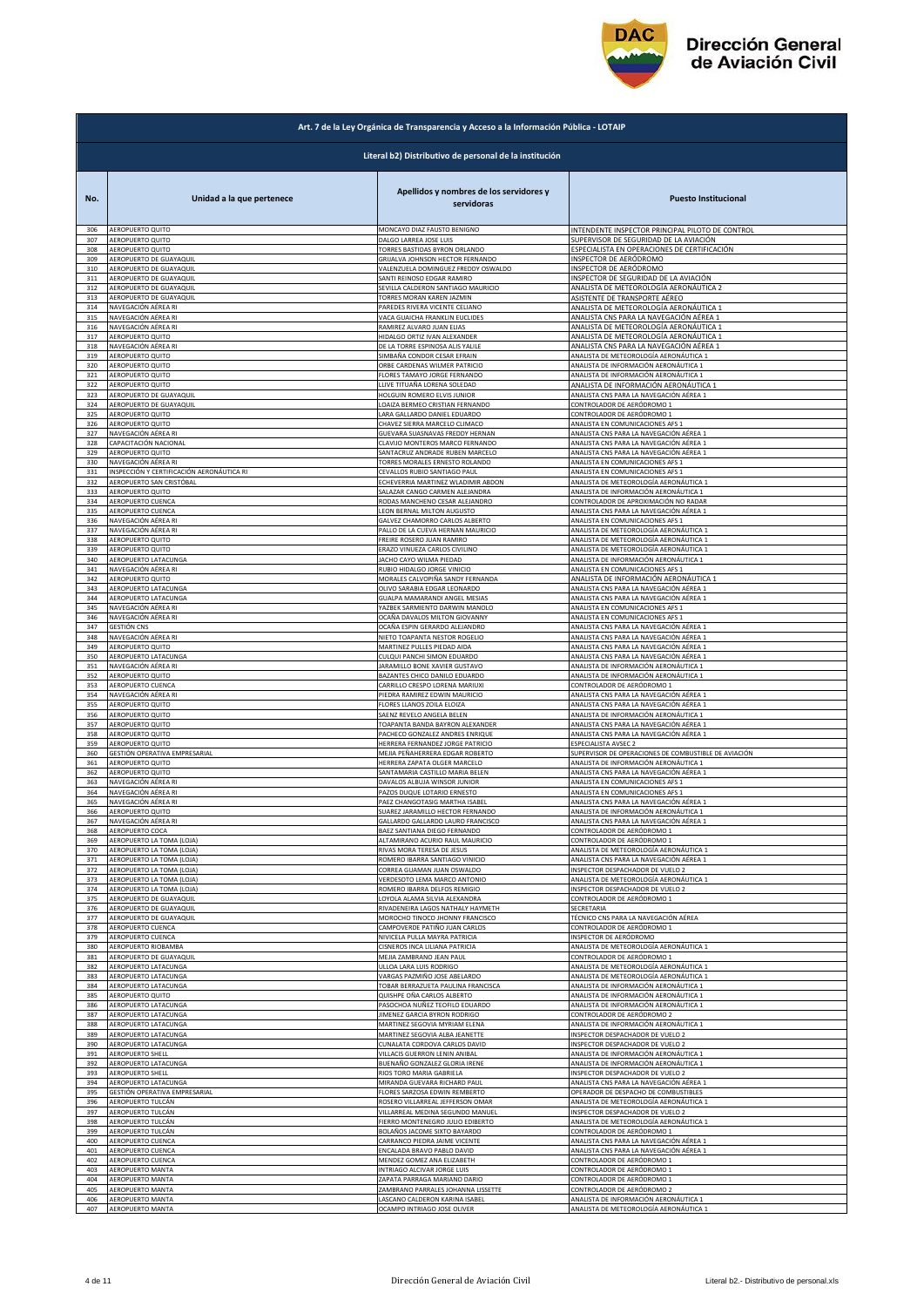

| Art. 7 de la Ley Orgánica de Transparencia y Acceso a la Información Pública - LOTAIP |                                                        |                                                                    |                                                                                    |  |
|---------------------------------------------------------------------------------------|--------------------------------------------------------|--------------------------------------------------------------------|------------------------------------------------------------------------------------|--|
|                                                                                       | Literal b2) Distributivo de personal de la institución |                                                                    |                                                                                    |  |
| No.                                                                                   | Unidad a la que pertenece                              | Apellidos y nombres de los servidores y<br>servidoras              | <b>Puesto Institucional</b>                                                        |  |
| 306                                                                                   | AEROPUERTO QUITO                                       | MONCAYO DIAZ FAUSTO BENIGNO                                        | INTENDENTE INSPECTOR PRINCIPAL PILOTO DE CONTROL                                   |  |
| 307                                                                                   | AEROPUERTO QUITO                                       | DALGO LARREA JOSE LUIS                                             | SUPERVISOR DE SEGURIDAD DE LA AVIACIÓN                                             |  |
| 308                                                                                   | AEROPUERTO QUITO                                       | TORRES BASTIDAS BYRON ORLANDO                                      | ESPECIALISTA EN OPERACIONES DE CERTIFICACIÓN                                       |  |
| 309                                                                                   | AEROPUERTO DE GUAYAQUIL                                | GRIJALVA JOHNSON HECTOR FERNANDO                                   |                                                                                    |  |
| 310                                                                                   | AEROPUERTO DE GUAYAQUIL                                | VALENZUELA DOMINGUEZ FREDDY OSWALDO                                | INSPECTOR DE AERÓDROMO<br>INSPECTOR DE AERÓDROMO                                   |  |
| 311                                                                                   | AEROPUERTO DE GUAYAQUIL                                | SANTI REINOSO EDGAR RAMIRO                                         | INSPECTOR DE SEGURIDAD DE LA AVIACIÓN                                              |  |
| 312                                                                                   | AEROPUERTO DE GUAYAQUIL                                | SEVILLA CALDERON SANTIAGO MAURICIO                                 | ANALISTA DE METEOROLOGÍA AERONÁUTICA 2                                             |  |
| 313                                                                                   | AEROPUERTO DE GUAYAQUIL                                | TORRES MORAN KAREN JAZMIN                                          | ASISTENTE DE TRANSPORTE AÉREO                                                      |  |
| 314                                                                                   | NAVEGACIÓN AÉREA RI                                    | PAREDES RIVERA VICENTE CELIANO                                     | ANALISTA DE METEOROLOGÍA AERONÁUTICA 1                                             |  |
| 315                                                                                   | NAVEGACIÓN AÉREA RI                                    | VACA GUAICHA FRANKLIN EUCLIDES                                     | ANALISTA CNS PARA LA NAVEGACIÓN AÉREA 1                                            |  |
| 316                                                                                   | NAVEGACIÓN AÉREA RI                                    | RAMIREZ ALVARO JUAN ELIAS                                          | ANALISTA DE METEOROLOGÍA AERONÁUTICA 1                                             |  |
| 317                                                                                   | AEROPUERTO QUITO                                       | HIDALGO ORTIZ IVAN ALEXANDER                                       | ANALISTA DE METEOROLOGÍA AERONÁUTICA 1                                             |  |
| 318                                                                                   | NAVEGACIÓN AÉREA RI                                    | DE LA TORRE ESPINOSA ALIS YALILE                                   | ANALISTA CNS PARA LA NAVEGACIÓN AÉREA 1                                            |  |
| 319                                                                                   | AEROPUERTO QUITO                                       | SIMBAÑA CONDOR CESAR EFRAIN                                        | ANALISTA DE METEOROLOGÍA AERONÁUTICA 1                                             |  |
| 320                                                                                   | AEROPUERTO QUITO                                       | ORBE CARDENAS WILMER PATRICIO                                      | ANALISTA DE INFORMACIÓN AERONÁUTICA 1                                              |  |
| 321                                                                                   | AEROPUERTO QUITO                                       | FLORES TAMAYO JORGE FERNANDO                                       | ANALISTA DE INFORMACIÓN AERONÁUTICA 1                                              |  |
| 322                                                                                   | AEROPUERTO QUITO                                       | LLIVE TITUAÑA LORENA SOLEDAD                                       | ANALISTA DE INFORMACIÓN AERONÁUTICA 1                                              |  |
| 323                                                                                   | AEROPUERTO DE GUAYAQUIL                                | HOLGUIN ROMERO ELVIS JUNIOR                                        | ANALISTA CNS PARA LA NAVEGACIÓN AÉREA 1                                            |  |
| 324                                                                                   | AEROPUERTO DE GUAYAQUIL                                | LOAIZA BERMEO CRISTIAN FERNANDO                                    | CONTROLADOR DE AERÓDROMO 1                                                         |  |
| 325                                                                                   | AEROPUERTO QUITO                                       | LARA GALLARDO DANIEL EDUARDO                                       | CONTROLADOR DE AERÓDROMO 1                                                         |  |
| 326<br>327                                                                            | AEROPUERTO QUITO<br>NAVEGACIÓN AÉREA RI                | CHAVEZ SIERRA MARCELO CLIMACO                                      | ANALISTA EN COMUNICACIONES AFS 1                                                   |  |
| 328                                                                                   | CAPACITACIÓN NACIONAL                                  | GUEVARA SUASNAVAS FREDDY HERNAN<br>CLAVIJO MONTEROS MARCO FERNANDO | ANALISTA CNS PARA LA NAVEGACIÓN AÉREA 1<br>ANALISTA CNS PARA LA NAVEGACIÓN AÉREA 1 |  |
| 329                                                                                   | AEROPUERTO QUITO                                       | SANTACRUZ ANDRADE RUBEN MARCELO                                    | ANALISTA CNS PARA LA NAVEGACIÓN AÉREA 1                                            |  |
| 330                                                                                   | NAVEGACIÓN AÉREA RI                                    | TORRES MORALES ERNESTO ROLANDO                                     | ANALISTA EN COMUNICACIONES AFS 1                                                   |  |
| 331                                                                                   | INSPECCIÓN Y CERTIFICACIÓN AERONÁUTICA RI              | CEVALLOS RUBIO SANTIAGO PAUL                                       | ANALISTA EN COMUNICACIONES AFS 1                                                   |  |
| 332                                                                                   | AEROPUERTO SAN CRISTÓBAL                               | ECHEVERRIA MARTINEZ WLADIMIR ABDON                                 | ANALISTA DE METEOROLOGÍA AERONÁUTICA 1                                             |  |
| 333                                                                                   | AEROPUERTO QUITO                                       | SALAZAR CANGO CARMEN ALEJANDRA                                     | ANALISTA DE INFORMACIÓN AERONÁUTICA 1                                              |  |
| 334                                                                                   | AEROPUERTO CUENCA                                      | RODAS MANCHENO CESAR ALEJANDRO                                     | CONTROLADOR DE APROXIMACIÓN NO RADAR                                               |  |
| 335                                                                                   | AEROPUERTO CUENCA                                      | LEON BERNAL MILTON AUGUSTO                                         | ANALISTA CNS PARA LA NAVEGACIÓN AÉREA 1                                            |  |
| 336                                                                                   | NAVEGACIÓN AÉREA RI                                    | GALVEZ CHAMORRO CARLOS ALBERTO                                     | ANALISTA EN COMUNICACIONES AFS 1                                                   |  |
| 337                                                                                   | NAVEGACIÓN AÉREA RI                                    | PALLO DE LA CUEVA HERNAN MAURICIO                                  | ANALISTA DE METEOROLOGÍA AERONÁUTICA 1                                             |  |
| 338                                                                                   | AEROPUERTO QUITO                                       | FREIRE ROSERO JUAN RAMIRO                                          | ANALISTA DE METEOROLOGÍA AERONÁUTICA 1                                             |  |
| 339                                                                                   | AEROPUERTO QUITO                                       | ERAZO VINUEZA CARLOS CIVILINO                                      | ANALISTA DE METEOROLOGÍA AERONÁUTICA 1                                             |  |
| 340                                                                                   | AEROPUERTO LATACUNGA                                   | JACHO CAYO WILMA PIEDAD                                            | ANALISTA DE INFORMACIÓN AERONÁUTICA 1                                              |  |
| 341                                                                                   | NAVEGACIÓN AÉREA RI                                    | RUBIO HIDALGO JORGE VINICIO                                        | ANALISTA EN COMUNICACIONES AFS 1                                                   |  |
| 342                                                                                   | AEROPUERTO QUITO                                       | MORALES CALVOPIÑA SANDY FERNANDA                                   | ANALISTA DE INFORMACIÓN AERONÁUTICA 1                                              |  |
| 343                                                                                   | AEROPUERTO LATACUNGA                                   | OLIVO SARABIA EDGAR LEONARDO                                       | ANALISTA CNS PARA LA NAVEGACIÓN AÉREA 1                                            |  |
| 344                                                                                   | AEROPUERTO LATACUNGA                                   | GUALPA MAMARANDI ANGEL MESIAS                                      | ANALISTA CNS PARA LA NAVEGACIÓN AÉREA 1                                            |  |
| 345                                                                                   | NAVEGACIÓN AÉREA RI                                    | YAZBEK SARMIENTO DARWIN MANOLO                                     | ANALISTA EN COMUNICACIONES AFS 1                                                   |  |
| 346                                                                                   | NAVEGACIÓN AÉREA RI                                    | OCAÑA DAVALOS MILTON GIOVANNY                                      | ANALISTA EN COMUNICACIONES AFS 1                                                   |  |
| 347                                                                                   | GESTIÓN CNS                                            | OCAÑA ESPIN GERARDO ALEJANDRO                                      | ANALISTA CNS PARA LA NAVEGACIÓN AÉREA 1                                            |  |
| 348                                                                                   | NAVEGACIÓN AÉREA RI                                    | NIETO TOAPANTA NESTOR ROGELIO                                      | ANALISTA CNS PARA LA NAVEGACIÓN AÉREA 1                                            |  |
| 349                                                                                   | AEROPUERTO QUITO                                       | MARTINEZ PULLES PIEDAD AIDA                                        | ANALISTA CNS PARA LA NAVEGACIÓN AÉREA 1                                            |  |
| 350                                                                                   | AEROPUERTO LATACUNGA                                   | CULQUI PANCHI SIMON EDUARDO                                        | ANALISTA CNS PARA LA NAVEGACIÓN AÉREA 1                                            |  |
| 351                                                                                   | NAVEGACIÓN AÉREA RI                                    | JARAMILLO BONE XAVIER GUSTAVO                                      | ANALISTA DE INFORMACIÓN AERONÁUTICA 1                                              |  |
| 352                                                                                   | AEROPUERTO QUITO                                       | BAZANTES CHICO DANILO EDUARDO                                      | ANALISTA DE INFORMACIÓN AERONÁUTICA 1                                              |  |
| 353                                                                                   | AEROPUERTO CUENCA                                      | CARRILLO CRESPO LORENA MARIUXI                                     | CONTROLADOR DE AERÓDROMO 1                                                         |  |
| 354                                                                                   | NAVEGACIÓN AÉREA RI                                    | PIEDRA RAMIREZ EDWIN MAURICIO                                      | ANALISTA CNS PARA LA NAVEGACIÓN AÉREA 1                                            |  |
| 355                                                                                   | AEROPUERTO QUITO                                       | FLORES LLANOS ZOILA ELOIZA                                         | ANALISTA CNS PARA LA NAVEGACIÓN AÉREA 1                                            |  |
| 356                                                                                   | AEROPUERTO QUITO                                       | SAENZ REVELO ANGELA BELEN                                          | ANALISTA DE INFORMACIÓN AERONÁUTICA 1                                              |  |
| 357                                                                                   | AEROPUERTO QUITO                                       | TOAPANTA BANDA BAYRON ALEXANDER                                    | ANALISTA CNS PARA LA NAVEGACIÓN AÉREA 1                                            |  |
| 358                                                                                   | AEROPUERTO QUITO                                       | PACHECO GONZALEZ ANDRES ENRIQUE                                    | ANALISTA CNS PARA LA NAVEGACIÓN AÉREA 1                                            |  |
| 359                                                                                   | AEROPUERTO QUITO                                       | HERRERA FERNANDEZ JORGE PATRICIO                                   | ESPECIALISTA AVSEC 2                                                               |  |
| 360                                                                                   | GESTIÓN OPERATIVA EMPRESARIAL                          | MEJIA PEÑAHERRERA EDGAR ROBERTO                                    | SUPERVISOR DE OPERACIONES DE COMBUSTIBLE DE AVIACIÓN                               |  |
| 361                                                                                   | AEROPUERTO QUITO                                       | HERRERA ZAPATA OLGER MARCELO                                       | ANALISTA DE INFORMACIÓN AERONÁUTICA 1                                              |  |
| 362                                                                                   | AEROPUERTO QUITO                                       | SANTAMARIA CASTILLO MARIA BELEN                                    | ANALISTA CNS PARA LA NAVEGACIÓN AÉREA 1                                            |  |
| 363                                                                                   | NAVEGACIÓN AÉREA RI<br>NAVEGACIÓN AÉREA RI             | DAVALOS ALBUJA WINSOR JUNIOR                                       | ANALISTA EN COMUNICACIONES AFS 1                                                   |  |
| 364                                                                                   | NAVEGACIÓN AÉREA RI                                    | PAZOS DUQUE LOTARIO ERNESTO                                        | ANALISTA EN COMUNICACIONES AFS 1                                                   |  |
| 365                                                                                   |                                                        | PAEZ CHANGOTASIG MARTHA ISABEL                                     | ANALISTA CNS PARA LA NAVEGACIÓN AÉREA 1                                            |  |
| 366                                                                                   | AEROPUERTO QUITO                                       | SUAREZ JARAMILLO HECTOR FERNANDO                                   | ANALISTA DE INFORMACION AERONAUTICA 1                                              |  |
| 367                                                                                   | NAVEGACIÓN AÉREA RI                                    | GALLARDO GALLARDO LAURO FRANCISCO                                  | ANALISTA CNS PARA LA NAVEGACIÓN AÉREA 1                                            |  |
| 368                                                                                   | AEROPUERTO COCA                                        | BAEZ SANTIANA DIEGO FERNANDO                                       | CONTROLADOR DE AERÓDROMO 1<br>CONTROLADOR DE AERÓDROMO 1                           |  |
| 369                                                                                   | AEROPUERTO LA TOMA (LOJA)                              | ALTAMIRANO ACURIO RAUL MAURICIO                                    | ANALISTA DE METEOROLOGÍA AERONÁUTICA 1                                             |  |
| 370                                                                                   | AEROPUERTO LA TOMA (LOJA)                              | RIVAS MORA TERESA DE JESUS                                         |                                                                                    |  |
| 371                                                                                   | AEROPUERTO LA TOMA (LOJA)                              | ROMERO IBARRA SANTIAGO VINICIO                                     | ANALISTA CNS PARA LA NAVEGACIÓN AÉREA 1                                            |  |
| 372                                                                                   | AEROPUERTO LA TOMA (LOJA)                              | CORREA GUAMAN JUAN OSWALDO                                         | INSPECTOR DESPACHADOR DE VUELO 2                                                   |  |
| 373                                                                                   | AEROPUERTO LA TOMA (LOJA)<br>AEROPUERTO LA TOMA (LOJA) | VERDESOTO LEMA MARCO ANTONIO                                       | ANALISTA DE METEOROLOGÍA AERONÁUTICA 1                                             |  |
| 374                                                                                   | AEROPUERTO DE GUAYAQUIL                                | ROMERO IBARRA DELFOS REMIGIO                                       | INSPECTOR DESPACHADOR DE VUELO 2                                                   |  |
| 375                                                                                   |                                                        | LOYOLA ALAMA SILVIA ALEXANDRA                                      | CONTROLADOR DE AERÓDROMO 1                                                         |  |
| 376                                                                                   | AEROPUERTO DE GUAYAQUIL                                | RIVADENEIRA LAGOS NATHALY HAYMETH                                  | SECRETARIA                                                                         |  |
| 377                                                                                   | AEROPUERTO DE GUAYAQUIL                                | MOROCHO TINOCO JHONNY FRANCISCO                                    | TÉCNICO CNS PARA LA NAVEGACIÓN AÉREA                                               |  |
| 378                                                                                   | AEROPUERTO CUENCA                                      | CAMPOVERDE PATIÑO JUAN CARLOS                                      | CONTROLADOR DE AERÓDROMO 1                                                         |  |
| 379                                                                                   | AEROPUERTO CUENCA                                      | NIVICELA PULLA MAYRA PATRICIA                                      | INSPECTOR DE AERÓDROMO                                                             |  |
| 380                                                                                   | AEROPUERTO RIOBAMBA                                    | CISNEROS INCA LILIANA PATRICIA                                     | ANALISTA DE METEOROLOGÍA AERONÁUTICA 1                                             |  |
| 381                                                                                   | AEROPUERTO DE GUAYAQUIL                                | MEJIA ZAMBRANO JEAN PAUL                                           | CONTROLADOR DE AERÓDROMO 1                                                         |  |
| 382                                                                                   | AEROPUERTO LATACUNGA                                   | ULLOA LARA LUIS RODRIGO                                            | ANALISTA DE METEOROLOGÍA AERONÁUTICA 1                                             |  |
| 383                                                                                   | AEROPUERTO LATACUNGA                                   | VARGAS PAZMIÑO JOSE ABELARDO                                       | ANALISTA DE METEOROLOGÍA AERONÁUTICA 1                                             |  |
| 384                                                                                   | AEROPUERTO LATACUNGA                                   | TOBAR BERRAZUETA PAULINA FRANCISCA                                 | ANALISTA DE INFORMACIÓN AERONÁUTICA 1                                              |  |
| 385                                                                                   | <b>AEROPUERTO QUITO</b>                                | QUISHPE OÑA CARLOS ALBERTO                                         | ANALISTA DE INFORMACIÓN AERONÁUTICA 1                                              |  |
|                                                                                       | AEROPUERTO LATACUNGA                                   | PASOCHOA NUÑEZ TEOFILO EDUARDO                                     | ANALISTA DE INFORMACIÓN AERONÁUTICA 1                                              |  |
| 386<br>387                                                                            | AEROPUERTO LATACUNGA                                   | JIMENEZ GARCIA BYRON RODRIGO                                       | CONTROLADOR DE AERÓDROMO 2                                                         |  |
| 388                                                                                   | AEROPUERTO LATACUNGA                                   | MARTINEZ SEGOVIA MYRIAM ELENA                                      | ANALISTA DE INFORMACIÓN AERONÁUTICA 1                                              |  |
| 389                                                                                   | AEROPUERTO LATACUNGA                                   | MARTINEZ SEGOVIA ALBA JEANETTE                                     | NSPECTOR DESPACHADOR DE VUELO 2                                                    |  |
| 390                                                                                   | AEROPUERTO LATACUNGA                                   | CUNALATA CORDOVA CARLOS DAVID                                      | INSPECTOR DESPACHADOR DE VUELO 2                                                   |  |
| 391                                                                                   | AEROPUERTO SHELL                                       | VILLACIS GUERRON LENIN ANIBAL                                      | ANALISTA DE INFORMACIÓN AERONÁUTICA 1                                              |  |
| 392                                                                                   | AEROPUERTO LATACUNGA                                   | BUENAÑO GONZALEZ GLORIA IRENE                                      | ANALISTA DE INFORMACIÓN AERONÁUTICA 1                                              |  |
| 393                                                                                   | AEROPUERTO SHELL                                       | RIOS TORO MARIA GABRIELA                                           | INSPECTOR DESPACHADOR DE VUELO 2                                                   |  |
| 394                                                                                   | AEROPUERTO LATACUNGA                                   | MIRANDA GUEVARA RICHARD PAUL                                       | ANALISTA CNS PARA LA NAVEGACIÓN AÉREA 1                                            |  |
| 395                                                                                   | GESTIÓN OPERATIVA EMPRESARIAL                          | FLORES SARZOSA EDWIN REMBERTO                                      | OPERADOR DE DESPACHO DE COMBUSTIBLES                                               |  |
| 396                                                                                   | AEROPUERTO TULCÁN                                      | ROSERO VILLARREAL JEFFERSON OMAR                                   | ANALISTA DE METEOROLOGÍA AERONÁUTICA 1                                             |  |
| 397                                                                                   | AEROPUERTO TULCÁN                                      | VILLARREAL MEDINA SEGUNDO MANUEL                                   | INSPECTOR DESPACHADOR DE VUELO 2                                                   |  |
| 398                                                                                   | AEROPUERTO TULCÁN                                      | FIERRO MONTENEGRO JULIO EDIBERTO                                   | ANALISTA DE METEOROLOGÍA AERONÁUTICA 1                                             |  |
| 399                                                                                   | AEROPUERTO TULCÁN                                      | BOLAÑOS JACOME SIXTO BAYARDO                                       | CONTROLADOR DE AERÓDROMO 1                                                         |  |
| 400                                                                                   | AEROPUERTO CUENCA<br>AEROPUERTO CUENCA                 | CARRANCO PIEDRA JAIME VICENTE<br>ENCALADA BRAVO PABLO DAVID        | ANALISTA CNS PARA LA NAVEGACIÓN AÉREA 1                                            |  |
| 401<br>402                                                                            | AEROPUERTO CUENCA                                      | MENDEZ GOMEZ ANA ELIZABETH                                         | ANALISTA CNS PARA LA NAVEGACIÓN AÉREA 1<br>CONTROLADOR DE AERÓDROMO 1              |  |
| 403                                                                                   | AEROPUERTO MANTA                                       | INTRIAGO ALCIVAR JORGE LUIS                                        | CONTROLADOR DE AERÓDROMO 1                                                         |  |
| 404                                                                                   | AEROPUERTO MANTA                                       | ZAPATA PARRAGA MARIANO DARIO                                       | CONTROLADOR DE AERÓDROMO 1                                                         |  |
| 405                                                                                   | AEROPUERTO MANTA                                       | ZAMBRANO PARRALES JOHANNA LISSETTE                                 | CONTROLADOR DE AERÓDROMO 2                                                         |  |
|                                                                                       | AEROPUERTO MANTA                                       | LASCANO CALDERON KARINA ISABEL                                     | ANALISTA DE INFORMACIÓN AERONÁUTICA 1                                              |  |
| 406<br>407                                                                            | <b>AEROPUERTO MANTA</b>                                | OCAMPO INTRIAGO JOSE OLIVER                                        | ANALISTA DE METEOROLOGÍA AERONÁUTICA 1                                             |  |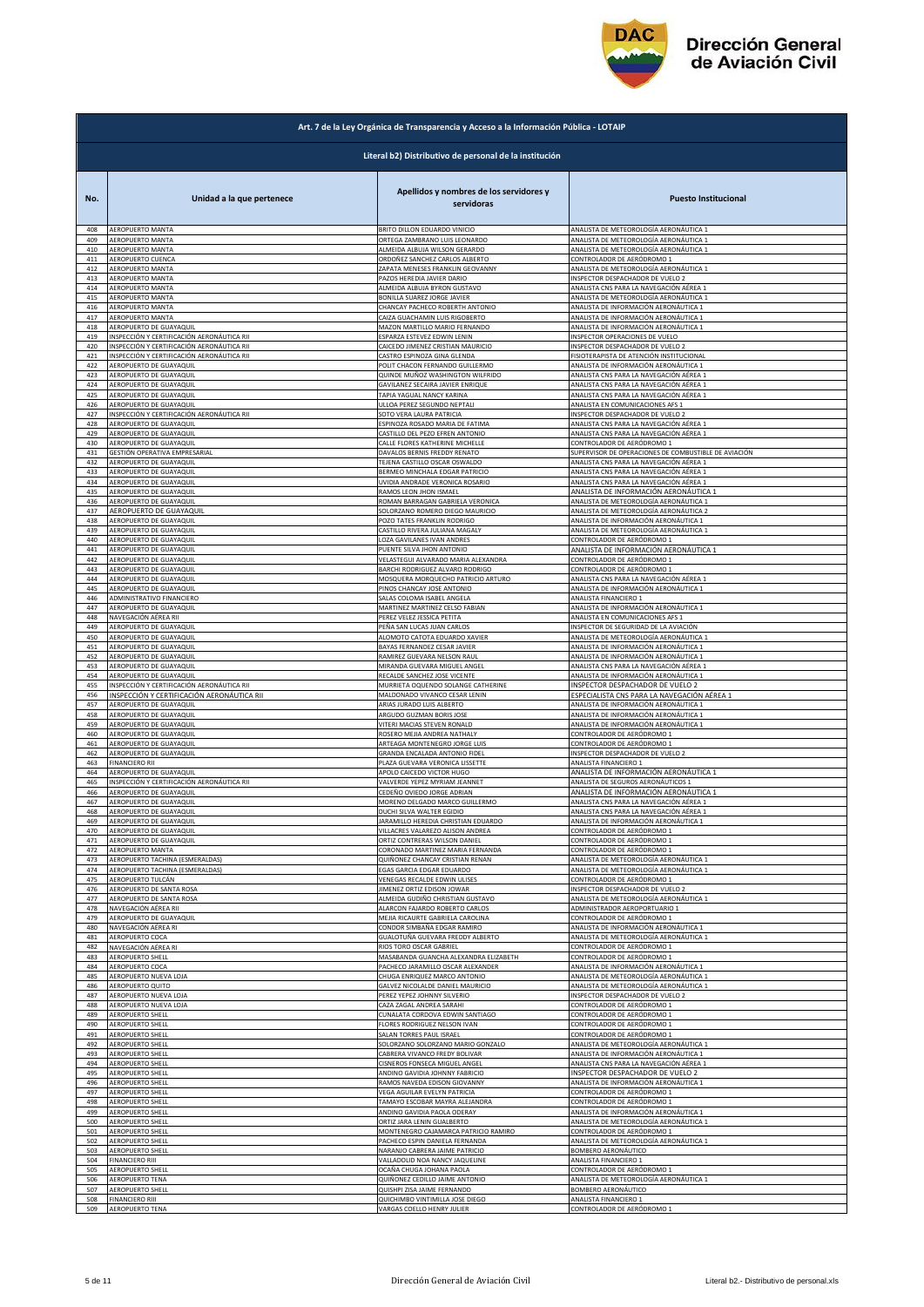

|     | Art. 7 de la Ley Orgánica de Transparencia y Acceso a la Información Pública - LOTAIP |                                                       |                                                      |  |
|-----|---------------------------------------------------------------------------------------|-------------------------------------------------------|------------------------------------------------------|--|
|     | Literal b2) Distributivo de personal de la institución                                |                                                       |                                                      |  |
| No. | Unidad a la que pertenece                                                             | Apellidos y nombres de los servidores y<br>servidoras | <b>Puesto Institucional</b>                          |  |
| 408 | AEROPUERTO MANTA                                                                      | BRITO DILLON EDUARDO VINICIO                          | ANALISTA DE METEOROLOGÍA AERONÁUTICA 1               |  |
| 409 | AEROPUERTO MANTA                                                                      | ORTEGA ZAMBRANO LUIS LEONARDO                         | ANALISTA DE METEOROLOGÍA AERONÁUTICA 1               |  |
| 410 | AEROPUERTO MANTA                                                                      | ALMEIDA ALBUJA WILSON GERARDO                         | ANALISTA DE METEOROLOGÍA AERONÁUTICA 1               |  |
| 411 | AEROPUERTO CUENCA                                                                     | ORDOÑEZ SANCHEZ CARLOS ALBERTO                        | CONTROLADOR DE AERÓDROMO 1                           |  |
| 412 | AEROPUERTO MANTA                                                                      | ZAPATA MENESES FRANKLIN GEOVANNY                      | ANALISTA DE METEOROLOGÍA AERONÁUTICA 1               |  |
| 413 | AEROPUERTO MANTA                                                                      | PAZOS HEREDIA JAVIER DARIO                            | <b>NSPECTOR DESPACHADOR DE VUELO 2</b>               |  |
| 414 | AEROPUERTO MANTA                                                                      | ALMEIDA ALBUJA BYRON GUSTAVO                          | ANALISTA CNS PARA LA NAVEGACIÓN AÉREA 1              |  |
| 415 | AEROPUERTO MANTA                                                                      | BONILLA SUAREZ JORGE JAVIER                           | ANALISTA DE METEOROLOGÍA AERONÁUTICA 1               |  |
| 416 | AEROPUERTO MANTA                                                                      | CHANCAY PACHECO ROBERTH ANTONIO                       | ANALISTA DE INFORMACIÓN AERONÁUTICA 1                |  |
| 417 | AEROPUERTO MANTA                                                                      | CAIZA GUACHAMIN LUIS RIGOBERTO                        | ANALISTA DE INFORMACIÓN AERONÁUTICA 1                |  |
| 418 | AEROPUERTO DE GUAYAQUIL                                                               | MAZON MARTILLO MARIO FERNANDO                         | ANALISTA DE INFORMACIÓN AERONÁUTICA 1                |  |
| 419 | INSPECCIÓN Y CERTIFICACIÓN AERONÁUTICA RII                                            | SPARZA ESTEVEZ EDWIN LENIN                            | <b>NSPECTOR OPERACIONES DE VUELO</b>                 |  |
| 420 | INSPECCIÓN Y CERTIFICACIÓN AERONÁUTICA RII                                            | CAICEDO JIMENEZ CRISTIAN MAURICIO                     | <b>NSPECTOR DESPACHADOR DE VUELO 2</b>               |  |
| 421 | INSPECCIÓN Y CERTIFICACIÓN AERONÁUTICA RII                                            | CASTRO ESPINOZA GINA GLENDA                           | FISIOTERAPISTA DE ATENCIÓN INSTITUCIONAL             |  |
| 422 | AEROPUERTO DE GUAYAQUIL                                                               | POLIT CHACON FERNANDO GUILLERMO                       | ANALISTA DE INFORMACIÓN AERONÁUTICA 1                |  |
| 423 | AEROPUERTO DE GUAYAQUIL                                                               | QUINDE MUÑOZ WASHINGTON WILFRIDO                      | ANALISTA CNS PARA LA NAVEGACIÓN AÉREA 1              |  |
| 424 | AEROPUERTO DE GUAYAQUIL                                                               | GAVILANEZ SECAIRA JAVIER ENRIQUE                      | ANALISTA CNS PARA LA NAVEGACIÓN AÉREA 1              |  |
| 425 | AEROPUERTO DE GUAYAQUII                                                               | TAPIA YAGUAL NANCY KARINA                             | ANALISTA CNS PARA LA NAVEGACIÓN AÉREA 1              |  |
| 426 | AEROPUERTO DE GUAYAQUIL                                                               | ULLOA PEREZ SEGUNDO NEPTALI                           | ANALISTA EN COMUNICACIONES AFS 1                     |  |
| 427 | INSPECCIÓN Y CERTIFICACIÓN AERONÁUTICA RII                                            | SOTO VERA LAURA PATRICIA                              | <b>NSPECTOR DESPACHADOR DE VUELO 2</b>               |  |
| 428 | AEROPUERTO DE GUAYAQUIL                                                               | ESPINOZA ROSADO MARIA DE FATIMA                       | ANALISTA CNS PARA LA NAVEGACIÓN AÉREA 1              |  |
| 429 | AEROPUERTO DE GUAYAQUIL                                                               | CASTILLO DEL PEZO EFREN ANTONIO                       | ANALISTA CNS PARA LA NAVEGACIÓN AÉREA 1              |  |
| 430 | AEROPUERTO DE GUAYAQUIL                                                               | CALLE FLORES KATHERINE MICHELLE                       | CONTROLADOR DE AERÓDROMO 1                           |  |
| 431 | GESTIÓN OPERATIVA EMPRESARIAL                                                         | DAVALOS BERNIS FREDDY RENATO                          | SUPERVISOR DE OPERACIONES DE COMBUSTIBLE DE AVIACIÓN |  |
| 432 | AEROPUERTO DE GUAYAQUIL                                                               | TEJENA CASTILLO OSCAR OSWALDO                         | ANALISTA CNS PARA LA NAVEGACIÓN AÉREA 1              |  |
| 433 | AEROPUERTO DE GUAYAQUIL                                                               | BERMEO MINCHALA EDGAR PATRICIO                        | ANALISTA CNS PARA LA NAVEGACIÓN AÉREA 1              |  |
| 434 | AEROPUERTO DE GUAYAQUIL                                                               | UVIDIA ANDRADE VERONICA ROSARIO                       | ANALISTA CNS PARA LA NAVEGACIÓN AÉREA 1              |  |
| 435 | AEROPUERTO DE GUAYAQUIL                                                               | RAMOS LEON JHON ISMAEL                                | ANALISTA DE INFORMACIÓN AERONÁUTICA :                |  |
| 436 | AEROPUERTO DE GUAYAQUIL                                                               | ROMAN BARRAGAN GABRIELA VERONICA                      | ANALISTA DE METEOROLOGÍA AERONÁUTICA 1               |  |
| 437 | AEROPUERTO DE GUAYAQUIL                                                               | SOLORZANO ROMERO DIEGO MAURICIO                       | ANALISTA DE METEOROLOGÍA AERONÁUTICA 2               |  |
| 438 | AEROPUERTO DE GUAYAQUIL                                                               | POZO TATES FRANKLIN RODRIGO                           | ANALISTA DE INFORMACIÓN AERONÁUTICA 1                |  |
| 439 | AEROPUERTO DE GUAYAQUIL                                                               | CASTILLO RIVERA JULIANA MAGALY                        | ANALISTA DE METEOROLOGÍA AERONÁUTICA 1               |  |
| 440 | AEROPUERTO DE GUAYAQUIL                                                               | LOZA GAVILANES IVAN ANDRES                            | CONTROLADOR DE AERÓDROMO 1                           |  |
| 441 | AEROPUERTO DE GUAYAQUIL                                                               | PUENTE SILVA JHON ANTONIO                             | ANALISTA DE INFORMACIÓN AERONÁUTICA 1                |  |
| 442 | AEROPUERTO DE GUAYAQUIL                                                               | VELASTEGUI ALVARADO MARIA ALEXANDRA                   | CONTROLADOR DE AERÓDROMO 1                           |  |
| 443 | AEROPUERTO DE GUAYAQUIL                                                               | BARCHI RODRIGUEZ ALVARO RODRIGO                       | CONTROLADOR DE AERÓDROMO 1                           |  |
| 444 | AEROPUERTO DE GUAYAQUIL                                                               | MOSQUERA MORQUECHO PATRICIO ARTURO                    | ANALISTA CNS PARA LA NAVEGACIÓN AÉREA 1              |  |
| 445 | AEROPUERTO DE GUAYAQUIL                                                               | PINOS CHANCAY JOSE ANTONIO                            | ANALISTA DE INFORMACIÓN AERONÁUTICA 1                |  |
| 446 | ADMINISTRATIVO FINANCIERO                                                             | SALAS COLOMA ISABEL ANGELA                            | ANALISTA FINANCIERO 1                                |  |
| 447 | AEROPUERTO DE GUAYAQUIL                                                               | MARTINEZ MARTINEZ CELSO FABIAN                        | ANALISTA DE INFORMACIÓN AERONÁUTICA 1                |  |
| 448 | NAVEGACIÓN AÉREA RII                                                                  | PEREZ VELEZ JESSICA PETITA                            | ANALISTA EN COMUNICACIONES AFS 1                     |  |
| 449 | AEROPUERTO DE GUAYAQUIL                                                               | PEÑA SAN LUCAS JUAN CARLOS                            | NSPECTOR DE SEGURIDAD DE LA AVIACIÓN                 |  |
| 450 | <b>AEROPUERTO DE GUAYAQUIL</b>                                                        | ALOMOTO CATOTA EDUARDO XAVIER                         | ANALISTA DE METEOROLOGÍA AERONÁUTICA :               |  |
| 451 | AEROPUERTO DE GUAYAQUIL                                                               | BAYAS FERNANDEZ CESAR JAVIER                          | ANALISTA DE INFORMACIÓN AERONÁUTICA 1                |  |
| 452 | AEROPUERTO DE GUAYAQUIL                                                               | RAMIREZ GUEVARA NELSON RAUL                           | ANALISTA DE INFORMACIÓN AERONÁUTICA 1                |  |
| 453 | AEROPUERTO DE GUAYAQUIL                                                               | MIRANDA GUEVARA MIGUEL ANGEL                          | ANALISTA CNS PARA LA NAVEGACIÓN AÉREA 1              |  |
| 454 | AEROPUERTO DE GUAYAQUIL                                                               | RECALDE SANCHEZ JOSE VICENTE                          | ANALISTA DE INFORMACIÓN AERONÁUTICA 1                |  |
| 455 | INSPECCIÓN Y CERTIFICACIÓN AERONÁUTICA RII                                            | MURRIETA OQUENDO SOLANGE CATHERINE                    | INSPECTOR DESPACHADOR DE VUELO 2                     |  |
| 456 | INSPECCIÓN Y CERTIFICACIÓN AERONÁUTICA RII                                            | MALDONADO VIVANCO CESAR LENIN                         | ESPECIALISTA CNS PARA LA NAVEGACIÓN AÉREA 1          |  |
| 457 | AEROPUERTO DE GUAYAQUIL                                                               | ARIAS JURADO LUIS ALBERTO                             | ANALISTA DE INFORMACIÓN AERONÁUTICA 1                |  |
| 458 | AEROPUERTO DE GUAYAQUIL                                                               | ARGUDO GUZMAN BORIS JOSE                              | ANALISTA DE INFORMACIÓN AERONÁUTICA 1                |  |
| 459 | AEROPUERTO DE GUAYAQUIL                                                               | VITERI MACIAS STEVEN RONALD                           | ANALISTA DE INFORMACIÓN AERONÁUTICA 1                |  |
| 460 | AEROPUERTO DE GUAYAQUIL                                                               | ROSERO MEJIA ANDREA NATHALY                           | CONTROLADOR DE AERÓDROMO 1                           |  |
| 461 | <b>AEROPUERTO DE GUAYAQUIL</b>                                                        | ARTEAGA MONTENEGRO JORGE LUIS                         | CONTROLADOR DE AERÓDROMO 1                           |  |
| 462 | AEROPUERTO DE GUAYAQUIL                                                               | GRANDA ENCALADA ANTONIO FIDEL                         | INSPECTOR DESPACHADOR DE VUELO 2                     |  |
| 463 | <b>FINANCIERO RII</b>                                                                 | PLAZA GUEVARA VERONICA LISSETTE                       | ANALISTA FINANCIERO 1                                |  |
| 464 | AEROPUERTO DE GUAYAQUIL                                                               | APOLO CAICEDO VICTOR HUGO                             | ANALISTA DE INFORMACIÓN AERONÁUTICA 1                |  |
| 465 | INSPECCIÓN Y CERTIFICACIÓN AERONÁUTICA RII                                            | VALVERDE YEPEZ MYRIAM JEANNET                         | ANALISTA DE SEGUROS AERONÁUTICOS 1                   |  |
| 466 | AEROPUERTO DE GUAYAQUIL                                                               | CEDEÑO OVIEDO JORGE ADRIAN                            | ANALISTA DE INFORMACIÓN AERONÁUTICA 1                |  |
| 467 | AEROPUERTO DE GUAYAQUIL                                                               | MORENO DELGADO MARCO GUILLERMO                        | ANALISTA CNS PARA LA NAVEGACIÓN AÉREA 1              |  |
| 468 | AEROPUERTO DE GUAYAQUIL                                                               | DUCHI SILVA WALTER EGIDIO                             | ANALISTA CNS PARA LA NAVEGACION AEREA 1              |  |
| 469 | AEROPUERTO DE GUAYAQUIL                                                               | ARAMILLO HEREDIA CHRISTIAN EDUARDO                    | ANALISTA DE INFORMACIÓN AERONÁUTICA 1                |  |
| 470 | AEROPUERTO DE GUAYAQUIL                                                               | VILLACRES VALAREZO ALISON ANDREA                      | CONTROLADOR DE AERÓDROMO 1                           |  |
| 471 | AEROPUERTO DE GUAYAQUIL                                                               | ORTIZ CONTRERAS WILSON DANIEL                         | CONTROLADOR DE AERÓDROMO 1                           |  |
| 472 | AEROPUERTO MANTA                                                                      | CORONADO MARTINEZ MARIA FERNANDA                      | CONTROLADOR DE AERÓDROMO 1                           |  |
| 473 | AEROPUERTO TACHINA (ESMERALDAS)                                                       | QUIÑONEZ CHANCAY CRISTIAN RENAN                       | ANALISTA DE METEOROLOGÍA AERONÁUTICA 1               |  |
| 474 | AEROPUERTO TACHINA (ESMERALDAS)                                                       | EGAS GARCIA EDGAR EDUARDO                             | ANALISTA DE METEOROLOGÍA AERONÁUTICA 1               |  |
| 475 | AEROPUERTO TULCÁN                                                                     | VENEGAS RECALDE EDWIN ULISES                          | CONTROLADOR DE AERÓDROMO 1                           |  |
| 476 | AEROPUERTO DE SANTA ROSA                                                              | <b>IIMENEZ ORTIZ EDISON JOWAR</b>                     | <b>NSPECTOR DESPACHADOR DE VUELO 2</b>               |  |
| 477 | AEROPUERTO DE SANTA ROSA                                                              | ALMEIDA GUDIÑO CHRISTIAN GUSTAVO                      | ANALISTA DE METEOROLOGÍA AERONÁUTICA 1               |  |
| 478 | NAVEGACIÓN AÉREA RII                                                                  | ALARCON FAJARDO ROBERTO CARLOS                        | ADMINISTRADOR AEROPORTUARIO 1                        |  |
| 479 | AEROPUERTO DE GUAYAQUIL                                                               | MEJIA RICAURTE GABRIELA CAROLINA                      | CONTROLADOR DE AERÓDROMO 1                           |  |
| 480 | NAVEGACIÓN AÉREA RI                                                                   | CONDOR SIMBAÑA EDGAR RAMIRO                           | ANALISTA DE INFORMACIÓN AERONÁUTICA 1                |  |
| 481 | AEROPUERTO COCA                                                                       | GUALOTUÑA GUEVARA FREDDY ALBERTO                      | ANALISTA DE METEOROLOGÍA AERONÁUTICA 1               |  |
| 482 | NAVEGACIÓN AÉREA RI                                                                   | RIOS TORO OSCAR GABRIEL                               | CONTROLADOR DE AERÓDROMO 1                           |  |
| 483 | AEROPUERTO SHELL                                                                      | MASABANDA GUANCHA ALEXANDRA ELIZABETH                 | CONTROLADOR DE AERÓDROMO 1                           |  |
| 484 | AEROPUERTO COCA                                                                       | PACHECO JARAMILLO OSCAR ALEXANDER                     | ANALISTA DE INFORMACIÓN AERONÁUTICA 1                |  |
| 485 | AEROPUERTO NUEVA LOJA                                                                 | CHUGA ENRIQUEZ MARCO ANTONIO                          | ANALISTA DE METEOROLOGÍA AERONÁUTICA 1               |  |
| 486 | AEROPUERTO QUITO                                                                      | GALVEZ NICOLALDE DANIEL MAURICIO                      | ANALISTA DE METEOROLOGÍA AERONÁUTICA 1               |  |
| 487 | AEROPUERTO NUEVA LOJA                                                                 | PEREZ YEPEZ JOHNNY SILVERIO                           | <b>NSPECTOR DESPACHADOR DE VUELO 2</b>               |  |
| 488 | AEROPUERTO NUEVA LOJA                                                                 | CAZA ZAGAL ANDREA SARAHI                              | CONTROLADOR DE AERÓDROMO 1                           |  |
| 489 | AEROPUERTO SHELL                                                                      | CUNALATA CORDOVA EDWIN SANTIAGO                       | CONTROLADOR DE AERÓDROMO 1                           |  |
| 490 | <b>AEROPUERTO SHELL</b>                                                               | FLORES RODRIGUEZ NELSON IVAN                          | CONTROLADOR DE AERÓDROMO 1                           |  |
| 491 | <b>AEROPUERTO SHELL</b>                                                               | SALAN TORRES PAUL ISRAEL                              | CONTROLADOR DE AERÓDROMO 1                           |  |
| 492 | <b>AEROPUERTO SHELL</b>                                                               | SOLORZANO SOLORZANO MARIO GONZALO                     | <b>NALISTA DE METEOROLOGÍA AERONÁUTICA 1</b>         |  |
| 493 | AEROPUERTO SHELL                                                                      | CABRERA VIVANCO FREDY BOLIVAR                         | ANALISTA DE INFORMACIÓN AERONÁUTICA 1                |  |
| 494 | AEROPUERTO SHELL                                                                      | CISNEROS FONSECA MIGUEL ANGEL                         | ANALISTA CNS PARA LA NAVEGACIÓN AÉREA 1              |  |
| 495 | AEROPUERTO SHELL                                                                      | ANDINO GAVIDIA JOHNNY FABRICIO                        | INSPECTOR DESPACHADOR DE VUELO 2                     |  |
| 496 | AEROPUERTO SHELL                                                                      | RAMOS NAVEDA EDISON GIOVANNY                          | ANALISTA DE INFORMACIÓN AERONÁUTICA 1                |  |
| 497 | <b>AEROPUERTO SHELL</b>                                                               | VEGA AGUILAR EVELYN PATRICIA                          | CONTROLADOR DE AERÓDROMO 1                           |  |
| 498 | <b>AEROPUERTO SHELL</b>                                                               | TAMAYO ESCOBAR MAYRA ALEJANDRA                        | CONTROLADOR DE AERÓDROMO 1                           |  |
| 499 | <b>AEROPUERTO SHELL</b>                                                               | ANDINO GAVIDIA PAOLA ODERAY                           | ANALISTA DE INFORMACIÓN AERONÁUTICA 1                |  |
| 500 | <b>AEROPUERTO SHELL</b>                                                               | ORTIZ JARA LENIN GUALBERTO                            | ANALISTA DE METEOROLOGÍA AERONÁUTICA 1               |  |
| 501 | <b>AEROPUERTO SHELL</b>                                                               | MONTENEGRO CAJAMARCA PATRICIO RAMIRO                  | CONTROLADOR DE AERÓDROMO 1                           |  |
| 502 | <b>AEROPUERTO SHELL</b>                                                               | PACHECO ESPIN DANIELA FERNANDA                        | ANALISTA DE METEOROLOGÍA AERONÁUTICA 1               |  |
| 503 | <b>AEROPUERTO SHELL</b>                                                               | NARANJO CABRERA JAIME PATRICIO                        | BOMBERO AERONÁUTICO                                  |  |
| 504 | <b>FINANCIERO RIII</b>                                                                | VALLADOLID NOA NANCY JAQUELINE                        | ANALISTA FINANCIERO 1                                |  |
| 505 | <b>AEROPUERTO SHELL</b>                                                               | OCAÑA CHUGA JOHANA PAOLA                              | CONTROLADOR DE AERÓDROMO 1                           |  |
| 506 | AEROPUERTO TENA                                                                       | QUIÑONEZ CEDILLO JAIME ANTONIO                        | ANALISTA DE METEOROLOGÍA AERONÁUTICA 1               |  |
| 507 | AEROPUERTO SHELL                                                                      | QUISHPI ZISA JAIME FERNANDO                           | BOMBERO AERONÁUTICO                                  |  |
| 508 | <b>FINANCIERO RIII</b>                                                                | QUICHIMBO VINTIMILLA JOSE DIEGO                       | ANALISTA FINANCIERO 1                                |  |
| 509 | <b>AEROPUERTO TENA</b>                                                                | VARGAS COELLO HENRY JULIER                            | CONTROLADOR DE AERÓDROMO 1                           |  |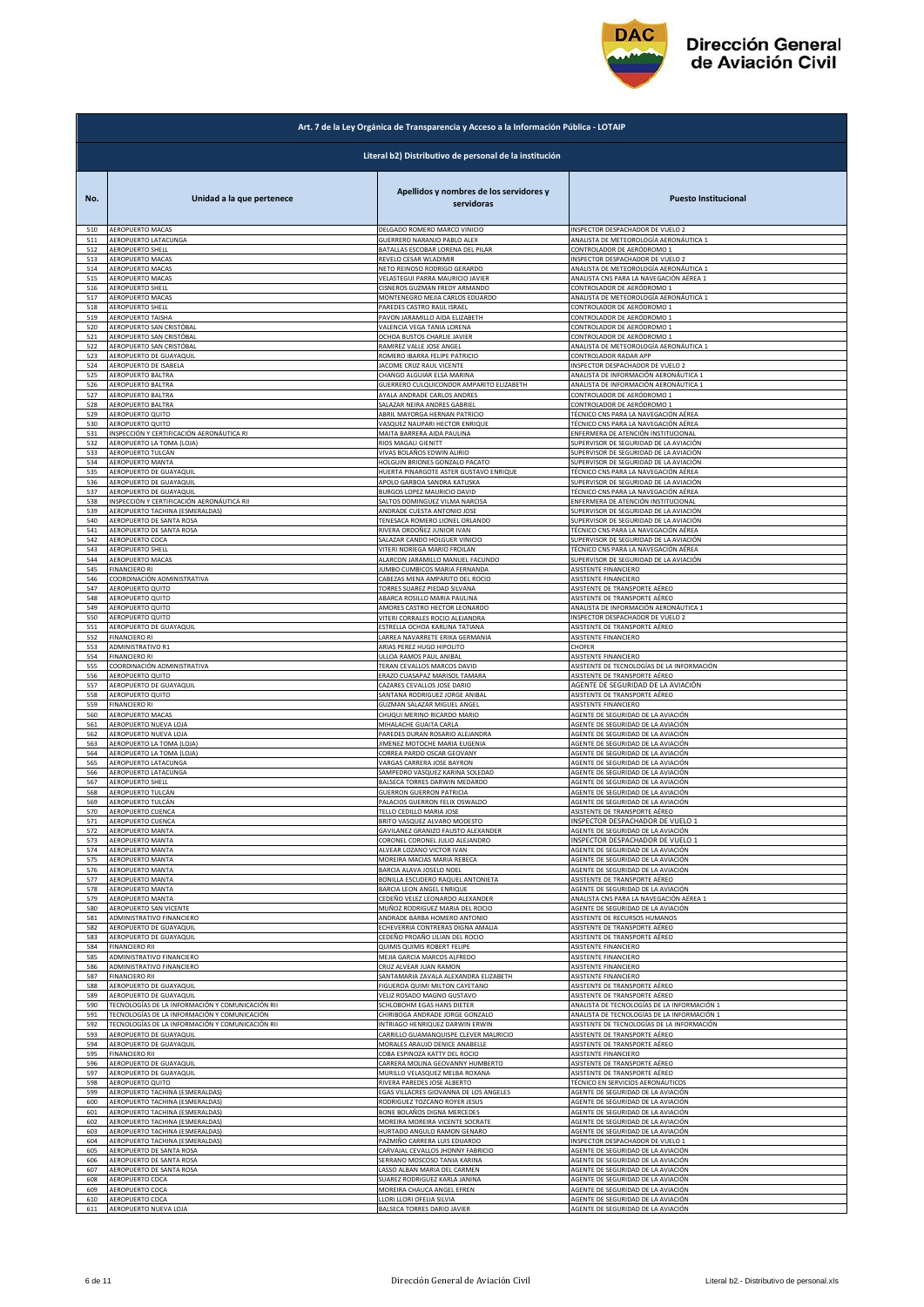

|     | Art. 7 de la Ley Orgánica de Transparencia y Acceso a la Información Pública - LOTAIP |                                                       |                                                                        |  |
|-----|---------------------------------------------------------------------------------------|-------------------------------------------------------|------------------------------------------------------------------------|--|
|     | Literal b2) Distributivo de personal de la institución                                |                                                       |                                                                        |  |
| No. | Unidad a la que pertenece                                                             | Apellidos y nombres de los servidores y<br>servidoras | <b>Puesto Institucional</b>                                            |  |
| 510 | AEROPUERTO MACAS                                                                      | DELGADO ROMERO MARCO VINICIO                          | INSPECTOR DESPACHADOR DE VUELO 2                                       |  |
| 511 | AEROPUERTO LATACUNGA                                                                  | GUERRERO NARANJO PABLO ALEX                           | ANALISTA DE METEOROLOGÍA AERONÁUTICA 1                                 |  |
| 512 | AEROPUERTO SHELL                                                                      | BATALLAS ESCOBAR LORENA DEL PILAR                     | CONTROLADOR DE AERÓDROMO 1                                             |  |
| 513 | AEROPUERTO MACAS                                                                      | REVELO CESAR WLADIMIR                                 | INSPECTOR DESPACHADOR DE VUELO 2                                       |  |
| 514 | AEROPUERTO MACAS                                                                      | NETO REINOSO RODRIGO GERARDO                          | ANALISTA DE METEOROLOGÍA AERONÁUTICA 1                                 |  |
| 515 | <b>AEROPUERTO MACAS</b>                                                               | VELASTEGUI PARRA MAURICIO JAVIER                      | ANALISTA CNS PARA LA NAVEGACIÓN AÉREA 1                                |  |
| 516 | AEROPUERTO SHELL                                                                      | CISNEROS GUZMAN FREDY ARMANDO                         | CONTROLADOR DE AERÓDROMO 1                                             |  |
| 517 | AEROPUERTO MACAS                                                                      | MONTENEGRO MEJIA CARLOS EDUARDO                       | ANALISTA DE METEOROLOGÍA AERONÁUTICA 1                                 |  |
| 518 | <b>AEROPUERTO SHELL</b>                                                               | PAREDES CASTRO RAUL ISRAEL                            | CONTROLADOR DE AERÓDROMO 1                                             |  |
| 519 | AEROPUERTO TAISHA                                                                     | PAVON JARAMILLO AIDA ELIZABETH                        | CONTROLADOR DE AERÓDROMO 1                                             |  |
| 520 | AEROPUERTO SAN CRISTÓBAL                                                              | VALENCIA VEGA TANIA LORENA                            | CONTROLADOR DE AERÓDROMO 1                                             |  |
| 521 | AEROPUERTO SAN CRISTÓBAL                                                              | OCHOA BUSTOS CHARLIE JAVIER                           | CONTROLADOR DE AERÓDROMO 1                                             |  |
| 522 | AEROPUERTO SAN CRISTÓBAL                                                              | RAMIREZ VALLE JOSE ANGEL                              | ANALISTA DE METEOROLOGÍA AERONÁUTICA 1                                 |  |
| 523 | AEROPUERTO DE GUAYAQUIL                                                               | ROMERO IBARRA FELIPE PATRICIO                         | CONTROLADOR RADAR APP                                                  |  |
| 524 | AEROPUERTO DE ISABELA                                                                 | JACOME CRUZ RAUL VICENTE                              | INSPECTOR DESPACHADOR DE VUELO 2                                       |  |
| 525 | AEROPUERTO BALTRA                                                                     | CHANGO ALGUIAR ELSA MARINA                            | ANALISTA DE INFORMACIÓN AERONÁUTICA 1                                  |  |
| 526 | AEROPUERTO BALTRA                                                                     | GUERRERO CULQUICONDOR AMPARITO ELIZABETH              | ANALISTA DE INFORMACIÓN AERONÁUTICA 1                                  |  |
| 527 | AEROPUERTO BALTRA                                                                     | AYALA ANDRADE CARLOS ANDRES                           | CONTROLADOR DE AERÓDROMO 1                                             |  |
| 528 | AEROPUERTO BALTRA                                                                     | SALAZAR NEIRA ANDRES GABRIEL                          | CONTROLADOR DE AERÓDROMO 1                                             |  |
| 529 | AEROPUERTO QUITO                                                                      | ABRIL MAYORGA HERNAN PATRICIO                         | TÉCNICO CNS PARA LA NAVEGACIÓN AÉREA                                   |  |
| 530 | AEROPUERTO QUITO                                                                      | VASQUEZ NAUPARI HECTOR ENRIQUE                        | TÉCNICO CNS PARA LA NAVEGACIÓN AÉREA                                   |  |
| 531 | INSPECCIÓN Y CERTIFICACIÓN AERONÁUTICA RI                                             | MAITA BARRERA AIDA PAULINA                            | ENFERMERA DE ATENCIÓN INSTITUCIONAL                                    |  |
| 532 | AEROPUERTO LA TOMA (LOJA)                                                             | RIOS MAGALI GIENITT                                   | SUPERVISOR DE SEGURIDAD DE LA AVIACIÓN                                 |  |
| 533 | AEROPUERTO TULCÁN                                                                     | VIVAS BOLAÑOS EDWIN ALIRIO                            | SUPERVISOR DE SEGURIDAD DE LA AVIACIÓN                                 |  |
| 534 | <b>AEROPUERTO MANTA</b>                                                               | HOLGUIN BRIONES GONZALO PACATO                        | SUPERVISOR DE SEGURIDAD DE LA AVIACIÓN                                 |  |
| 535 | AEROPUERTO DE GUAYAQUIL                                                               | HUERTA PINARGOTE ASTER GUSTAVO ENRIQUE                | TÉCNICO CNS PARA LA NAVEGACIÓN AÉREA                                   |  |
| 536 | AEROPUERTO DE GUAYAQUIL                                                               | APOLO GARBOA SANDRA KATUSKA                           | SUPERVISOR DE SEGURIDAD DE LA AVIACIÓN                                 |  |
| 537 | AEROPUERTO DE GUAYAQUIL                                                               | BURGOS LOPEZ MAURICIO DAVID                           | TÉCNICO CNS PARA LA NAVEGACIÓN AÉREA                                   |  |
| 538 | INSPECCIÓN Y CERTIFICACIÓN AERONÁUTICA RII                                            | SALTOS DOMINGUEZ VILMA NARCISA                        | ENFERMERA DE ATENCIÓN INSTITUCIONAL                                    |  |
| 539 | AEROPUERTO TACHINA (ESMERALDAS)                                                       | ANDRADE CUESTA ANTONIO JOSE                           | SUPERVISOR DE SEGURIDAD DE LA AVIACIÓN                                 |  |
| 540 | AEROPUERTO DE SANTA ROSA                                                              | TENESACA ROMERO LIONEL ORLANDO                        | SUPERVISOR DE SEGURIDAD DE LA AVIACIÓN                                 |  |
| 541 | AEROPUERTO DE SANTA ROSA                                                              | RIVERA ORDOÑEZ JUNIOR IVAN                            | TÉCNICO CNS PARA LA NAVEGACIÓN AÉREA                                   |  |
| 542 | AEROPUERTO COCA                                                                       | SALAZAR CANDO HOLGUER VINICIO                         | SUPERVISOR DE SEGURIDAD DE LA AVIACIÓN                                 |  |
| 543 | <b>AEROPUERTO SHELL</b>                                                               | VITERI NORIEGA MARIO FROILAN                          | TÉCNICO CNS PARA LA NAVEGACIÓN AÉREA                                   |  |
| 544 | AEROPUERTO MACAS                                                                      | ALARCON JARAMILLO MANUEL FACUNDO                      | SUPERVISOR DE SEGURIDAD DE LA AVIACIÓN                                 |  |
| 545 | <b>FINANCIERO RI</b>                                                                  | JUMBO CUMBICOS MARIA FERNANDA                         | <b>ASISTENTE FINANCIERO</b>                                            |  |
| 546 | COORDINACIÓN ADMINISTRATIVA                                                           | CABEZAS MENA AMPARITO DEL ROCIO                       | ASISTENTE FINANCIERO                                                   |  |
| 547 | AEROPUERTO QUITO                                                                      | TORRES SUAREZ PIEDAD SILVANA                          | ASISTENTE DE TRANSPORTE AÉREO                                          |  |
| 548 | AEROPUERTO QUITO                                                                      | ABARCA ROSILLO MARIA PAULINA                          | ASISTENTE DE TRANSPORTE AÉREO                                          |  |
| 549 | AEROPUERTO QUITO                                                                      | AMORES CASTRO HECTOR LEONARDO                         | ANALISTA DE INFORMACIÓN AERONÁUTICA 1                                  |  |
| 550 | AEROPUERTO QUITO                                                                      | VITERI CORRALES ROCIO ALEJANDRA                       | INSPECTOR DESPACHADOR DE VUELO 2                                       |  |
| 551 | AEROPUERTO DE GUAYAQUIL                                                               | ESTRELLA OCHOA KARLINA TATIANA                        | ASISTENTE DE TRANSPORTE AÉREO                                          |  |
| 552 | <b>FINANCIERO RI</b>                                                                  | LARREA NAVARRETE ERIKA GERMANIA                       | ASISTENTE FINANCIERO                                                   |  |
| 553 | ADMINISTRATIVO R1                                                                     | ARIAS PEREZ HUGO HIPOLITO                             | CHOFER                                                                 |  |
| 554 | FINANCIERO RI                                                                         | ULLOA RAMOS PAUL ANIBAL                               | ASISTENTE FINANCIERO                                                   |  |
| 555 | COORDINACIÓN ADMINISTRATIVA                                                           | TERAN CEVALLOS MARCOS DAVID                           | ASISTENTE DE TECNOLOGÍAS DE LA INFORMACIÓN                             |  |
| 556 | AEROPUERTO QUITO                                                                      | ERAZO CUASAPAZ MARISOL TAMARA                         | ASISTENTE DE TRANSPORTE AÉREO                                          |  |
| 557 | AEROPUERTO DE GUAYAQUIL                                                               | CAZARES CEVALLOS JOSE DARIO                           | AGENTE DE SEGURIDAD DE LA AVIACIÓN                                     |  |
| 558 | AEROPUERTO QUITO                                                                      | SANTANA RODRIGUEZ JORGE ANIBAL                        | ASISTENTE DE TRANSPORTE AÉREO                                          |  |
| 559 | <b>FINANCIERO RI</b>                                                                  | GUZMAN SALAZAR MIGUEL ANGEL                           | ASISTENTE FINANCIERO                                                   |  |
| 560 | AEROPUERTO MACAS                                                                      | CHUQUI MERINO RICARDO MARIO                           | AGENTE DE SEGURIDAD DE LA AVIACIÓN                                     |  |
| 561 | AEROPUERTO NUEVA LOJA                                                                 | MIHALACHE GUAITA CARLA                                | AGENTE DE SEGURIDAD DE LA AVIACIÓN                                     |  |
| 562 | AEROPUERTO NUEVA LOJA                                                                 | PAREDES DURAN ROSARIO ALEJANDRA                       | AGENTE DE SEGURIDAD DE LA AVIACIÓN                                     |  |
| 563 | AEROPUERTO LA TOMA (LOJA)                                                             | JIMENEZ MOTOCHE MARIA EUGENIA                         | AGENTE DE SEGURIDAD DE LA AVIACIÓN                                     |  |
| 564 | AEROPUERTO LA TOMA (LOJA)                                                             | CORREA PARDO OSCAR GEOVANY                            | AGENTE DE SEGURIDAD DE LA AVIACIÓN                                     |  |
| 565 | AEROPUERTO LATACUNGA                                                                  | VARGAS CARRERA JOSE BAYRON                            | AGENTE DE SEGURIDAD DE LA AVIACIÓN                                     |  |
| 566 | AEROPUERTO LATACUNGA                                                                  | SAMPEDRO VASQUEZ KARINA SOLEDAD                       | AGENTE DE SEGURIDAD DE LA AVIACIÓN                                     |  |
| 567 | <b>AEROPUERTO SHELL</b>                                                               | BALSECA TORRES DARWIN MEDARDO                         | AGENTE DE SEGURIDAD DE LA AVIACIÓN                                     |  |
| 568 | AEROPUERTO TULCÁN                                                                     | <b>GUERRON GUERRON PATRICIA</b>                       | AGENTE DE SEGURIDAD DE LA AVIACIÓN                                     |  |
| 569 | AEROPUERTO TULCÁN                                                                     | PALACIOS GUERRON FELIX OSWALDO                        | AGENTE DE SEGURIDAD DE LA AVIACIÓN                                     |  |
| 570 | AEROPUERTO CUENCA                                                                     | TFI LO CEDILLO MARIA IOSE                             | ASISTENTE DE TRANSPORTE AEREO                                          |  |
| 571 | AEROPUERTO CUENCA                                                                     | BRITO VASQUEZ ALVARO MODESTO                          | INSPECTOR DESPACHADOR DE VUELO 1                                       |  |
| 572 | AEROPUERTO MANTA                                                                      | GAVILANEZ GRANIZO FAUSTO ALEXANDER                    | AGENTE DE SEGURIDAD DE LA AVIACIÓN                                     |  |
| 573 | AEROPUERTO MANTA                                                                      | CORONEL CORONEL JULIO ALEJANDRO                       |                                                                        |  |
| 574 | AEROPUERTO MANTA                                                                      | ALVEAR LOZANO VICTOR IVAN                             | INSPECTOR DESPACHADOR DE VUELO 1<br>AGENTE DE SEGURIDAD DE LA AVIACIÓN |  |
| 575 | AEROPUERTO MANTA                                                                      | MOREIRA MACIAS MARIA REBECA                           | AGENTE DE SEGURIDAD DE LA AVIACIÓN                                     |  |
| 576 | AEROPUERTO MANTA                                                                      | BARCIA ALAVA JOSELO NOEL                              | AGENTE DE SEGURIDAD DE LA AVIACIÓN                                     |  |
| 577 | <b>AEROPUERTO MANTA</b>                                                               | BONILLA ESCUDERO RAQUEL ANTONIETA                     | ASISTENTE DE TRANSPORTE AÉREO                                          |  |
| 578 | <b>AEROPUERTO MANTA</b>                                                               | BARCIA LEON ANGEL ENRIQUE                             | AGENTE DE SEGURIDAD DE LA AVIACIÓN                                     |  |
| 579 | AEROPUERTO MANTA                                                                      | CEDEÑO VELEZ LEONARDO ALEXANDER                       | ANALISTA CNS PARA LA NAVEGACIÓN AÉREA 1                                |  |
| 580 | AEROPUERTO SAN VICENTE                                                                | MUÑOZ RODRIGUEZ MARIA DEL ROCIO                       | AGENTE DE SEGURIDAD DE LA AVIACIÓN                                     |  |
| 581 | ADMINISTRATIVO FINANCIERO                                                             | ANDRADE BARBA HOMERO ANTONIO                          | ASISTENTE DE RECURSOS HUMANOS                                          |  |
| 582 | AEROPUERTO DE GUAYAQUIL                                                               | ECHEVERRIA CONTRERAS DIGNA AMALIA                     | ASISTENTE DE TRANSPORTE AÉREO                                          |  |
| 583 | AEROPUERTO DE GUAYAQUIL                                                               | CEDEÑO PROAÑO LILIAN DEL ROCIO                        | ASISTENTE DE TRANSPORTE AÉREO                                          |  |
| 584 | <b>FINANCIERO RII</b>                                                                 | QUIMIS QUIMIS ROBERT FELIPE                           | ASISTENTE FINANCIERO                                                   |  |
| 585 | ADMINISTRATIVO FINANCIERO                                                             | MEJIA GARCIA MARCOS ALFREDO                           | ASISTENTE FINANCIERO                                                   |  |
| 586 | ADMINISTRATIVO FINANCIERO                                                             | CRUZ ALVEAR JUAN RAMON                                | ASISTENTE FINANCIERO                                                   |  |
| 587 | <b>FINANCIERO RII</b>                                                                 | SANTAMARIA ZAVALA ALEXANDRA ELIZABETH                 | ASISTENTE FINANCIERO                                                   |  |
| 588 | AEROPUERTO DE GUAYAQUIL                                                               | FIGUEROA QUIMI MILTON CAYETANO                        | ASISTENTE DE TRANSPORTE AÉREO                                          |  |
| 589 | AEROPUERTO DE GUAYAQUIL                                                               | VELIZ ROSADO MAGNO GUSTAVO                            | ASISTENTE DE TRANSPORTE AÉREO                                          |  |
| 590 | TECNOLOGÍAS DE LA INFORMACIÓN Y COMUNICACIÓN RII                                      | SCHLOBOHM EGAS HANS DIETER                            | ANALISTA DE TECNOLOGÍAS DE LA INFORMACIÓN 1                            |  |
| 591 | TECNOLOGÍAS DE LA INFORMACIÓN Y COMUNICACIÓN                                          | CHIRIBOGA ANDRADE JORGE GONZALO                       | ANALISTA DE TECNOLOGÍAS DE LA INFORMACIÓN 1                            |  |
| 592 | TECNOLOGÍAS DE LA INFORMACIÓN Y COMUNICACIÓN RII                                      | INTRIAGO HENRIQUEZ DARWIN ERWIN                       | ASISTENTE DE TECNOLOGÍAS DE LA INFORMACIÓN                             |  |
| 593 | AEROPUERTO DE GUAYAQUIL                                                               | CARRILLO GUAMANQUISPE CLEVER MAURICIO                 | ASISTENTE DE TRANSPORTE AÉREO                                          |  |
| 594 | AEROPUERTO DE GUAYAQUIL                                                               | MORALES ARAUJO DENICE ANABELLE                        | SISTENTE DE TRANSPORTE AÉREO                                           |  |
| 595 | <b>FINANCIERO RII</b>                                                                 | COBA ESPINOZA KATTY DEL ROCIO                         | <b>ASISTENTE FINANCIERO</b>                                            |  |
| 596 | AEROPUERTO DE GUAYAQUIL                                                               | CARRERA MOLINA GEOVANNY HUMBERTO                      | ASISTENTE DE TRANSPORTE AÉREO                                          |  |
| 597 | AEROPUERTO DE GUAYAQUIL                                                               | MURILLO VELASQUEZ MELBA ROXANA                        | ASISTENTE DE TRANSPORTE AÉREO                                          |  |
| 598 | AEROPUERTO QUITO                                                                      | RIVERA PAREDES JOSE ALBERTO                           | TÉCNICO EN SERVICIOS AERONÁUTICOS                                      |  |
| 599 | AEROPUERTO TACHINA (ESMERALDAS)                                                       | EGAS VILLACRES GIOVANNA DE LOS ANGELES                | AGENTE DE SEGURIDAD DE LA AVIACIÓN                                     |  |
| 600 | AEROPUERTO TACHINA (ESMERALDAS)                                                       | RODRIGUEZ TOZCANO ROYER JESUS                         | AGENTE DE SEGURIDAD DE LA AVIACIÓN                                     |  |
| 601 | AEROPUERTO TACHINA (ESMERALDAS)                                                       | BONE BOLAÑOS DIGNA MERCEDES                           | AGENTE DE SEGURIDAD DE LA AVIACIÓN                                     |  |
| 602 | AEROPUERTO TACHINA (ESMERALDAS)                                                       | MOREIRA MOREIRA VICENTE SOCRATE                       | AGENTE DE SEGURIDAD DE LA AVIACIÓN                                     |  |
| 603 | AEROPUERTO TACHINA (ESMERALDAS)                                                       | HURTADO ANGULO RAMON GENARO                           | AGENTE DE SEGURIDAD DE LA AVIACIÓN                                     |  |
| 604 | AEROPUERTO TACHINA (ESMERALDAS)                                                       | PAZMIÑO CARRERA LUIS EDUARDO                          | INSPECTOR DESPACHADOR DE VUELO 1                                       |  |
| 605 | AEROPUERTO DE SANTA ROSA                                                              | CARVAJAL CEVALLOS JHONNY FABRICIO                     | AGENTE DE SEGURIDAD DE LA AVIACIÓN                                     |  |
| 606 | AEROPUERTO DE SANTA ROSA                                                              | SERRANO MOSCOSO TANIA KARINA                          | AGENTE DE SEGURIDAD DE LA AVIACIÓN                                     |  |
| 607 | AEROPUERTO DE SANTA ROSA                                                              | LASSO ALBAN MARIA DEL CARMEN                          | AGENTE DE SEGURIDAD DE LA AVIACIÓN                                     |  |
| 608 | AEROPUERTO COCA                                                                       | SUAREZ RODRIGUEZ KARLA JANINA                         | AGENTE DE SEGURIDAD DE LA AVIACIÓN                                     |  |
| 609 | AEROPUERTO COCA                                                                       | MOREIRA CHAUCA ANGEL EFREN                            | AGENTE DE SEGURIDAD DE LA AVIACIÓN                                     |  |
| 610 | AEROPUERTO COCA                                                                       | LLORI LLORI OFELIA SILVIA                             | AGENTE DE SEGURIDAD DE LA AVIACIÓN                                     |  |
| 611 | AEROPUERTO NUEVA LOJA                                                                 | BALSECA TORRES DARIO JAVIER                           | AGENTE DE SEGURIDAD DE LA AVIACIÓN                                     |  |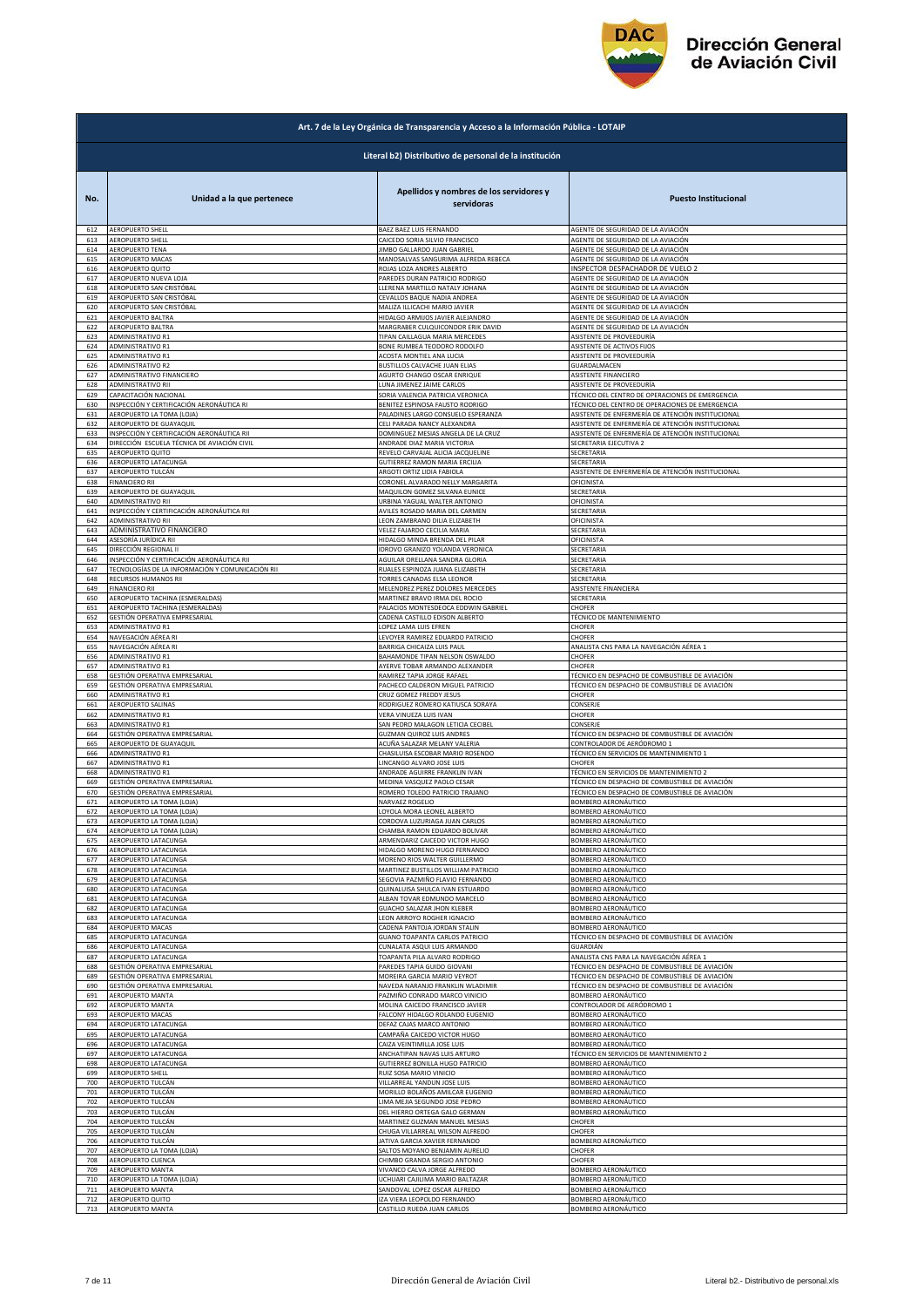

|            | Art. 7 de la Ley Orgánica de Transparencia y Acceso a la Información Pública - LOTAIP |                                                       |                                                   |  |
|------------|---------------------------------------------------------------------------------------|-------------------------------------------------------|---------------------------------------------------|--|
|            | Literal b2) Distributivo de personal de la institución                                |                                                       |                                                   |  |
| No.        | Unidad a la que pertenece                                                             | Apellidos y nombres de los servidores y<br>servidoras | <b>Puesto Institucional</b>                       |  |
| 612        | AEROPUERTO SHELL                                                                      | BAEZ BAEZ LUIS FERNANDO                               | AGENTE DE SEGURIDAD DE LA AVIACIÓN                |  |
| 613        | AEROPUERTO SHELL                                                                      | CAICEDO SORIA SILVIO FRANCISCO                        | AGENTE DE SEGURIDAD DE LA AVIACIÓN                |  |
| 614        | <b>AEROPUERTO TENA</b>                                                                | JIMBO GALLARDO JUAN GABRIEL                           | AGENTE DE SEGURIDAD DE LA AVIACIÓN                |  |
| 615        | <b>AEROPUERTO MACAS</b>                                                               | MANOSALVAS SANGURIMA ALFREDA REBECA                   | AGENTE DE SEGURIDAD DE LA AVIACIÓN                |  |
| 616        | AEROPUERTO QUITO                                                                      | ROJAS LOZA ANDRES ALBERTO                             | INSPECTOR DESPACHADOR DE VUELO 2                  |  |
| 617        | AEROPUERTO NUEVA LOJA                                                                 | PAREDES DURAN PATRICIO RODRIGO                        | AGENTE DE SEGURIDAD DE LA AVIACIÓN                |  |
| 618        | AEROPUERTO SAN CRISTÓBAL                                                              | LLERENA MARTILLO NATALY JOHANA                        | AGENTE DE SEGURIDAD DE LA AVIACIÓN                |  |
| 619        | AEROPUERTO SAN CRISTÓBAL                                                              | CEVALLOS BAQUE NADIA ANDREA                           | AGENTE DE SEGURIDAD DE LA AVIACIÓN                |  |
| 620        | AEROPUERTO SAN CRISTÓBAL                                                              | MALIZA ILLICACHI MARIO JAVIER                         | AGENTE DE SEGURIDAD DE LA AVIACIÓN                |  |
| 621        | AEROPUERTO BALTRA                                                                     | HIDALGO ARMIJOS JAVIER ALEJANDRO                      | AGENTE DE SEGURIDAD DE LA AVIACIÓN                |  |
| 622        | AEROPUERTO BALTRA                                                                     | MARGRABER CULQUICONDOR ERIK DAVID                     | AGENTE DE SEGURIDAD DE LA AVIACIÓN                |  |
| 623        | ADMINISTRATIVO R1                                                                     | TIPAN CAILLAGUA MARIA MERCEDES                        | ASISTENTE DE PROVEEDURÍA                          |  |
| 624        | ADMINISTRATIVO R1                                                                     | BONE RUMBEA TEODORO RODOLFO                           | ASISTENTE DE ACTIVOS FIJOS                        |  |
| 625        | ADMINISTRATIVO R1                                                                     | ACOSTA MONTIEL ANA LUCIA                              | ASISTENTE DE PROVEEDURÍA                          |  |
| 626        | ADMINISTRATIVO R2                                                                     | BUSTILLOS CALVACHE JUAN ELIAS                         | GUARDALMACEN                                      |  |
| 627        | ADMINISTRATIVO FINANCIERO                                                             | AGURTO CHANGO OSCAR ENRIQUE                           | ASISTENTE FINANCIERO                              |  |
| 628        | ADMINISTRATIVO RII                                                                    | LUNA JIMENEZ JAIME CARLOS                             | ASISTENTE DE PROVEEDURÍA                          |  |
| 629        | CAPACITACIÓN NACIONAL                                                                 | SORIA VALENCIA PATRICIA VERONICA                      | TÉCNICO DEL CENTRO DE OPERACIONES DE EMERGENCIA   |  |
| 630        | NSPECCIÓN Y CERTIFICACIÓN AERONÁUTICA RI                                              | BENITEZ ESPINOSA FAUSTO RODRIGO                       | TÉCNICO DEL CENTRO DE OPERACIONES DE EMERGENCIA   |  |
|            | AEROPUERTO LA TOMA (LOJA)                                                             | PALADINES LARGO CONSUELO ESPERANZA                    | ASISTENTE DE ENFERMERÍA DE ATENCIÓN INSTITUCIONAL |  |
| 631<br>632 | AEROPUERTO DE GUAYAQUIL                                                               | CELI PARADA NANCY ALEXANDRA                           | ASISTENTE DE ENFERMERÍA DE ATENCIÓN INSTITUCIONAL |  |
| 633        | INSPECCIÓN Y CERTIFICACIÓN AERONÁUTICA RII                                            | DOMINGUEZ MESIAS ANGELA DE LA CRUZ                    | ASISTENTE DE ENFERMERÍA DE ATENCIÓN INSTITUCIONAL |  |
| 634        | DIRECCIÓN ESCUELA TÉCNICA DE AVIACIÓN CIVIL                                           | ANDRADE DIAZ MARIA VICTORIA                           | SECRETARIA EJECUTIVA 2                            |  |
| 635        | AEROPUERTO QUITO                                                                      | REVELO CARVAJAL ALICIA JACQUELINE                     | SECRETARIA                                        |  |
| 636        | AEROPUERTO LATACUNGA                                                                  | <b>GUTIERREZ RAMON MARIA ERCILIA</b>                  | SECRETARIA                                        |  |
| 637        | AEROPUERTO TULCÁN                                                                     | ARGOTI ORTIZ LIDIA FABIOLA                            | ASISTENTE DE ENFERMERÍA DE ATENCIÓN INSTITUCIONAL |  |
| 638        | FINANCIERO RII                                                                        | CORONEL ALVARADO NELLY MARGARITA                      | OFICINISTA                                        |  |
| 639        | AEROPUERTO DE GUAYAQUIL                                                               | MAQUILON GOMEZ SILVANA EUNICE                         | SECRETARIA                                        |  |
| 640        | <b>ADMINISTRATIVO RII</b>                                                             | URBINA YAGUAL WALTER ANTONIO                          | OFICINISTA                                        |  |
| 641        | INSPECCIÓN Y CERTIFICACIÓN AERONÁUTICA RII                                            | AVILES ROSADO MARIA DEL CARMEN                        | SECRETARIA                                        |  |
| 642        | ADMINISTRATIVO RII                                                                    | LEON ZAMBRANO DILIA ELIZABETH                         | OFICINISTA                                        |  |
| 643        | ADMINISTRATIVO FINANCIERO                                                             | VELEZ FAJARDO CECILIA MARIA                           | SECRETARIA                                        |  |
| 644        | ASESORÍA JURÍDICA RII                                                                 | HIDALGO MINDA BRENDA DEL PILAR                        | OFICINISTA                                        |  |
| 645        | DIRECCIÓN REGIONAL II                                                                 | IDROVO GRANIZO YOLANDA VERONICA                       | SECRETARIA                                        |  |
| 646        | INSPECCIÓN Y CERTIFICACIÓN AERONÁUTICA RII                                            | AGUILAR ORELLANA SANDRA GLORIA                        | SECRETARIA                                        |  |
| 647        | TECNOLOGÍAS DE LA INFORMACIÓN Y COMUNICACIÓN RII                                      | RUALES ESPINOZA JUANA ELIZABETH                       | SECRETARIA                                        |  |
| 648        | RECURSOS HUMANOS RII                                                                  | TORRES CANADAS ELSA LEONOR                            | SECRETARIA                                        |  |
| 649        | <b>FINANCIERO RII</b>                                                                 | MELENDREZ PEREZ DOLORES MERCEDES                      | ASISTENTE FINANCIERA                              |  |
| 650        | AEROPUERTO TACHINA (ESMERALDAS)                                                       | MARTINEZ BRAVO IRMA DEL ROCIO                         | SECRETARIA                                        |  |
| 651        | AEROPUERTO TACHINA (ESMERALDAS)                                                       | PALACIOS MONTESDEOCA EDDWIN GABRIEL                   | CHOFER                                            |  |
| 652        | GESTIÓN OPERATIVA EMPRESARIAL                                                         | CADENA CASTILLO EDISON ALBERTO                        | TÉCNICO DE MANTENIMIENTO                          |  |
| 653        | ADMINISTRATIVO R1                                                                     | LOPEZ LAMA LUIS EFREN                                 | CHOFER                                            |  |
| 654        | NAVEGACIÓN AÉREA RI                                                                   | LEVOYER RAMIREZ EDUARDO PATRICIO                      | CHOFER                                            |  |
| 655        | NAVEGACIÓN AÉREA RI                                                                   | BARRIGA CHICAIZA LUIS PAUI                            | ANALISTA CNS PARA LA NAVEGACIÓN AÉREA 1           |  |
| 656        | ADMINISTRATIVO R1                                                                     | BAHAMONDE TIPAN NELSON OSWALDO                        | CHOFER                                            |  |
| 657        | ADMINISTRATIVO R1                                                                     | AYERVE TOBAR ARMANDO ALEXANDER                        | CHOFER                                            |  |
| 658        | GESTIÓN OPERATIVA EMPRESARIAL                                                         | RAMIREZ TAPIA JORGE RAFAEL                            | TÉCNICO EN DESPACHO DE COMBUSTIBLE DE AVIACIÓN    |  |
| 659        | GESTIÓN OPERATIVA EMPRESARIAL                                                         | PACHECO CALDERON MIGUEL PATRICIO                      | TÉCNICO EN DESPACHO DE COMBUSTIBLE DE AVIACIÓN    |  |
| 660        | ADMINISTRATIVO R1                                                                     | CRUZ GOMEZ FREDDY JESUS                               | CHOFER                                            |  |
| 661        | AEROPUERTO SALINAS                                                                    | RODRIGUEZ ROMERO KATIUSCA SORAYA                      | CONSERJE                                          |  |
| 662        | ADMINISTRATIVO R1                                                                     | VERA VINUEZA LUIS IVAN                                | CHOFER                                            |  |
| 663        | ADMINISTRATIVO R1                                                                     | SAN PEDRO MALAGON LETICIA CECIBEL                     | CONSERJE                                          |  |
| 664        | GESTIÓN OPERATIVA EMPRESARIAL                                                         | GUZMAN QUIROZ LUIS ANDRES                             | TÉCNICO EN DESPACHO DE COMBUSTIBLE DE AVIACIÓN    |  |
| 665        | AEROPUERTO DE GUAYAQUIL                                                               | ACUÑA SALAZAR MELANY VALERIA                          | CONTROLADOR DE AERÓDROMO 1                        |  |
| 666        | ADMINISTRATIVO R1                                                                     | CHASILUISA ESCOBAR MARIO ROSENDO                      | TÉCNICO EN SERVICIOS DE MANTENIMIENTO 1           |  |
| 667        | ADMINISTRATIVO R1                                                                     | LINCANGO ALVARO JOSE LUIS                             | CHOFER                                            |  |
| 668        | ADMINISTRATIVO R1                                                                     | ANDRADE AGUIRRE FRANKLIN IVAN                         | TÉCNICO EN SERVICIOS DE MANTENIMIENTO 2           |  |
| 669        | GESTIÓN OPERATIVA EMPRESARIAL                                                         | MEDINA VASQUEZ PAOLO CESAR                            | TÉCNICO EN DESPACHO DE COMBUSTIBLE DE AVIACIÓN    |  |
| 670        | GESTIÓN OPERATIVA EMPRESARIAL                                                         | ROMERO TOLEDO PATRICIO TRAJANO                        | TÉCNICO EN DESPACHO DE COMBUSTIBLE DE AVIACIÓN    |  |
| 671        | AEROPUERTO LA TOMA (LOJA)                                                             | NARVAEZ ROGELIO                                       | BOMBERO AERONÁUTICO                               |  |
| 672        | AEROPUERTO LA TOMA (LOJA                                                              | LOYOLA MORA LEONEL ALBERTO                            | BOMBERO AERONAUTIC(                               |  |
| 673        | AEROPUERTO LA TOMA (LOJA)                                                             | CORDOVA LUZURIAGA JUAN CARLOS                         | BOMBERO AERONÁUTICO                               |  |
| 674        | AEROPUERTO LA TOMA (LOJA)                                                             | CHAMBA RAMON EDUARDO BOLIVAR                          | BOMBERO AERONÁUTICO                               |  |
| 675        | AEROPUERTO LATACUNGA                                                                  | ARMENDARIZ CAICEDO VICTOR HUGO                        | BOMBERO AERONÁUTICO                               |  |
| 676        | AEROPUERTO LATACUNGA                                                                  | HIDALGO MORENO HUGO FERNANDO                          | BOMBERO AERONÁUTICO                               |  |
| 677        | AEROPUERTO LATACUNGA                                                                  | MORENO RIOS WALTER GUILLERMO                          | BOMBERO AERONÁUTICO                               |  |
| 678        | AEROPUERTO LATACUNGA                                                                  | MARTINEZ BUSTILLOS WILLIAM PATRICIO                   | BOMBERO AERONÁUTICO                               |  |
| 679        | AEROPUERTO LATACUNGA                                                                  | SEGOVIA PAZMIÑO FLAVIO FERNANDO                       | BOMBERO AERONÁUTICO                               |  |
| 680        | AEROPUERTO LATACUNGA                                                                  | QUINALUISA SHULCA IVAN ESTUARDO                       | BOMBERO AERONÁUTICO                               |  |
| 681        | AEROPUERTO LATACUNGA                                                                  | ALBAN TOVAR EDMUNDO MARCELO                           | BOMBERO AERONÁUTICO                               |  |
| 682        | AEROPUERTO LATACUNGA                                                                  | GUACHO SALAZAR JHON KLEBER                            | BOMBERO AERONÁUTICO                               |  |
| 683        | AEROPUERTO LATACUNGA                                                                  | LEON ARROYO ROGHER IGNACIO                            | BOMBERO AERONÁUTICO                               |  |
| 684        | AEROPUERTO MACAS                                                                      | CADENA PANTOJA JORDAN STALIN                          | BOMBERO AERONÁUTICO                               |  |
| 685        | AEROPUERTO LATACUNGA                                                                  | <b>GUANO TOAPANTA CARLOS PATRICIO</b>                 | TÉCNICO EN DESPACHO DE COMBUSTIBLE DE AVIACIÓN    |  |
| 686        | AEROPUERTO LATACUNGA                                                                  | CUNALATA ASQUI LUIS ARMANDO                           | GUARDIÁN                                          |  |
| 687        | AEROPUERTO LATACUNGA                                                                  | TOAPANTA PILA ALVARO RODRIGO                          | ANALISTA CNS PARA LA NAVEGACIÓN AÉREA 1           |  |
| 688        | GESTIÓN OPERATIVA EMPRESARIAL                                                         | PAREDES TAPIA GUIDO GIOVANI                           | TÉCNICO EN DESPACHO DE COMBUSTIBLE DE AVIACIÓN    |  |
| 689        | GESTIÓN OPERATIVA EMPRESARIAL                                                         | MOREIRA GARCIA MARIO VEYROT                           | TÉCNICO EN DESPACHO DE COMBUSTIBLE DE AVIACIÓN    |  |
| 690        | GESTIÓN OPERATIVA EMPRESARIAL                                                         | NAVEDA NARANJO FRANKLIN WLADIMIR                      | TÉCNICO EN DESPACHO DE COMBUSTIBLE DE AVIACIÓN    |  |
| 691        | AEROPUERTO MANTA                                                                      | PAZMIÑO CONRADO MARCO VINICIO                         | BOMBERO AERONÁUTICO                               |  |
| 692        | AEROPUERTO MANTA                                                                      | MOLINA CAICEDO FRANCISCO JAVIER                       | CONTROLADOR DE AERÓDROMO 1                        |  |
| 693        | AEROPUERTO MACAS                                                                      | FALCONY HIDALGO ROLANDO EUGENIO                       | BOMBERO AERONÁUTICO                               |  |
| 694        | AEROPUERTO LATACUNGA                                                                  | DEFAZ CAJAS MARCO ANTONIO                             | BOMBERO AERONÁUTICO                               |  |
| 695        | AEROPUERTO LATACUNGA                                                                  | CAMPAÑA CAICEDO VICTOR HUGO                           | BOMBERO AERONÁUTICO                               |  |
| 696        | AEROPUERTO LATACUNGA                                                                  | CAIZA VEINTIMILLA JOSE LUIS                           | BOMBERO AERONÁUTICO                               |  |
| 697        | AEROPUERTO LATACUNGA                                                                  | ANCHATIPAN NAVAS LUIS ARTURO                          | TÉCNICO EN SERVICIOS DE MANTENIMIENTO 2           |  |
| 698        | AEROPUERTO LATACUNGA                                                                  | GUTIERREZ BONILLA HUGO PATRICIO                       | BOMBERO AERONÁUTICO                               |  |
| 699        | AEROPUERTO SHELL                                                                      | RUIZ SOSA MARIO VINICIO                               | BOMBERO AERONÁUTICO                               |  |
| 700        | AEROPUERTO TULCÁN                                                                     | VILLARREAL YANDUN JOSE LUIS                           | BOMBERO AERONÁUTICO                               |  |
| 701        | AEROPUERTO TULCÁN                                                                     | MORILLO BOLAÑOS AMILCAR EUGENIO                       | BOMBERO AERONÁUTICO                               |  |
| 702        | AEROPUERTO TULCÁN                                                                     | LIMA MEJIA SEGUNDO JOSE PEDRO                         | BOMBERO AERONÁUTICO                               |  |
| 703        | AEROPUERTO TULCÁN                                                                     | DEL HIERRO ORTEGA GALO GERMAN                         | BOMBERO AERONÁUTICO                               |  |
| 704        | AEROPUERTO TULCÁN                                                                     | MARTINEZ GUZMAN MANUEL MESIAS                         | CHOFER                                            |  |
| 705        | AEROPUERTO TULCÁN                                                                     | CHUGA VILLARREAL WILSON ALFREDO                       | CHOFER                                            |  |
| 706        | AEROPUERTO TULCÁN                                                                     | JATIVA GARCIA XAVIER FERNANDO                         | BOMBERO AERONÁUTICO                               |  |
| 707        | AEROPUERTO LA TOMA (LOJA)                                                             | SALTOS MOYANO BENJAMIN AURELIO                        | CHOFER                                            |  |
| 708        | AEROPUERTO CUENCA                                                                     | CHIMBO GRANDA SERGIO ANTONIO                          | CHOFER                                            |  |
| 709        | AEROPUERTO MANTA                                                                      | VIVANCO CALVA JORGE ALFREDO                           | BOMBERO AERONÁUTICO                               |  |
| 710        | AEROPUERTO LA TOMA (LOJA)                                                             | UCHUARI CAJILIMA MARIO BALTAZAR                       | BOMBERO AERONÁUTICO                               |  |
| 711        | AEROPUERTO MANTA                                                                      | SANDOVAL LOPEZ OSCAR ALFREDO                          | BOMBERO AERONÁUTICO                               |  |
| 712        | AEROPUERTO QUITO                                                                      | IZA VIERA LEOPOLDO FERNANDO                           | BOMBERO AERONÁUTICO                               |  |
| 713        | <b>AEROPUERTO MANTA</b>                                                               | CASTILLO RUEDA JUAN CARLOS                            | BOMBERO AERONÁUTICO                               |  |
|            |                                                                                       |                                                       |                                                   |  |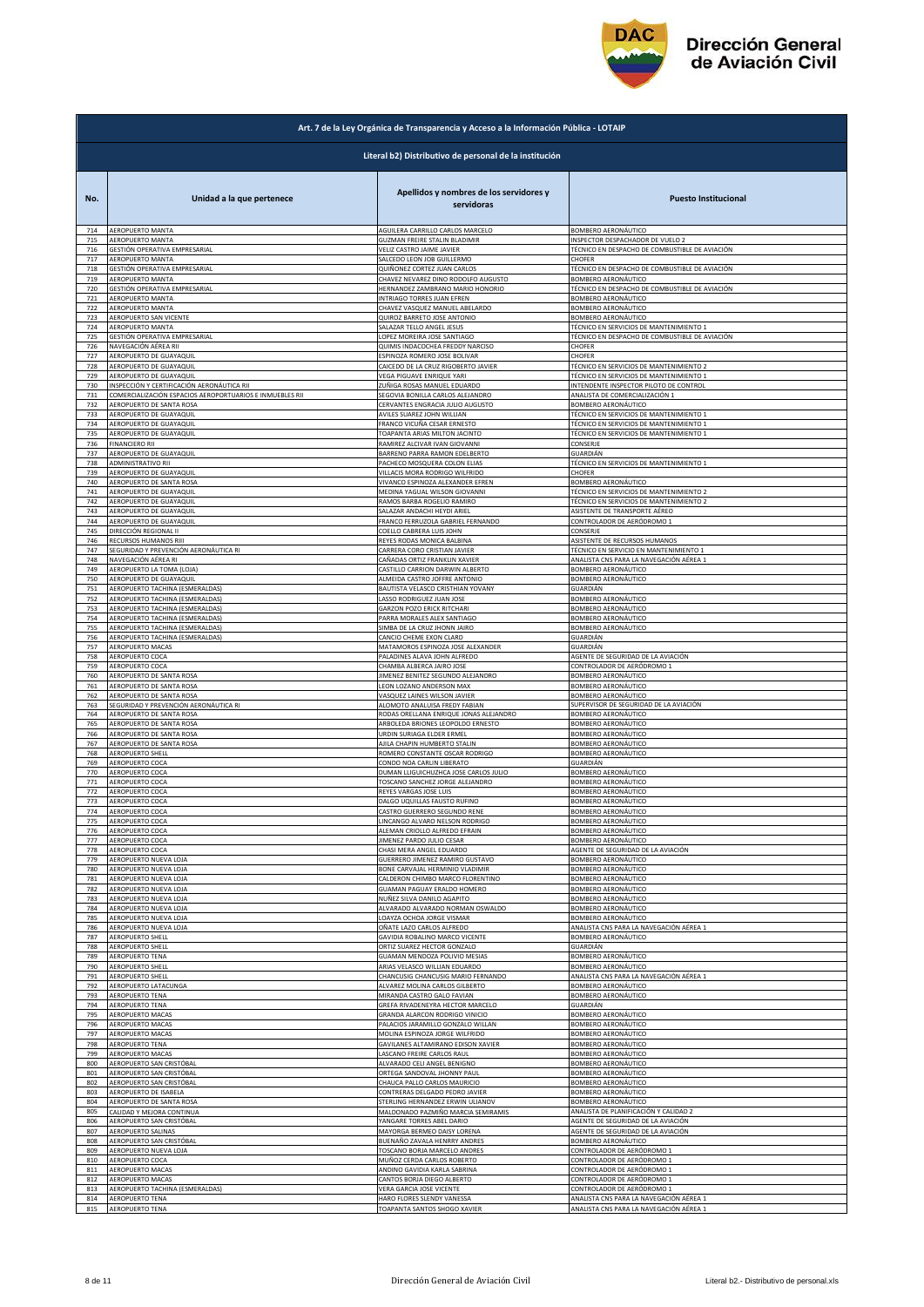

|            | Art. 7 de la Ley Orgánica de Transparencia y Acceso a la Información Pública - LOTAIP |                                                                         |                                                                       |  |
|------------|---------------------------------------------------------------------------------------|-------------------------------------------------------------------------|-----------------------------------------------------------------------|--|
|            | Literal b2) Distributivo de personal de la institución                                |                                                                         |                                                                       |  |
| No.        | Unidad a la que pertenece                                                             | Apellidos y nombres de los servidores y<br>servidoras                   | <b>Puesto Institucional</b>                                           |  |
| 714        | AEROPUERTO MANTA                                                                      | AGUILERA CARRILLO CARLOS MARCELO                                        | BOMBERO AERONÁUTICO                                                   |  |
| 715        | AEROPUERTO MANTA                                                                      | GUZMAN FREIRE STALIN BLADIMIR                                           | INSPECTOR DESPACHADOR DE VUELO 2                                      |  |
| 716        | GESTIÓN OPERATIVA EMPRESARIAL                                                         | VELIZ CASTRO JAIME JAVIER                                               | TÉCNICO EN DESPACHO DE COMBUSTIBLE DE AVIACIÓN                        |  |
| 717        | AEROPUERTO MANTA                                                                      | SALCEDO LEON JOB GUILLERMO                                              | CHOFER                                                                |  |
| 718<br>719 | GESTIÓN OPERATIVA EMPRESARIAL                                                         | QUIÑONEZ CORTEZ JUAN CARLOS                                             | TÉCNICO EN DESPACHO DE COMBUSTIBLE DE AVIACIÓN<br>BOMBERO AERONÁUTICO |  |
| 720        | AEROPUERTO MANTA<br>GESTIÓN OPERATIVA EMPRESARIAL                                     | CHAVEZ NEVAREZ DINO RODOLFO AUGUSTO<br>HERNANDEZ ZAMBRANO MARIO HONORIO | TÉCNICO EN DESPACHO DE COMBUSTIBLE DE AVIACIÓN                        |  |
| 721        | AEROPUERTO MANTA                                                                      | INTRIAGO TORRES JUAN EFREN                                              | <b>BOMBERO AERONÁUTICO</b>                                            |  |
| 722        | <b>AEROPUERTO MANTA</b>                                                               | CHAVEZ VASQUEZ MANUEL ABELARDO                                          | BOMBERO AERONÁUTICO                                                   |  |
| 723        | AEROPUERTO SAN VICENTE                                                                | QUIROZ BARRETO JOSE ANTONIO                                             | BOMBERO AERONÁUTICO                                                   |  |
| 724        | AEROPUERTO MANTA                                                                      | SALAZAR TELLO ANGEL JESUS                                               | TÉCNICO EN SERVICIOS DE MANTENIMIENTO 1                               |  |
| 725        | GESTIÓN OPERATIVA EMPRESARIAL                                                         | LOPEZ MOREIRA JOSE SANTIAGO                                             | TÉCNICO EN DESPACHO DE COMBUSTIBLE DE AVIACIÓN                        |  |
| 726        | NAVEGACIÓN AÉREA RII                                                                  | QUIMIS INDACOCHEA FREDDY NARCISO                                        | CHOFER                                                                |  |
| 727        | AEROPUERTO DE GUAYAQUIL                                                               | ESPINOZA ROMERO JOSE BOLIVAR                                            | CHOFER                                                                |  |
| 728        | AEROPUERTO DE GUAYAQUIL                                                               | CAICEDO DE LA CRUZ RIGOBERTO JAVIER                                     | TÉCNICO EN SERVICIOS DE MANTENIMIENTO 2                               |  |
| 729        | AEROPUERTO DE GUAYAQUIL                                                               | VEGA PIGUAVE ENRIQUE YARI                                               | TÉCNICO EN SERVICIOS DE MANTENIMIENTO 1                               |  |
| 730        | INSPECCIÓN Y CERTIFICACIÓN AERONÁUTICA RII                                            | ZUÑIGA ROSAS MANUEL EDUARDO                                             | <b>INTENDENTE INSPECTOR PILOTO DE CONTROL</b>                         |  |
| 731        | COMERCIALIZACIÓN ESPACIOS AEROPORTUARIOS E INMUEBLES RII                              | SEGOVIA BONILLA CARLOS ALEJANDRO                                        | ANALISTA DE COMERCIALIZACIÓN 1                                        |  |
| 732        | AEROPUERTO DE SANTA ROSA<br>AEROPUERTO DE GUAYAQUIL                                   | CERVANTES ENGRACIA JULIO AUGUSTO                                        | BOMBERO AERONÁUTICO                                                   |  |
| 733        | AEROPUERTO DE GUAYAQUIL                                                               | AVILES SUAREZ JOHN WILLIAN                                              | TÉCNICO EN SERVICIOS DE MANTENIMIENTO 1                               |  |
| 734        |                                                                                       | FRANCO VICUÑA CESAR ERNESTO                                             | TÉCNICO EN SERVICIOS DE MANTENIMIENTO 1                               |  |
| 735        | AEROPUERTO DE GUAYAQUIL                                                               | TOAPANTA ARIAS MILTON JACINTO                                           | TÉCNICO EN SERVICIOS DE MANTENIMIENTO 1                               |  |
| 736        | <b>FINANCIERO RII</b>                                                                 | RAMIREZ ALCIVAR IVAN GIOVANNI                                           | CONSERJE                                                              |  |
| 737        | AEROPUERTO DE GUAYAQUIL                                                               | BARRENO PARRA RAMON EDELBERTO                                           | GUARDIÁN                                                              |  |
| 738        | ADMINISTRATIVO RII                                                                    | PACHECO MOSQUERA COLON ELIAS                                            | TÉCNICO EN SERVICIOS DE MANTENIMIENTO 1                               |  |
| 739        | AEROPUERTO DE GUAYAQUIL                                                               | VILLACIS MORA RODRIGO WILFRIDO                                          | CHOFER<br>BOMBERO AERONÁUTICO                                         |  |
| 740        | AEROPUERTO DE SANTA ROSA                                                              | VIVANCO ESPINOZA ALEXANDER EFREN                                        | TÉCNICO EN SERVICIOS DE MANTENIMIENTO 2                               |  |
| 741        | AEROPUERTO DE GUAYAQUIL                                                               | MEDINA YAGUAL WILSON GIOVANNI                                           |                                                                       |  |
| 742        | AEROPUERTO DE GUAYAQUIL                                                               | RAMOS BARBA ROGELIO RAMIRO                                              | TÉCNICO EN SERVICIOS DE MANTENIMIENTO 2                               |  |
| 743        | AEROPUERTO DE GUAYAQUIL                                                               | SALAZAR ANDACHI HEYDI ARIEL                                             | ASISTENTE DE TRANSPORTE AÉREO                                         |  |
| 744        | AEROPUERTO DE GUAYAQUIL                                                               | <b>FRANCO FERRUZOLA GABRIEL FERNANDO</b>                                | CONTROLADOR DE AERÓDROMO 1                                            |  |
| 745        | DIRECCIÓN REGIONAL II                                                                 | COELLO CABRERA LUIS JOHN                                                | CONSERJE                                                              |  |
| 746        | RECURSOS HUMANOS RIII                                                                 | REYES RODAS MONICA BALBINA                                              | ASISTENTE DE RECURSOS HUMANOS                                         |  |
| 747        | SEGURIDAD Y PREVENCIÓN AERONÁUTICA RI                                                 | CARRERA CORO CRISTIAN JAVIER                                            | TÉCNICO EN SERVICIO EN MANTENIMIENTO 1                                |  |
| 748        | NAVEGACIÓN AÉREA RI                                                                   | CAÑADAS ORTIZ FRANKLIN XAVIER                                           | ANALISTA CNS PARA LA NAVEGACIÓN AÉREA 1                               |  |
| 749        | AEROPUERTO LA TOMA (LOJA)                                                             | CASTILLO CARRION DARWIN ALBERTO                                         | BOMBERO AERONÁUTICO                                                   |  |
| 750        | AEROPUERTO DE GUAYAQUIL                                                               | ALMEIDA CASTRO JOFFRE ANTONIO                                           | BOMBERO AERONÁUTICO                                                   |  |
| 751        | AEROPUERTO TACHINA (ESMERALDAS)                                                       | BAUTISTA VELASCO CRISTHIAN YOVANY                                       | GUARDIÁN                                                              |  |
| 752        | AEROPUERTO TACHINA (ESMERALDAS)                                                       | LASSO RODRIGUEZ JUAN JOSE                                               | BOMBERO AERONÁUTICO                                                   |  |
| 753        | AEROPUERTO TACHINA (ESMERALDAS)                                                       | GARZON POZO ERICK RITCHARI                                              | BOMBERO AERONÁUTICO                                                   |  |
| 754        | AEROPUERTO TACHINA (ESMERALDAS)                                                       | PARRA MORALES ALEX SANTIAGO                                             | BOMBERO AERONÁUTICO                                                   |  |
| 755        | AEROPUERTO TACHINA (ESMERALDAS)                                                       | SIMBA DE LA CRUZ JHONN JAIRO                                            | BOMBERO AERONÁUTICO                                                   |  |
| 756        | AEROPUERTO TACHINA (ESMERALDAS)                                                       | CANCIO CHEME EXON CLARD                                                 | GUARDIÁN                                                              |  |
| 757        | AEROPUERTO MACAS                                                                      | MATAMOROS ESPINOZA JOSE ALEXANDER                                       | GUARDIÁN                                                              |  |
| 758        | AEROPUERTO COCA                                                                       | PALADINES ALAVA JOHN ALFREDO                                            | AGENTE DE SEGURIDAD DE LA AVIACIÓN                                    |  |
| 759        | AEROPUERTO COCA                                                                       | CHAMBA ALBERCA JAIRO JOSE                                               | CONTROLADOR DE AERÓDROMO 1                                            |  |
| 760        | AEROPUERTO DE SANTA ROSA                                                              | IIMENEZ BENITEZ SEGUNDO ALEJANDRO                                       | BOMBERO AERONÁUTICO                                                   |  |
| 761        | AEROPUERTO DE SANTA ROSA                                                              | LEON LOZANO ANDERSON MAX                                                | BOMBERO AERONÁUTICO                                                   |  |
| 762        | AEROPUERTO DE SANTA ROSA                                                              | VASQUEZ LAINES WILSON JAVIER                                            | BOMBERO AERONÁUTICO                                                   |  |
| 763        | SEGURIDAD Y PREVENCIÓN AERONÁUTICA RI                                                 | ALOMOTO ANALUISA FREDY FABIAN                                           | SUPERVISOR DE SEGURIDAD DE LA AVIACIÓN                                |  |
| 764        | AEROPUERTO DE SANTA ROSA                                                              | RODAS ORELLANA ENRIQUE JONAS ALEJANDRO                                  | BOMBERO AERONÁUTICO                                                   |  |
| 765        | AEROPUERTO DE SANTA ROSA                                                              | ARBOLEDA BRIONES LEOPOLDO ERNESTO                                       | BOMBERO AERONÁUTICO                                                   |  |
| 766        | AEROPUERTO DE SANTA ROSA                                                              | URDIN SURIAGA ELDER ERMEL                                               | BOMBERO AERONÁUTICO                                                   |  |
| 767        | AEROPUERTO DE SANTA ROSA                                                              | AJILA CHAPIN HUMBERTO STALIN                                            | BOMBERO AERONÁUTICO                                                   |  |
| 768        | AEROPUERTO SHELL                                                                      | ROMERO CONSTANTE OSCAR RODRIGO                                          | <b>BOMBERO AERONÁUTICO</b>                                            |  |
| 769        | AEROPUERTO COCA                                                                       | CONDO NOA CARLIN LIBERATO                                               | GUARDIÁN                                                              |  |
| 770        | AEROPUERTO COCA                                                                       | DUMAN LLIGUICHUZHCA JOSE CARLOS JULIO                                   | BOMBERO AERONÁUTICO                                                   |  |
| 771        | AEROPUERTO COCA                                                                       | TOSCANO SANCHEZ JORGE ALEJANDRO                                         | BOMBERO AERONÁUTICO                                                   |  |
| 772        | AEROPUERTO COCA                                                                       | REYES VARGAS JOSE LUIS                                                  | BOMBERO AERONÁUTICO                                                   |  |
| 773        | AEROPUERTO COCA                                                                       | DALGO UQUILLAS FAUSTO RUFINO                                            | <b>BOMBERO AERONÁUTICO</b>                                            |  |
| 774        | AEROPUERTO COCA                                                                       | LASTRO GUERRERO SEGUNDO RENE                                            | BOMBERO AERONAUTICO                                                   |  |
| 775        | AEROPUERTO COCA                                                                       | LINCANGO ALVARO NELSON RODRIGO                                          | BOMBERO AERONÁUTICO                                                   |  |
| 776        | AEROPUERTO COCA                                                                       | ALEMAN CRIOLLO ALFREDO EFRAIN                                           | BOMBERO AERONÁUTICO                                                   |  |
| 777        | AEROPUERTO COCA                                                                       | <b>IIMENEZ PARDO JULIO CESAR</b>                                        | BOMBERO AERONÁUTICO                                                   |  |
| 778        | AEROPUERTO COCA                                                                       | CHASI MERA ANGEL EDUARDO                                                | AGENTE DE SEGURIDAD DE LA AVIACIÓN                                    |  |
| 779        | AEROPUERTO NUEVA LOJA                                                                 | GUERRERO JIMENEZ RAMIRO GUSTAVO                                         | BOMBERO AERONÁUTICO                                                   |  |
| 780        | AEROPUERTO NUEVA LOJA                                                                 | BONE CARVAJAL HERMINIO VLADIMIR                                         | <b>BOMBERO AERONÁUTICO</b>                                            |  |
| 781        | AEROPUERTO NUEVA LOJA                                                                 | CALDERON CHIMBO MARCO FLORENTINO                                        | BOMBERO AERONÁUTICO                                                   |  |
| 782        | AEROPUERTO NUEVA LOJA                                                                 | GUAMAN PAGUAY ERALDO HOMERO                                             | BOMBERO AERONÁUTICO                                                   |  |
| 783        | AEROPUERTO NUEVA LOJA                                                                 | NUÑEZ SILVA DANILO AGAPITO                                              | BOMBERO AERONÁUTICO                                                   |  |
| 784        | AEROPUERTO NUEVA LOJA                                                                 | ALVARADO ALVARADO NORMAN OSWALDO                                        | BOMBERO AERONÁUTICO                                                   |  |
| 785        | AEROPUERTO NUEVA LOJA                                                                 | LOAYZA OCHOA JORGE VISMAR                                               | BOMBERO AERONÁUTICO                                                   |  |
| 786        | AEROPUERTO NUEVA LOJA                                                                 | OÑATE LAZO CARLOS ALFREDO                                               | ANALISTA CNS PARA LA NAVEGACIÓN AÉREA 1                               |  |
| 787        | AEROPUERTO SHELL                                                                      | GAVIDIA ROBALINO MARCO VICENTE                                          | BOMBERO AERONÁUTICO                                                   |  |
| 788        | <b>AEROPUERTO SHELL</b>                                                               | ORTIZ SUAREZ HECTOR GONZALO                                             | GUARDIÁN                                                              |  |
| 789        | <b>AEROPUERTO TENA</b>                                                                | GUAMAN MENDOZA POLIVIO MESIAS                                           | BOMBERO AERONÁUTICO                                                   |  |
| 790        | AEROPUERTO SHELL                                                                      | ARIAS VELASCO WILLIAN EDUARDO                                           | BOMBERO AERONÁUTICO                                                   |  |
| 791        | AEROPUERTO SHELL                                                                      | CHANCUSIG CHANCUSIG MARIO FERNANDO                                      | ANALISTA CNS PARA LA NAVEGACIÓN AÉREA 1                               |  |
| 792        | AEROPUERTO LATACUNGA                                                                  | ALVAREZ MOLINA CARLOS GILBERTO                                          | BOMBERO AERONÁUTICO                                                   |  |
| 793        | <b>AEROPUERTO TENA</b>                                                                | MIRANDA CASTRO GALO FAVIAN                                              | <b>BOMBERO AERONÁUTICO</b>                                            |  |
| 794        | <b>AEROPUERTO TENA</b>                                                                | GREFA RIVADENEYRA HECTOR MARCELO                                        | GUARDIÁN                                                              |  |
| 795        | AEROPUERTO MACAS                                                                      | GRANDA ALARCON RODRIGO VINICIO                                          | BOMBERO AERONÁUTICO                                                   |  |
| 796        | <b>AEROPUERTO MACAS</b>                                                               | PALACIOS JARAMILLO GONZALO WILLAN                                       | BOMBERO AERONÁUTICO                                                   |  |
| 797        | AEROPUERTO MACAS                                                                      | MOLINA ESPINOZA JORGE WILFRIDO                                          | BOMBERO AERONÁUTICO                                                   |  |
| 798        | <b>AEROPUERTO TENA</b>                                                                | GAVILANES ALTAMIRANO EDISON XAVIER                                      | <b>3OMBERO AERONÁUTICO</b>                                            |  |
| 799        | AEROPUERTO MACAS                                                                      | ASCANO FREIRE CARLOS RAUL                                               | BOMBERO AERONÁUTICO                                                   |  |
| 800        | AEROPUERTO SAN CRISTÓBAL                                                              | ALVARADO CELI ANGEL BENIGNO                                             | BOMBERO AERONÁUTICO                                                   |  |
| 801        | AEROPUERTO SAN CRISTÓBAL                                                              | ORTEGA SANDOVAL JHONNY PAUL                                             | BOMBERO AERONÁUTICO                                                   |  |
| 802        | AEROPUERTO SAN CRISTÓBAL                                                              | CHAUCA PALLO CARLOS MAURICIO                                            | BOMBERO AERONÁUTICO                                                   |  |
| 803        | AEROPUERTO DE ISABELA                                                                 | CONTRERAS DELGADO PEDRO JAVIER                                          | BOMBERO AERONÁUTICO                                                   |  |
| 804        | AEROPUERTO DE SANTA ROSA                                                              | STERLING HERNANDEZ ERWIN ULIANOV                                        | BOMBERO AERONÁUTICO                                                   |  |
| 805        | CALIDAD Y MEJORA CONTINUA                                                             | MALDONADO PAZMIÑO MARCIA SEMIRAMIS                                      | ANALISTA DE PLANIFICACIÓN Y CALIDAD 2                                 |  |
| 806        | AEROPUERTO SAN CRISTÓBAL                                                              | YANGARE TORRES ABEL DARIO                                               | AGENTE DE SEGURIDAD DE LA AVIACIÓN                                    |  |
| 807        | AEROPUERTO SALINAS                                                                    | MAYORGA BERMEO DAISY LORENA                                             | AGENTE DE SEGURIDAD DE LA AVIACIÓN                                    |  |
| 808        | AEROPUERTO SAN CRISTÓBAL                                                              | BUENAÑO ZAVALA HENRRY ANDRES                                            | BOMBERO AERONÁUTICO                                                   |  |
| 809        | AEROPUERTO NUEVA LOJA                                                                 | TOSCANO BORJA MARCELO ANDRES                                            | CONTROLADOR DE AERÓDROMO 1                                            |  |
| 810        | AEROPUERTO COCA                                                                       | MUÑOZ CERDA CARLOS ROBERTO                                              | CONTROLADOR DE AERÓDROMO 1                                            |  |
| 811        | <b>AEROPUERTO MACAS</b>                                                               | ANDINO GAVIDIA KARLA SABRINA                                            | CONTROLADOR DE AERÓDROMO 1                                            |  |
| 812        | AEROPUERTO MACAS                                                                      | CANTOS BORJA DIEGO ALBERTO                                              | CONTROLADOR DE AERÓDROMO 1                                            |  |
| 813        | AEROPUERTO TACHINA (ESMERALDAS)                                                       | VERA GARCIA JOSE VICENTE                                                | CONTROLADOR DE AERÓDROMO 1                                            |  |
| 814        | AEROPUERTO TENA                                                                       | HARO FLORES SLENDY VANESSA                                              | ANALISTA CNS PARA LA NAVEGACIÓN AÉREA 1                               |  |
| 815        | <b>AEROPUERTO TENA</b>                                                                | TOAPANTA SANTOS SHOGO XAVIER                                            | ANALISTA CNS PARA LA NAVEGACIÓN AÉREA 1                               |  |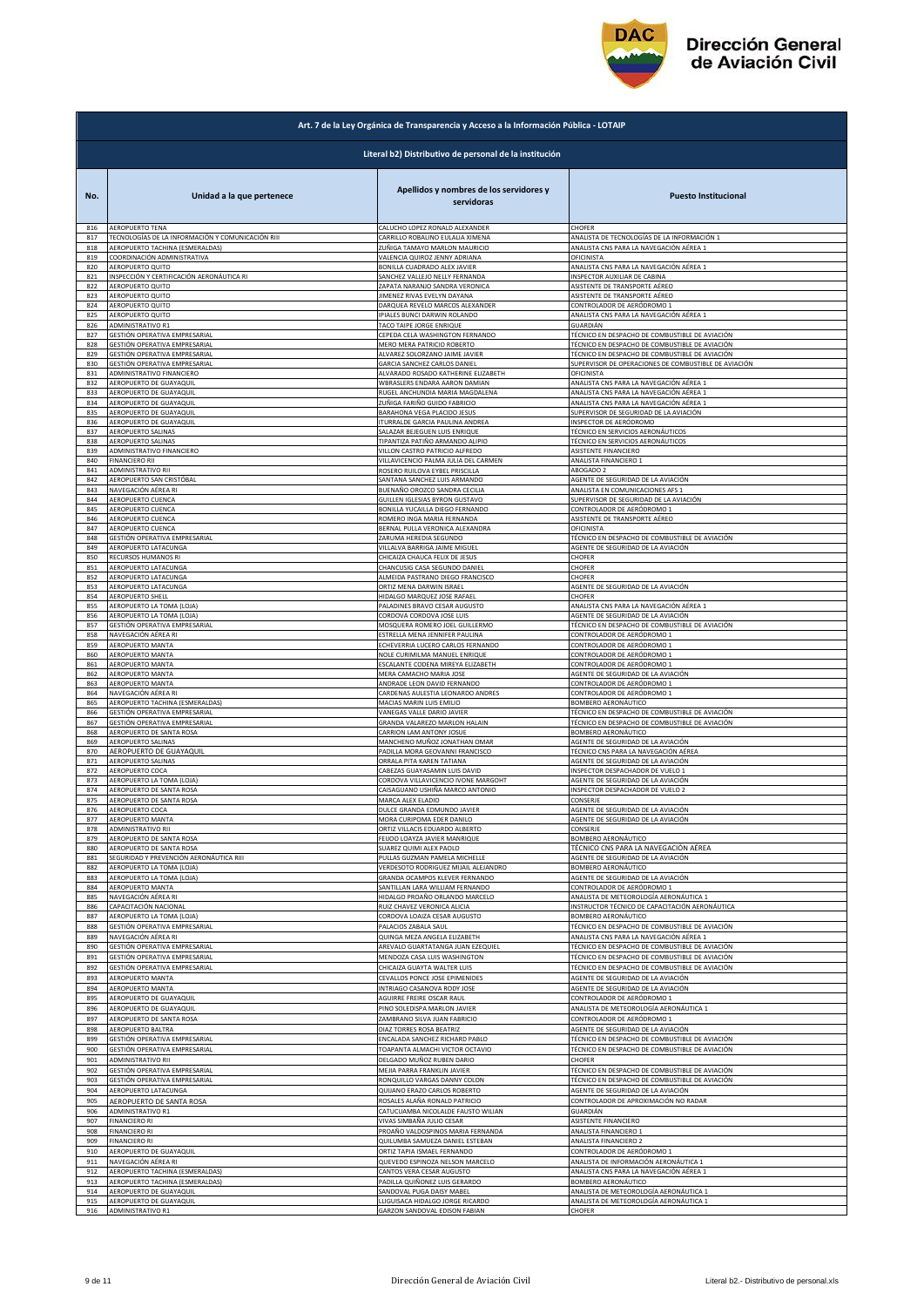

|            | Art. 7 de la Ley Orgánica de Transparencia y Acceso a la Información Pública - LOTAIP |                                                               |                                                                        |  |
|------------|---------------------------------------------------------------------------------------|---------------------------------------------------------------|------------------------------------------------------------------------|--|
|            | Literal b2) Distributivo de personal de la institución                                |                                                               |                                                                        |  |
| No.        | Unidad a la que pertenece                                                             | Apellidos y nombres de los servidores y<br>servidoras         | <b>Puesto Institucional</b>                                            |  |
| 816        | AEROPUERTO TENA                                                                       | CALUCHO LOPEZ RONALD ALEXANDER                                | CHOFER                                                                 |  |
| 817        | TECNOLOGÍAS DE LA INFORMACIÓN Y COMUNICACIÓN RIII                                     | CARRILLO ROBALINO EULALIA XIMENA                              | ANALISTA DE TECNOLOGÍAS DE LA INFORMACIÓN 1                            |  |
| 818        | AEROPUERTO TACHINA (ESMERALDAS)                                                       | ZUÑIGA TAMAYO MARLON MAURICIO                                 | ANALISTA CNS PARA LA NAVEGACIÓN AÉREA 1                                |  |
| 819        | COORDINACIÓN ADMINISTRATIVA                                                           | VALENCIA QUIROZ JENNY ADRIANA                                 | OFICINISTA                                                             |  |
| 820        | AEROPUERTO QUITO                                                                      | BONILLA CUADRADO ALEX JAVIER                                  | ANALISTA CNS PARA LA NAVEGACIÓN AÉREA 1                                |  |
| 821        | INSPECCIÓN Y CERTIFICACIÓN AERONÁUTICA RI                                             | SANCHEZ VALLEJO NELLY FERNANDA                                | <b>NSPECTOR AUXILIAR DE CABINA</b>                                     |  |
| 822        | AEROPUERTO QUITO                                                                      | ZAPATA NARANJO SANDRA VERONICA                                | ASISTENTE DE TRANSPORTE AÉREO                                          |  |
| 823        | AEROPUERTO QUITO                                                                      | JIMENEZ RIVAS EVELYN DAYANA                                   | ASISTENTE DE TRANSPORTE AÉREO                                          |  |
| 824        | <b>AEROPUERTO QUITO</b>                                                               | DARQUEA REVELO MARCOS ALEXANDER                               | CONTROLADOR DE AERÓDROMO 1                                             |  |
| 825        | AEROPUERTO QUITO                                                                      | IPIALES BUNCI DARWIN ROLANDO                                  | ANALISTA CNS PARA LA NAVEGACIÓN AÉREA 1                                |  |
| 826        | ADMINISTRATIVO R1                                                                     | TACO TAIPE JORGE ENRIQUE                                      | GUARDIÁN                                                               |  |
| 827        | GESTIÓN OPERATIVA EMPRESARIAL                                                         | CEPEDA CELA WASHINGTON FERNANDO                               | TÉCNICO EN DESPACHO DE COMBUSTIBLE DE AVIACIÓN                         |  |
| 828        | GESTIÓN OPERATIVA EMPRESARIAL                                                         | MERO MERA PATRICIO ROBERTO                                    | TÉCNICO EN DESPACHO DE COMBUSTIBLE DE AVIACIÓN                         |  |
| 829        | GESTIÓN OPERATIVA EMPRESARIAL                                                         | ALVAREZ SOLORZANO JAIME JAVIER                                | TÉCNICO EN DESPACHO DE COMBUSTIBLE DE AVIACIÓN                         |  |
| 830        | GESTIÓN OPERATIVA EMPRESARIAL                                                         | GARCIA SANCHEZ CARLOS DANIEL                                  | SUPERVISOR DE OPERACIONES DE COMBUSTIBLE DE AVIACIÓN                   |  |
| 831        | ADMINISTRATIVO FINANCIERO                                                             | ALVARADO ROSADO KATHERINE ELIZABETH                           | OFICINISTA                                                             |  |
| 832        | AEROPUERTO DE GUAYAQUIL                                                               | WBRASLERS ENDARA AARON DAMIAN                                 | ANALISTA CNS PARA LA NAVEGACIÓN AÉREA 1                                |  |
| 833        | AEROPUERTO DE GUAYAQUIL                                                               | RUGEL ANCHUNDIA MARIA MAGDALENA                               | ANALISTA CNS PARA LA NAVEGACIÓN AÉREA 1                                |  |
| 834        | AEROPUERTO DE GUAYAQUIL                                                               | ZUÑIGA FARIÑO GUIDO FABRICIO                                  | ANALISTA CNS PARA LA NAVEGACIÓN AÉREA 1                                |  |
| 835        | AEROPUERTO DE GUAYAQUIL                                                               | BARAHONA VEGA PLACIDO JESUS                                   | SUPERVISOR DE SEGURIDAD DE LA AVIACIÓN                                 |  |
| 836        | AEROPUERTO DE GUAYAQUIL                                                               | ITURRALDE GARCIA PAULINA ANDREA                               | INSPECTOR DE AERÓDROMO                                                 |  |
| 837        | AEROPUERTO SALINAS                                                                    | SALAZAR BEJEGUEN LUIS ENRIQUE                                 | TÉCNICO EN SERVICIOS AERONÁUTICOS                                      |  |
| 838        | <b>AEROPUERTO SALINAS</b>                                                             | TIPANTIZA PATIÑO ARMANDO ALIPIO                               | TÉCNICO EN SERVICIOS AERONÁUTICOS                                      |  |
| 839        | ADMINISTRATIVO FINANCIERO                                                             | VILLON CASTRO PATRICIO ALFREDO                                | ASISTENTE FINANCIERO                                                   |  |
| 840        | <b>FINANCIERO RII</b>                                                                 | VILLAVICENCIO PALMA JULIA DEL CARMEN                          | ANALISTA FINANCIERO 1                                                  |  |
| 841<br>842 | ADMINISTRATIVO RII<br>AEROPUERTO SAN CRISTÓBAL                                        | ROSERO RUILOVA EYBEL PRISCILLA                                | ABOGADO 2                                                              |  |
| 843        | NAVEGACIÓN AÉREA RI                                                                   | SANTANA SANCHEZ LUIS ARMANDO<br>BUENAÑO OROZCO SANDRA CECILIA | AGENTE DE SEGURIDAD DE LA AVIACIÓN<br>ANALISTA EN COMUNICACIONES AFS 1 |  |
| 844        | <b>AEROPUERTO CUENCA</b>                                                              | GUILLEN IGLESIAS BYRON GUSTAVO                                | SUPERVISOR DE SEGURIDAD DE LA AVIACIÓN                                 |  |
| 845        | AEROPUERTO CUENCA                                                                     | BONILLA YUCAILLA DIEGO FERNANDO                               | CONTROLADOR DE AERÓDROMO 1                                             |  |
| 846        | AEROPUERTO CUENCA                                                                     | ROMERO INGA MARIA FERNANDA                                    | ASISTENTE DE TRANSPORTE AÉREO                                          |  |
| 847        | AEROPUERTO CUENCA                                                                     | BERNAL PULLA VERONICA ALEXANDRA                               | OFICINISTA                                                             |  |
| 848        | GESTIÓN OPERATIVA EMPRESARIAL                                                         | ZARUMA HEREDIA SEGUNDO                                        | TÉCNICO EN DESPACHO DE COMBUSTIBLE DE AVIACIÓN                         |  |
| 849        | <b>AEROPUERTO LATACUNGA</b>                                                           | VILLALVA BARRIGA JAIME MIGUEL                                 | AGENTE DE SEGURIDAD DE LA AVIACIÓN                                     |  |
| 850        | RECURSOS HUMANOS RI                                                                   | CHICAIZA CHAUCA FELIX DE JESUS                                | CHOFER                                                                 |  |
| 851        | AEROPUERTO LATACUNGA                                                                  | CHANCUSIG CASA SEGUNDO DANIEL                                 | CHOFER                                                                 |  |
| 852        | AEROPUERTO LATACUNGA                                                                  | ALMEIDA PASTRANO DIEGO FRANCISCO                              | CHOFER                                                                 |  |
| 853        | AEROPUERTO LATACUNGA                                                                  | ORTIZ MENA DARWIN ISRAEL                                      | AGENTE DE SEGURIDAD DE LA AVIACIÓN                                     |  |
| 854        | AEROPUERTO SHELL                                                                      | HIDALGO MARQUEZ JOSE RAFAEL                                   | CHOFER                                                                 |  |
| 855        | AEROPUERTO LA TOMA (LOJA)                                                             | PALADINES BRAVO CESAR AUGUSTO                                 | ANALISTA CNS PARA LA NAVEGACIÓN AÉREA 1                                |  |
| 856        | AEROPUERTO LA TOMA (LOJA)                                                             | CORDOVA CORDOVA JOSE LUIS                                     | AGENTE DE SEGURIDAD DE LA AVIACIÓN                                     |  |
| 857        | GESTIÓN OPERATIVA EMPRESARIAL                                                         | MOSQUERA ROMERO JOEL GUILLERMO                                | TÉCNICO EN DESPACHO DE COMBUSTIBLE DE AVIACIÓN                         |  |
| 858        | NAVEGACIÓN AÉREA RI                                                                   | ESTRELLA MENA JENNIFER PAULINA                                | CONTROLADOR DE AERÓDROMO 1                                             |  |
| 859        | AEROPUERTO MANTA                                                                      | ECHEVERRIA LUCERO CARLOS FERNANDO                             | CONTROLADOR DE AERÓDROMO 1                                             |  |
| 860        | AEROPUERTO MANTA                                                                      | NOLE CURIMILMA MANUEL ENRIQUE                                 | CONTROLADOR DE AERÓDROMO 1                                             |  |
| 861        | AEROPUERTO MANTA                                                                      | ESCALANTE CODENA MIREYA ELIZABETH                             | CONTROLADOR DE AERÓDROMO 1                                             |  |
| 862        | <b>AEROPUERTO MANTA</b>                                                               | MERA CAMACHO MARIA JOSE                                       | AGENTE DE SEGURIDAD DE LA AVIACIÓN                                     |  |
| 863        | <b>AEROPUERTO MANTA</b>                                                               | ANDRADE LEON DAVID FERNANDO                                   | CONTROLADOR DE AERÓDROMO 1                                             |  |
| 864        | NAVEGACIÓN AÉREA RI                                                                   | CARDENAS AULESTIA LEONARDO ANDRES                             | CONTROLADOR DE AERÓDROMO 1                                             |  |
| 865        | AEROPUERTO TACHINA (ESMERALDAS)                                                       | MACIAS MARIN LUIS EMILIO                                      | BOMBERO AERONÁUTICO                                                    |  |
| 866        | GESTIÓN OPERATIVA EMPRESARIAL                                                         | VANEGAS VALLE DARIO JAVIER                                    | TÉCNICO EN DESPACHO DE COMBUSTIBLE DE AVIACIÓN                         |  |
| 867        | GESTIÓN OPERATIVA EMPRESARIAL                                                         | GRANDA VALAREZO MARLON HALAIN                                 | TÉCNICO EN DESPACHO DE COMBUSTIBLE DE AVIACIÓN                         |  |
| 868        | AEROPUERTO DE SANTA ROSA                                                              | CARRION LAM ANTONY JOSUE                                      | BOMBERO AERONÁUTICO                                                    |  |
| 869        | AEROPUERTO SALINAS                                                                    | MANCHENO MUÑOZ JONATHAN OMAR                                  | AGENTE DE SEGURIDAD DE LA AVIACIÓN                                     |  |
| 870        | AEROPUERTO DE GUAYAQUIL                                                               | PADILLA MORA GEOVANNI FRANCISCO                               | TÉCNICO CNS PARA LA NAVEGACIÓN AÉREA                                   |  |
| 871        | AEROPUERTO SALINAS                                                                    | ORRALA PITA KAREN TATIANA                                     | AGENTE DE SEGURIDAD DE LA AVIACIÓN                                     |  |
| 872        | AEROPUERTO COCA                                                                       | CABEZAS GUAYASAMIN LUIS DAVID                                 | INSPECTOR DESPACHADOR DE VUELO 1                                       |  |
| 873        | AEROPUERTO LA TOMA (LOJA)                                                             | CORDOVA VILLAVICENCIO IVONE MARGOHT                           | AGENTE DE SEGURIDAD DE LA AVIACIÓN                                     |  |
| 874        | AEROPUERTO DE SANTA ROSA                                                              | CAISAGUANO USHIÑA MARCO ANTONIO                               | NSPECTOR DESPACHADOR DE VUELO 2                                        |  |
| 875        | AEROPUERTO DE SANTA ROSA                                                              | MARCA ALEX ELADIO                                             | CONSERJE                                                               |  |
| 876        | AEROPUERTO COCA                                                                       | DULCE GRANDA EDMUNDO JAVIEF                                   | AGENTE DE SEGURIDAD DE LA AVIACION                                     |  |
| 877        | <b>AEROPUERTO MANTA</b>                                                               | MORA CURIPOMA EDER DANILO                                     | AGENTE DE SEGURIDAD DE LA AVIACIÓN                                     |  |
| 878        | ADMINISTRATIVO RII                                                                    | ORTIZ VILLACIS EDUARDO ALBERTO                                | CONSERJE                                                               |  |
| 879        | AEROPUERTO DE SANTA ROSA                                                              | FEIJOO LOAYZA JAVIER MANRIQUE                                 | BOMBERO AERONÁUTICO                                                    |  |
| 880        | AEROPUERTO DE SANTA ROSA                                                              | SUAREZ QUIMI ALEX PAOLO                                       | TÉCNICO CNS PARA LA NAVEGACIÓN AÉREA                                   |  |
| 881        |                                                                                       | PULLAS GUZMAN PAMELA MICHELLE                                 | AGENTE DE SEGURIDAD DE LA AVIACIÓN                                     |  |
| 882        | SEGURIDAD Y PREVENCIÓN AERONÁUTICA RIII<br>AEROPUERTO LA TOMA (LOJA)                  | VERDESOTO RODRIGUEZ MIJAIL ALEJANDRO                          | BOMBERO AERONÁUTICO                                                    |  |
| 883        | AEROPUERTO LA TOMA (LOJA)                                                             | GRANDA OCAMPOS KLEVER FERNANDO                                | AGENTE DE SEGURIDAD DE LA AVIACIÓN                                     |  |
| 884        | AEROPUERTO MANTA                                                                      | SANTILLAN LARA WILLIAM FERNANDO                               | CONTROLADOR DE AERÓDROMO 1                                             |  |
| 885        | NAVEGACIÓN AÉREA RI                                                                   | HIDALGO PROAÑO ORLANDO MARCELO                                | ANALISTA DE METEOROLOGÍA AERONÁUTICA 1                                 |  |
| 886        | CAPACITACIÓN NACIONAL                                                                 | RUIZ CHAVEZ VERONICA ALICIA                                   | NSTRUCTOR TÉCNICO DE CAPACITACIÓN AERONÁUTICA                          |  |
| 887        | AEROPUERTO LA TOMA (LOJA)                                                             | CORDOVA LOAIZA CESAR AUGUSTO                                  | BOMBERO AERONÁUTICO                                                    |  |
| 888        | GESTIÓN OPERATIVA EMPRESARIAL                                                         | PALACIOS ZABALA SAUL                                          | TÉCNICO EN DESPACHO DE COMBUSTIBLE DE AVIACIÓN                         |  |
| 889        | NAVEGACIÓN AÉREA RI                                                                   | QUINGA MEZA ANGELA ELIZABETH                                  | ANALISTA CNS PARA LA NAVEGACIÓN AÉREA 1                                |  |
| 890        | GESTIÓN OPERATIVA EMPRESARIAL                                                         | AREVALO GUARTATANGA JUAN EZEQUIEL                             | TÉCNICO EN DESPACHO DE COMBUSTIBLE DE AVIACIÓN                         |  |
| 891        | GESTIÓN OPERATIVA EMPRESARIAL                                                         | MENDOZA CASA LUIS WASHINGTON                                  | TÉCNICO EN DESPACHO DE COMBUSTIBLE DE AVIACIÓN                         |  |
| 892        | GESTIÓN OPERATIVA EMPRESARIAL                                                         | CHICAIZA GUAYTA WALTER LUIS                                   | TÉCNICO EN DESPACHO DE COMBUSTIBLE DE AVIACIÓN                         |  |
| 893        | AEROPUERTO MANTA                                                                      | CEVALLOS PONCE JOSE EPIMENIDES                                | AGENTE DE SEGURIDAD DE LA AVIACIÓN                                     |  |
| 894        | <b>AEROPUERTO MANTA</b>                                                               | INTRIAGO CASANOVA RODY JOSE                                   | AGENTE DE SEGURIDAD DE LA AVIACIÓN                                     |  |
| 895        | AEROPUERTO DE GUAYAQUIL                                                               | AGUIRRE FREIRE OSCAR RAUL                                     | CONTROLADOR DE AERÓDROMO 1                                             |  |
| 896        | AEROPUERTO DE GUAYAQUIL                                                               | PINO SOLEDISPA MARLON JAVIER                                  | ANALISTA DE METEOROLOGÍA AERONÁUTICA 1                                 |  |
| 897        | AEROPUERTO DE SANTA ROSA                                                              | ZAMBRANO SILVA JUAN FABRICIO                                  | CONTROLADOR DE AERÓDROMO 1                                             |  |
| 898        | AEROPUERTO BALTRA                                                                     | DIAZ TORRES ROSA BEATRIZ                                      | AGENTE DE SEGURIDAD DE LA AVIACIÓN                                     |  |
| 899        | GESTIÓN OPERATIVA EMPRESARIAL                                                         | ENCALADA SANCHEZ RICHARD PABLO                                | TÉCNICO EN DESPACHO DE COMBUSTIBLE DE AVIACIÓN                         |  |
| 900        | GESTIÓN OPERATIVA EMPRESARIAL                                                         | TOAPANTA ALMACHI VICTOR OCTAVIO                               | TÉCNICO EN DESPACHO DE COMBUSTIBLE DE AVIACIÓN                         |  |
| 901        | ADMINISTRATIVO RII                                                                    | DELGADO MUÑOZ RUBEN DARIO                                     | CHOFER                                                                 |  |
| 902        | GESTIÓN OPERATIVA EMPRESARIAL                                                         | MEJIA PARRA FRANKLIN JAVIER                                   | TÉCNICO EN DESPACHO DE COMBUSTIBLE DE AVIACIÓN                         |  |
| 903        | GESTIÓN OPERATIVA EMPRESARIAL                                                         | RONQUILLO VARGAS DANNY COLON                                  | TÉCNICO EN DESPACHO DE COMBUSTIBLE DE AVIACIÓN                         |  |
| 904        | AEROPUERTO LATACUNGA                                                                  | QUIJANO ERAZO CARLOS ROBERTO                                  | AGENTE DE SEGURIDAD DE LA AVIACIÓN                                     |  |
| 905        | AEROPUERTO DE SANTA ROSA                                                              | ROSALES ALAÑA RONALD PATRICIO                                 | CONTROLADOR DE APROXIMACIÓN NO RADAR                                   |  |
| 906        | ADMINISTRATIVO R1                                                                     | CATUCUAMBA NICOLALDE FAUSTO WILIAN                            | GUARDIÁN                                                               |  |
| 907        | <b>FINANCIERO RI</b>                                                                  | VIVAS SIMBAÑA JULIO CESAR                                     | ASISTENTE FINANCIERO                                                   |  |
| 908        | <b>FINANCIERO RI</b>                                                                  | PROAÑO VALDOSPINOS MARIA FERNANDA                             | ANALISTA FINANCIERO 1                                                  |  |
| 909        | <b>FINANCIERO RI</b>                                                                  | QUILUMBA SAMUEZA DANIEL ESTEBAN                               | ANALISTA FINANCIERO 2                                                  |  |
|            | AEROPUERTO DE GUAYAQUIL                                                               | ORTIZ TAPIA ISMAEL FERNANDO                                   | CONTROLADOR DE AERÓDROMO 1                                             |  |
| 910<br>911 | NAVEGACIÓN AÉREA RI                                                                   | QUEVEDO ESPINOZA NELSON MARCELO                               | ANALISTA DE INFORMACIÓN AERONÁUTICA 1                                  |  |
| 912        | AEROPUERTO TACHINA (ESMERALDAS)                                                       | CANTOS VERA CESAR AUGUSTO                                     | ANALISTA CNS PARA LA NAVEGACIÓN AÉREA 1                                |  |
| 913        | AEROPUERTO TACHINA (ESMERALDAS)                                                       | PADILLA QUIÑONEZ LUIS GERARDO                                 | <b>3OMBERO AERONÁUTICO</b>                                             |  |
| 914        | <b>AEROPUERTO DE GUAYAQUIL</b>                                                        | SANDOVAL PUGA DAISY MABEL                                     | ANALISTA DE METEOROLOGÍA AERONÁUTICA 1                                 |  |
| 915        | AEROPUERTO DE GUAYAQUIL                                                               | LLIGUISACA HIDALGO JORGE RICARDO                              | ANALISTA DE METEOROLOGÍA AERONÁUTICA 1                                 |  |
| 916        | ADMINISTRATIVO R1                                                                     | GARZON SANDOVAL EDISON FABIAN                                 | CHOFER                                                                 |  |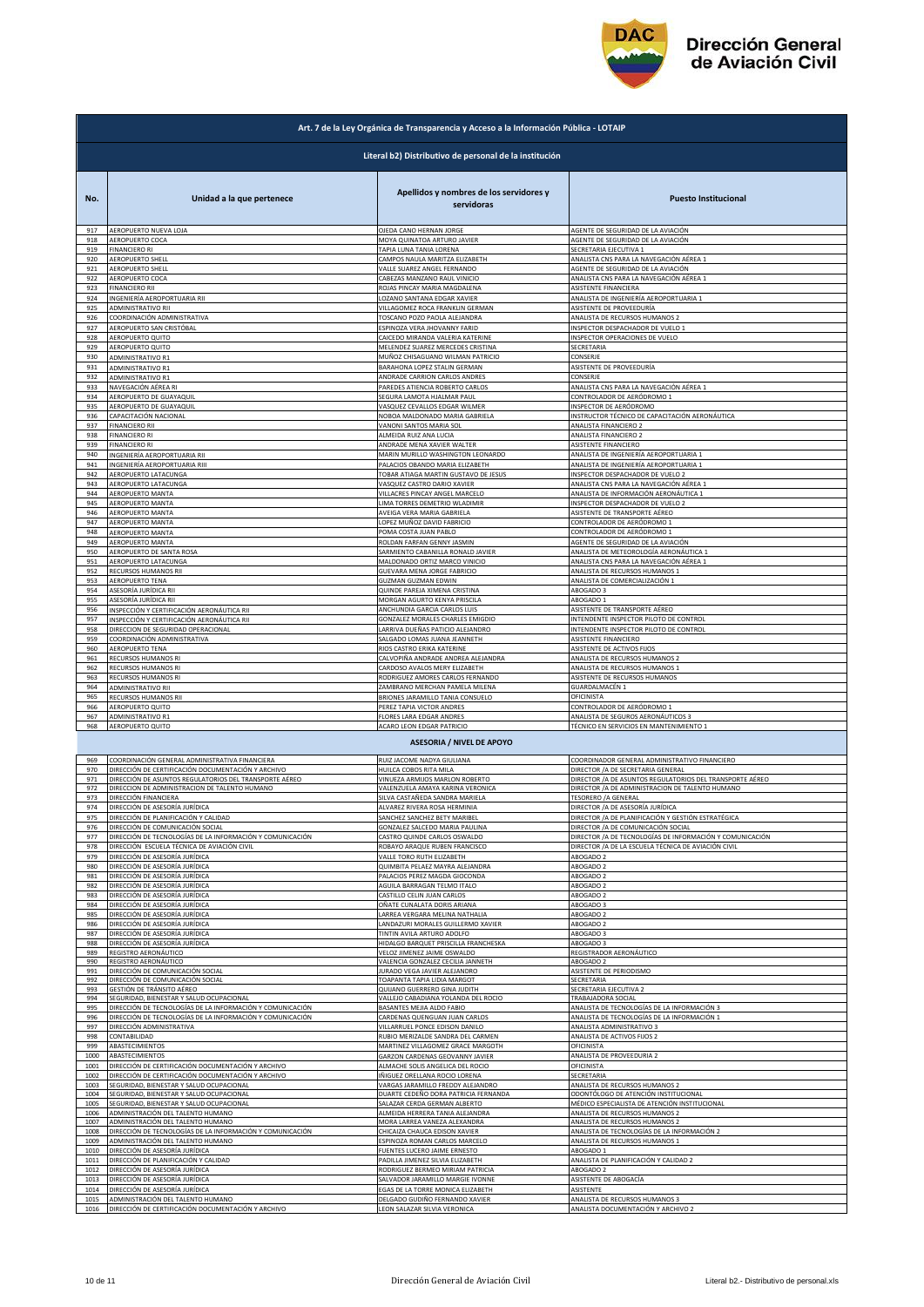

|                      | Art. 7 de la Ley Orgánica de Transparencia y Acceso a la Información Pública - LOTAIP                                  |                                                                                                         |                                                                                                                   |  |
|----------------------|------------------------------------------------------------------------------------------------------------------------|---------------------------------------------------------------------------------------------------------|-------------------------------------------------------------------------------------------------------------------|--|
|                      | Literal b2) Distributivo de personal de la institución                                                                 |                                                                                                         |                                                                                                                   |  |
|                      |                                                                                                                        |                                                                                                         |                                                                                                                   |  |
| No.                  | Unidad a la que pertenece                                                                                              | Apellidos y nombres de los servidores y<br>servidoras                                                   | <b>Puesto Institucional</b>                                                                                       |  |
| 917                  | AEROPUERTO NUEVA LOJA<br>AEROPUERTO COCA                                                                               | OJEDA CANO HERNAN JORGE                                                                                 | AGENTE DE SEGURIDAD DE LA AVIACIÓN<br>AGENTE DE SEGURIDAD DE LA AVIACIÓN                                          |  |
| 918<br>919           | <b>FINANCIERO RI</b>                                                                                                   | MOYA QUINATOA ARTURO JAVIER<br>TAPIA LUNA TANIA LORENA                                                  | SECRETARIA EJECUTIVA 1                                                                                            |  |
| 920<br>921           | AEROPUERTO SHELL<br>AEROPUERTO SHELL                                                                                   | CAMPOS NAULA MARITZA ELIZABETH<br>VALLE SUAREZ ANGEL FERNANDO                                           | ANALISTA CNS PARA LA NAVEGACIÓN AÉREA 1<br>AGENTE DE SEGURIDAD DE LA AVIACIÓN                                     |  |
| 922                  | AEROPUERTO COCA<br><b>FINANCIERO RII</b>                                                                               | CABEZAS MANZANO RAUL VINICIO<br>ROJAS PINCAY MARIA MAGDALENA                                            | ANALISTA CNS PARA LA NAVEGACIÓN AÉREA 1                                                                           |  |
| 923<br>924           | INGENIERÍA AEROPORTUARIA RII                                                                                           | LOZANO SANTANA EDGAR XAVIER                                                                             | ASISTENTE FINANCIERA<br>ANALISTA DE INGENIERÍA AEROPORTUARIA 1                                                    |  |
| 925<br>926           | ADMINISTRATIVO RII<br>COORDINACIÓN ADMINISTRATIVA                                                                      | VILLAGOMEZ ROCA FRANKLIN GERMAN<br>TOSCANO POZO PAOLA ALEJANDRA                                         | ASISTENTE DE PROVEEDURÍA<br>ANALISTA DE RECURSOS HUMANOS 2                                                        |  |
| 927                  | AEROPUERTO SAN CRISTÓBAL                                                                                               | ESPINOZA VERA JHOVANNY FARID                                                                            | INSPECTOR DESPACHADOR DE VUELO 1                                                                                  |  |
| 928<br>929           | AEROPUERTO QUITO<br>AEROPUERTO QUITO                                                                                   | CAICEDO MIRANDA VALERIA KATERINE<br>MELENDEZ SUAREZ MERCEDES CRISTINA                                   | INSPECTOR OPERACIONES DE VUELO<br>SECRETARIA                                                                      |  |
| 930                  | ADMINISTRATIVO R1                                                                                                      | MUÑOZ CHISAGUANO WILMAN PATRICIO                                                                        | CONSERJE                                                                                                          |  |
| 931<br>932           | <b>ADMINISTRATIVO R1</b><br><b>ADMINISTRATIVO R1</b>                                                                   | BARAHONA LOPEZ STALIN GERMAN<br>ANDRADE CARRION CARLOS ANDRES                                           | ASISTENTE DE PROVEEDURÍA<br>CONSERJE                                                                              |  |
| 933<br>934           | NAVEGACIÓN AÉREA RI<br>AEROPUERTO DE GUAYAQUIL                                                                         | PAREDES ATIENCIA ROBERTO CARLOS<br>SEGURA LAMOTA HJALMAR PAUL                                           | ANALISTA CNS PARA LA NAVEGACIÓN AÉREA 1<br>CONTROLADOR DE AERÓDROMO 1                                             |  |
| 935                  | AEROPUERTO DE GUAYAQUIL                                                                                                | VASQUEZ CEVALLOS EDGAR WILMER                                                                           | INSPECTOR DE AERÓDROMO                                                                                            |  |
| 936<br>937           | CAPACITACIÓN NACIONAL<br><b>FINANCIERO RII</b>                                                                         | NOBOA MALDONADO MARIA GABRIELA<br>VANONI SANTOS MARIA SOL                                               | INSTRUCTOR TÉCNICO DE CAPACITACIÓN AERONÁUTICA<br>ANALISTA FINANCIERO 2                                           |  |
| 938                  | <b>FINANCIERO RI</b><br><b>FINANCIERO RI</b>                                                                           | ALMEIDA RUIZ ANA LUCIA<br>ANDRADE MENA XAVIER WALTER                                                    | ANALISTA FINANCIERO 2                                                                                             |  |
| 939<br>940           | INGENIERÍA AEROPORTUARIA RII                                                                                           | MARIN MURILLO WASHINGTON LEONARDO                                                                       | ASISTENTE FINANCIERO<br>ANALISTA DE INGENIERÍA AEROPORTUARIA 1                                                    |  |
| 941<br>942           | INGENIERÍA AEROPORTUARIA RIII<br>AEROPUERTO LATACUNGA                                                                  | PALACIOS OBANDO MARIA ELIZABETH<br>TOBAR ATIAGA MARTIN GUSTAVO DE JESUS                                 | ANALISTA DE INGENIERÍA AEROPORTUARIA 1<br>INSPECTOR DESPACHADOR DE VUELO 2                                        |  |
| 943                  | AEROPUERTO LATACUNGA                                                                                                   | VASQUEZ CASTRO DARIO XAVIER                                                                             | ANALISTA CNS PARA LA NAVEGACIÓN AÉREA 1                                                                           |  |
| 944<br>945           | AEROPUERTO MANTA<br><b>AEROPUERTO MANTA</b>                                                                            | VILLACRES PINCAY ANGEL MARCELO<br>LIMA TORRES DEMETRIO WLADIMIR                                         | ANALISTA DE INFORMACIÓN AERONÁUTICA 1<br>INSPECTOR DESPACHADOR DE VUELO 2                                         |  |
| 946                  | AEROPUERTO MANTA                                                                                                       | AVEIGA VERA MARIA GABRIELA                                                                              | ASISTENTE DE TRANSPORTE AÉREO                                                                                     |  |
| 947<br>948           | AEROPUERTO MANTA<br>AEROPUERTO MANTA                                                                                   | LOPEZ MUÑOZ DAVID FABRICIO<br>POMA COSTA JUAN PABLO                                                     | CONTROLADOR DE AERÓDROMO 1<br>CONTROLADOR DE AERÓDROMO 1                                                          |  |
| 949<br>950           | AEROPUERTO MANTA<br>AEROPUERTO DE SANTA ROSA                                                                           | ROLDAN FARFAN GENNY JASMIN<br>SARMIENTO CABANILLA RONALD JAVIER                                         | AGENTE DE SEGURIDAD DE LA AVIACIÓN<br>ANALISTA DE METEOROLOGÍA AERONÁUTICA 1                                      |  |
| 951                  | AEROPUERTO LATACUNGA                                                                                                   | MALDONADO ORTIZ MARCO VINICIO                                                                           | ANALISTA CNS PARA LA NAVEGACIÓN AÉREA 1                                                                           |  |
| 952<br>953           | RECURSOS HUMANOS RII<br>AEROPUERTO TENA                                                                                | GUEVARA MENA JORGE FABRICIO<br>GUZMAN GUZMAN EDWIN                                                      | ANALISTA DE RECURSOS HUMANOS 1<br>ANALISTA DE COMERCIALIZACIÓN 1                                                  |  |
| 954                  | ASESORÍA JURÍDICA RII                                                                                                  | QUINDE PAREJA XIMENA CRISTINA                                                                           | ABOGADO 3                                                                                                         |  |
| 955<br>956           | ASESORÍA JURÍDICA RII<br>INSPECCIÓN Y CERTIFICACIÓN AERONÁUTICA RII                                                    | MORGAN AGURTO KENYA PRISCILA<br>ANCHUNDIA GARCIA CARLOS LUIS                                            | ABOGADO 1<br>ASISTENTE DE TRANSPORTE AÉREO                                                                        |  |
| 957                  | INSPECCIÓN Y CERTIFICACIÓN AERONÁUTICA RII                                                                             | GONZALEZ MORALES CHARLES EMIGDIO                                                                        | INTENDENTE INSPECTOR PILOTO DE CONTROL<br>INTENDENTE INSPECTOR PILOTO DE CONTROL                                  |  |
| 958<br>959           | DIRECCION DE SEGURIDAD OPERACIONAL<br>COORDINACIÓN ADMINISTRATIVA                                                      | LARRIVA DUEÑAS PATICIO ALEJANDRO<br>SALGADO LOMAS JUANA JEANNETH                                        | ASISTENTE FINANCIERO                                                                                              |  |
| 960<br>961           | AEROPUERTO TENA<br>RECURSOS HUMANOS RI                                                                                 | RIOS CASTRO ERIKA KATERINE<br>CALVOPIÑA ANDRADE ANDREA ALEJANDRA                                        | ASISTENTE DE ACTIVOS FIJOS<br>ANALISTA DE RECURSOS HUMANOS 2                                                      |  |
| 962                  | RECURSOS HUMANOS RI                                                                                                    | CARDOSO AVALOS MERY ELIZABETH                                                                           | ANALISTA DE RECURSOS HUMANOS 1                                                                                    |  |
| 963<br>964           | RECURSOS HUMANOS RI<br>ADMINISTRATIVO RII                                                                              | RODRIGUEZ AMORES CARLOS FERNANDO<br>ZAMBRANO MERCHAN PAMELA MILENA                                      | ASISTENTE DE RECURSOS HUMANOS<br>GUARDALMACÉN 1                                                                   |  |
| 965<br>966           | RECURSOS HUMANOS RII<br>AEROPUERTO QUITO                                                                               | BRIONES JARAMILLO TANIA CONSUELO<br>PEREZ TAPIA VICTOR ANDRES                                           | OFICINISTA<br>CONTROLADOR DE AERÓDROMO 1                                                                          |  |
| 967                  | ADMINISTRATIVO R1                                                                                                      | FLORES LARA EDGAR ANDRES                                                                                | ANALISTA DE SEGUROS AERONÁUTICOS 3                                                                                |  |
| 968                  | AEROPUERTO QUITO                                                                                                       | ACARO LEON EDGAR PATRICIO                                                                               | TÉCNICO EN SERVICIOS EN MANTENIMIENTO 1                                                                           |  |
|                      |                                                                                                                        | <b>ASESORIA / NIVEL DE APOYO</b>                                                                        |                                                                                                                   |  |
| 969<br>970           | COORDINACIÓN GENERAL ADMINISTRATIVA FINANCIERA<br>DIRECCIÓN DE CERTIFICACIÓN DOCUMENTACIÓN Y ARCHIVO                   | RUIZ JACOME NADYA GIULIANA<br>HUILCA COBOS RITA MILA                                                    | COORDINADOR GENERAL ADMINISTRATIVO FINANCIERO<br>DIRECTOR / A DE SECRETARIA GENERAL                               |  |
| 971<br>972           | DIRECCIÓN DE ASUNTOS REGULATORIOS DEL TRANSPORTE AÉREO                                                                 | VINUEZA ARMIJOS MARLON ROBERTO                                                                          | DIRECTOR / A DE ASUNTOS REGULATORIOS DEL TRANSPORTE AÉREO                                                         |  |
| 973                  | DIRECCION DE ADMINISTRACION DE TALENTO HUMANO<br>DIRECCIÓN FINANCIERA                                                  | VALENZUELA AMAYA KARINA VERONICA<br>SILVA CASTAÑEDA SANDRA MARIELA                                      | DIRECTOR / A DE ADMINISTRACION DE TALENTO HUMANO<br><b>TESORERO /A GENERAL</b>                                    |  |
| 974<br>975           | DIRECCION DE ASESORIA JURIDICA<br>DIRECCIÓN DE PLANIFICACIÓN Y CALIDAD                                                 | ALVAREZ RIVERA ROSA HERMINIA<br>SANCHEZ SANCHEZ BETY MARIBEL                                            | DIRECTOR /A DE ASESORIA JURIDICA<br>DIRECTOR / A DE PLANIFICACIÓN Y GESTIÓN ESTRATÉGICA                           |  |
| 976                  | DIRECCIÓN DE COMUNICACIÓN SOCIAL                                                                                       | GONZALEZ SALCEDO MARIA PAULINA                                                                          | DIRECTOR / A DE COMUNICACIÓN SOCIAL                                                                               |  |
| 977<br>978           | DIRECCIÓN DE TECNOLOGÍAS DE LA INFORMACIÓN Y COMUNICACIÓN<br>DIRECCIÓN ESCUELA TÉCNICA DE AVIACIÓN CIVIL               | CASTRO QUINDE CARLOS OSWALDO<br>ROBAYO ARAQUE RUBEN FRANCISCO                                           | DIRECTOR / A DE TECNOLOGÍAS DE INFORMACIÓN Y COMUNICACIÓN<br>DIRECTOR / A DE LA ESCUELA TÉCNICA DE AVIACIÓN CIVIL |  |
| 979                  | DIRECCIÓN DE ASESORÍA JURÍDICA<br>DIRECCIÓN DE ASESORÍA JURÍDICA                                                       | VALLE TORO RUTH ELIZABETH                                                                               | ABOGADO 2                                                                                                         |  |
| 980<br>981           | DIRECCIÓN DE ASESORÍA JURÍDICA                                                                                         | QUIMBITA PELAEZ MAYRA ALEJANDRA<br>PALACIOS PEREZ MAGDA GIOCONDA                                        | ABOGADO 2<br>ABOGADO 2                                                                                            |  |
| 982<br>983           | DIRECCIÓN DE ASESORÍA JURÍDICA<br>DIRECCIÓN DE ASESORÍA JURÍDICA                                                       | AGUILA BARRAGAN TELMO ITALO<br>CASTILLO CELIN JUAN CARLOS                                               | ABOGADO 2<br>ABOGADO 2                                                                                            |  |
| 984                  | DIRECCIÓN DE ASESORÍA JURÍDICA                                                                                         | OÑATE CUNALATA DORIS ARIANA                                                                             | ABOGADO 3                                                                                                         |  |
| 985<br>986           | DIRECCIÓN DE ASESORÍA JURÍDICA<br>DIRECCIÓN DE ASESORÍA JURÍDICA                                                       | LARREA VERGARA MELINA NATHALIA<br>LANDAZURI MORALES GUILLERMO XAVIER                                    | ABOGADO 2<br>ABOGADO 2                                                                                            |  |
| 987<br>988           | DIRECCIÓN DE ASESORÍA JURÍDICA<br>DIRECCIÓN DE ASESORÍA JURÍDICA                                                       | TINTIN AVILA ARTURO ADOLFO<br>HIDALGO BARQUET PRISCILLA FRANCHESKA                                      | ABOGADO 3<br>ABOGADO 3                                                                                            |  |
| 989                  | REGISTRO AERONÁUTICO<br>REGISTRO AERONÁUTICO                                                                           | VELOZ JIMENEZ JAIME OSWALDO                                                                             | REGISTRADOR AERONÁUTICO                                                                                           |  |
| 990<br>991           |                                                                                                                        | VALENCIA GONZALEZ CECILIA JANNETH                                                                       | ABOGADO 2                                                                                                         |  |
| 992<br>993           | DIRECCIÓN DE COMUNICACIÓN SOCIAL                                                                                       | JURADO VEGA JAVIER ALEJANDRO                                                                            | ASISTENTE DE PERIODISMO                                                                                           |  |
|                      | DIRECCIÓN DE COMUNICACIÓN SOCIAL                                                                                       | TOAPANTA TAPIA LIDIA MARGOT                                                                             | SECRETARIA                                                                                                        |  |
| 994                  | GESTIÓN DE TRÁNSITO AÉREO<br>SEGURIDAD, BIENESTAR Y SALUD OCUPACIONAL                                                  | QUIJANO GUERRERO GINA JUDITH<br>VALLEJO CABADIANA YOLANDA DEL ROCIO                                     | SECRETARIA EJECUTIVA 2<br>TRABAJADORA SOCIAL                                                                      |  |
| 995<br>996           | DIRECCIÓN DE TECNOLOGÍAS DE LA INFORMACIÓN Y COMUNICACIÓN<br>DIRECCIÓN DE TECNOLOGÍAS DE LA INFORMACIÓN Y COMUNICACIÓN | BASANTES MEJIA ALDO FABIO<br>CARDENAS QUENGUAN JUAN CARLOS                                              | ANALISTA DE TECNOLOGÍAS DE LA INFORMACIÓN 3<br>ANALISTA DE TECNOLOGÍAS DE LA INFORMACIÓN 1                        |  |
| 997<br>998           | DIRECCIÓN ADMINISTRATIVA<br>CONTABILIDAD                                                                               | VILLARRUEL PONCE EDISON DANILO<br>RUBIO MERIZALDE SANDRA DEL CARMEN                                     | ANALISTA ADMINISTRATIVO 3<br>ANALISTA DE ACTIVOS FIJOS 2                                                          |  |
| 999                  | ABASTECIMIENTOS                                                                                                        | MARTINEZ VILLAGOMEZ GRACE MARGOTH                                                                       | OFICINISTA                                                                                                        |  |
| 1000<br>1001         | ABASTECIMIENTOS<br>DIRECCIÓN DE CERTIFICACIÓN DOCUMENTACIÓN Y ARCHIVO                                                  | GARZON CARDENAS GEOVANNY JAVIER<br>ALMACHE SOLIS ANGELICA DEL ROCIO                                     | ANALISTA DE PROVEEDURIA 2<br>OFICINISTA                                                                           |  |
| 1002                 | DIRECCIÓN DE CERTIFICACIÓN DOCUMENTACIÓN Y ARCHIVO                                                                     | IÑIGUEZ ORELLANA ROCIO LORENA                                                                           | SECRETARIA                                                                                                        |  |
| 1003<br>1004         | SEGURIDAD, BIENESTAR Y SALUD OCUPACIONAL<br>SEGURIDAD, BIENESTAR Y SALUD OCUPACIONAL                                   | VARGAS JARAMILLO FREDDY ALEJANDRO<br>DUARTE CEDEÑO DORA PATRICIA FERNANDA                               | ANALISTA DE RECURSOS HUMANOS 2<br>ODONTÓLOGO DE ATENCIÓN INSTITUCIONAL                                            |  |
| 1005<br>1006         | SEGURIDAD, BIENESTAR Y SALUD OCUPACIONAL<br>ADMINISTRACIÓN DEL TALENTO HUMANO                                          | SALAZAR CERDA GERMAN ALBERTO<br>ALMEIDA HERRERA TANIA ALEJANDRA                                         | MÉDICO ESPECIALISTA DE ATENCIÓN INSTITUCIONAL<br>ANALISTA DE RECURSOS HUMANOS 2                                   |  |
| 1007                 | ADMINISTRACIÓN DEL TALENTO HUMANO                                                                                      | MORA LARREA VANEZA ALEXANDRA                                                                            | ANALISTA DE RECURSOS HUMANOS 2                                                                                    |  |
| 1008<br>1009         | DIRECCIÓN DE TECNOLOGÍAS DE LA INFORMACIÓN Y COMUNICACIÓN<br>ADMINISTRACIÓN DEL TALENTO HUMANO                         | CHICAIZA CHAUCA EDISON XAVIER<br>ESPINOZA ROMAN CARLOS MARCELO                                          | ANALISTA DE TECNOLOGÍAS DE LA INFORMACIÓN 2<br>ANALISTA DE RECURSOS HUMANOS 1                                     |  |
| 1010                 | DIRECCIÓN DE ASESORÍA JURÍDICA                                                                                         | FUENTES LUCERO JAIME ERNESTO                                                                            | ABOGADO 1                                                                                                         |  |
| 1011<br>1012         | DIRECCIÓN DE PLANIFICACIÓN Y CALIDAD<br>DIRECCIÓN DE ASESORÍA JURÍDICA                                                 | PADILLA JIMENEZ SILVIA ELIZABETH<br>RODRIGUEZ BERMEO MIRIAM PATRICIA                                    | ANALISTA DE PLANIFICACIÓN Y CALIDAD 2<br>ABOGADO 2                                                                |  |
| 1013<br>1014<br>1015 | DIRECCIÓN DE ASESORÍA JURÍDICA<br>DIRECCIÓN DE ASESORÍA JURÍDICA<br>ADMINISTRACIÓN DEL TALENTO HUMANO                  | SALVADOR JARAMILLO MARGIE IVONNE<br>EGAS DE LA TORRE MONICA ELIZABETH<br>DELGADO GUDIÑO FERNANDO XAVIER | ASISTENTE DE ABOGACÍA<br>ASISTENTE<br>ANALISTA DE RECURSOS HUMANOS 3                                              |  |